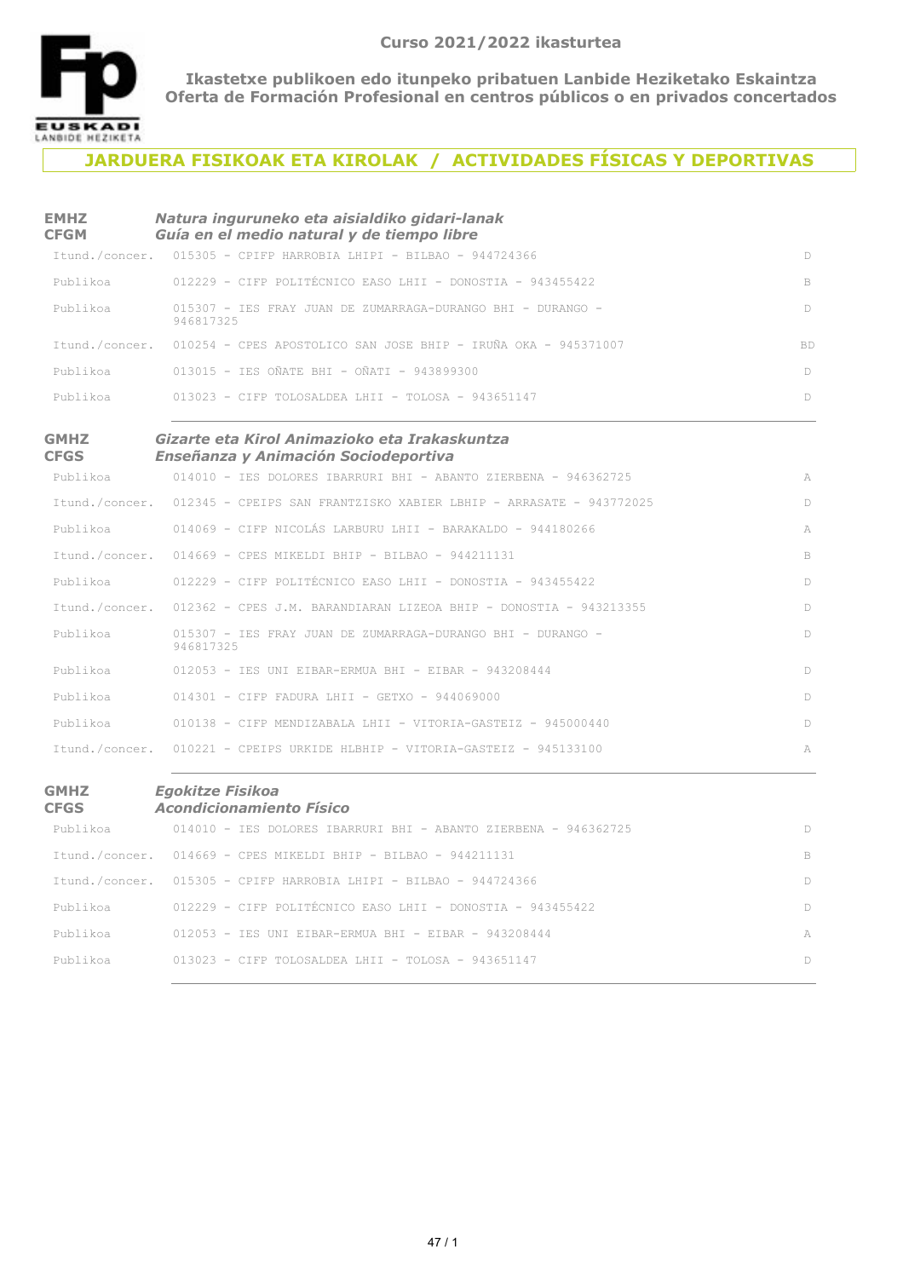

## **JARDUERA FISIKOAK ETA KIROLAK / ACTIVIDADES FÍSICAS Y DEPORTIVAS**

| <b>EMHZ</b><br><b>CFGM</b> | Natura inguruneko eta aisialdiko gidari-lanak<br>Guía en el medio natural y de tiempo libre |     |
|----------------------------|---------------------------------------------------------------------------------------------|-----|
|                            | Itund./concer. 015305 - CPIFP HARROBIA LHIPI - BILBAO - 944724366                           | D.  |
| Publikoa                   | 012229 - CIFP POLITÉCNICO EASO LHII - DONOSTIA - 943455422                                  | B   |
| Publikoa                   | 015307 - TES FRAY JUAN DE ZUMARRAGA-DURANGO BHT - DURANGO -<br>946817325                    | D   |
|                            | Itund./concer. 010254 - CPES APOSTOLICO SAN JOSE BHIP - IRUÑA OKA - 945371007               | BD. |
| Publikoa                   | $013015$ - TES OÑATE BHT - OÑATT - 943899300                                                | D.  |
| Publikoa                   | $013023$ - CIFP TOLOSALDEA LHII - TOLOSA - 943651147                                        | D.  |
|                            |                                                                                             |     |

#### **GMHZ CFGS**

#### *Gizarte eta Kirol Animazioko eta Irakaskuntza Enseñanza y Animación Sociodeportiva*

|          | Publikoa 614010 - IES DOLORES IBARRURI BHI - ABANTO ZIERBENA - 946362725          | A      |
|----------|-----------------------------------------------------------------------------------|--------|
|          | Itund./concer. 012345 - CPEIPS SAN FRANTZISKO XABIER LBHIP - ARRASATE - 943772025 | D      |
|          | Publikoa 614069 - CIFP NICOLÁS LARBURU LHII - BARAKALDO - 944180266               | A      |
|          | Itund./concer. 014669 - CPES MIKELDI BHIP - BILBAO - 944211131                    | B.     |
|          | Publikoa 612229 - CIFP POLITÉCNICO EASO LHII - DONOSTIA - 943455422               | $\Box$ |
|          | Itund./concer. 012362 - CPES J.M. BARANDIARAN LIZEOA BHIP - DONOSTIA - 943213355  | D      |
| Publikoa | 015307 - IES FRAY JUAN DE ZUMARRAGA-DURANGO BHI - DURANGO -<br>946817325          | D      |
|          | Publikoa 612053 - IES UNI EIBAR-ERMUA BHI - EIBAR - 943208444                     | $\Box$ |
|          | Publikoa 614301 - CIFP FADURA LHII - GETXO - 944069000                            | $\Box$ |
|          | Publikoa 610138 - CIFP MENDIZABALA LHII - VITORIA-GASTEIZ - 945000440             | $\Box$ |
|          | Itund./concer. 010221 - CPEIPS URKIDE HLBHIP - VITORIA-GASTEIZ - 945133100        | A      |

#### **GMHZ CFGS** *Egokitze Fisikoa Acondicionamiento Físico*

| Publikoa | 014010 - IES DOLORES IBARRURI BHI - ABANTO ZIERBENA - 946362725   |        |
|----------|-------------------------------------------------------------------|--------|
|          | Itund./concer. 014669 - CPES MIKELDI BHIP - BILBAO - 944211131    | B      |
|          | Itund./concer. 015305 - CPIFP HARROBIA LHIPI - BILBAO - 944724366 |        |
| Publikoa | $012229$ - CIFP POLITÉCNICO EASO LHII - DONOSTIA - 943455422      | $\Box$ |
| Publikoa | $012053$ - TES UNI EIBAR-ERMUA BHI - EIBAR - 943208444            | A      |
| Publikoa | $013023$ - CIFP TOLOSALDEA LHII - TOLOSA - 943651147              |        |
|          |                                                                   |        |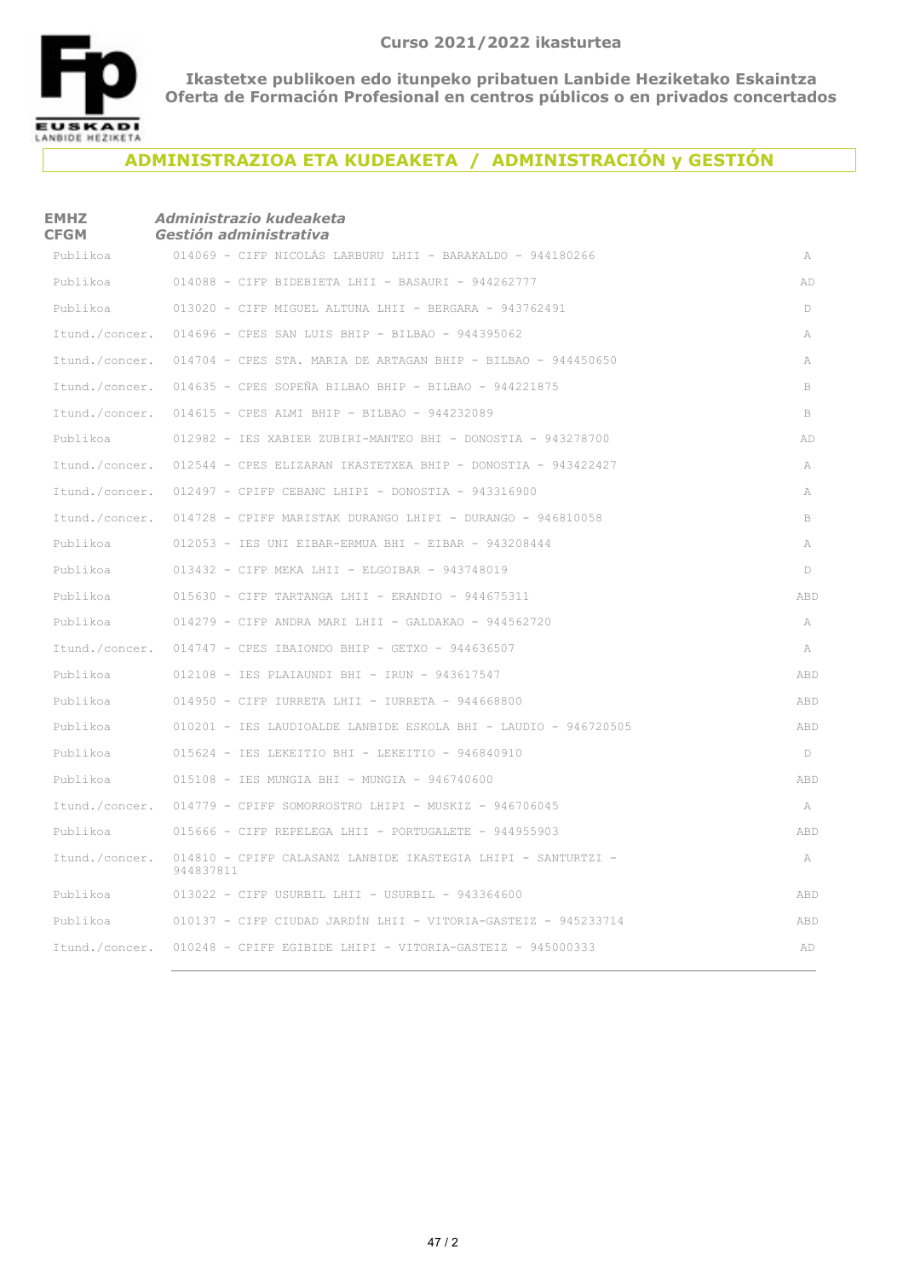

### **ADMINISTRAZIOA ETA KUDEAKETA / ADMINISTRACIÓN y GESTIÓN**

# **EMHZ CFGM** *Administrazio kudeaketa Gestión administrativa* 014069 - CIFP NICOLÁS LARBURU LHII - BARAKALDO - 944180266 APublikoa 014088 - CIFP BIDEBIETA LHII - BASAURI - 944262777 ADPublikoa 013020 - CIFP MIGUEL ALTUNA LHII - BERGARA - 943762491 DPublikoa  $I$ tund./concer. 014696 - CPES SAN LUIS BHIP - BILBAO - 944395062 A 014704 - CPES STA. MARIA DE ARTAGAN BHIP - BILBAO - 944450650 AItund./concer. Itund./concer. 014635 - CPES SOPEÑA BILBAO BHIP - BILBAO - 944221875 Itund./concer. 014615 - CPES ALMI BHIP - BILBAO - 944232089 B 012982 - IES XABIER ZUBIRI-MANTEO BHI - DONOSTIA - 943278700 ADPublikoa Itund./concer. 012544 - CPES ELIZARAN IKASTETXEA BHIP - DONOSTIA - 943422427 A Itund./concer. 012497 - CPIFP CEBANC LHIPI - DONOSTIA - 943316900 A 014728 - CPIFP MARISTAK DURANGO LHIPI - DURANGO - 946810058 BItund./concer. 012053 - IES UNI EIBAR-ERMUA BHI - EIBAR - 943208444 APublikoa blikoa 013432 - CIFP MEKA LHII - ELGOIBAR - 943748019 DPu 015630 - CIFP TARTANGA LHII - ERANDIO - 944675311 ABDPublikoa 014279 - CIFP ANDRA MARI LHII - GALDAKAO - 944562720 APublikoa tund./concer. 014747 - CPES IBAIONDO BHIP - GETXO - 944636507 AI ublikoa 012108 - IES PLAIAUNDI BHI - IRUN - 943617547 ABDP 014950 - CIFP IURRETA LHII - IURRETA - 944668800 ABDPublikoa 010201 - IES LAUDIOALDE LANBIDE ESKOLA BHI - LAUDIO - 946720505 ABDPublikoa Publikoa 015624 - IES LEKEITIO BHI - LEKEITIO - 946840910 D blikoa 015108 - IES MUNGIA BHI - MUNGIA - 946740600 ABDPu Itund./concer. 014779 - CPIFP SOMORROSTRO LHIPI - MUSKIZ - 946706045 A 015666 - CIFP REPELEGA LHII - PORTUGALETE - 944955903 ABDPublikoa Itund./concer. 014810 - CPIFP CALASANZ LANBIDE IKASTEGIA LHIPI - SANTURTZI - TANTORIA A 944837811 Publikoa  $013022$  - CIFP USURBIL LHII - USURBIL - 943364600  $ABD$ 010137 - CIFP CIUDAD JARDÍN LHII - VITORIA-GASTEIZ - 945233714 ABDPublikoa 010248 - CPIFP EGIBIDE LHIPI - VITORIA-GASTEIZ - 945000333 ADItund./concer.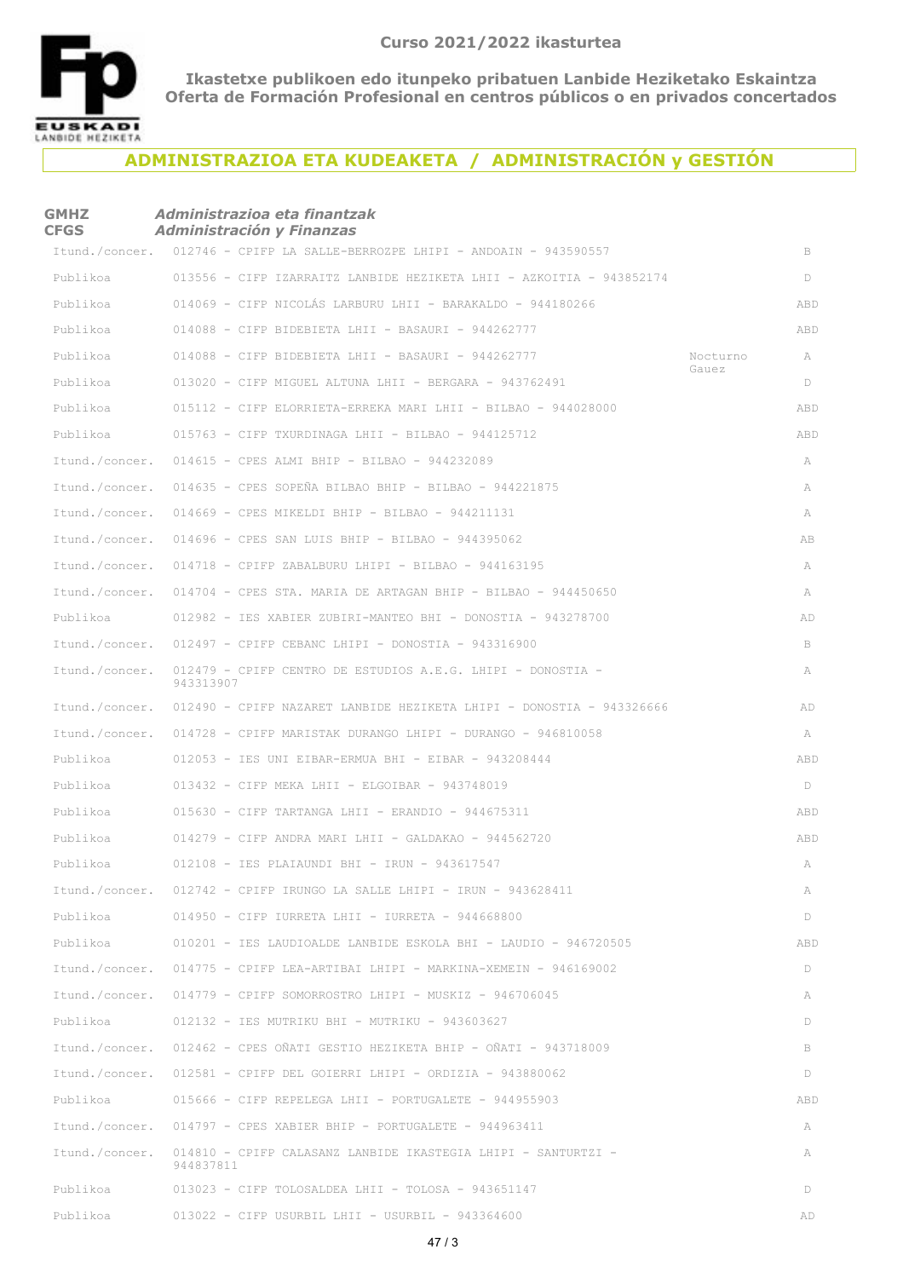

### **ADMINISTRAZIOA ETA KUDEAKETA / ADMINISTRACIÓN y GESTIÓN**

#### **GMHZ CFGS** *Administrazioa eta finantzak Administración y Finanzas*

|                | Itund./concer. 012746 - CPIFP LA SALLE-BERROZPE LHIPI - ANDOAIN - 943590557         |          | B   |
|----------------|-------------------------------------------------------------------------------------|----------|-----|
| Publikoa       | 013556 - CIFP IZARRAITZ LANBIDE HEZIKETA LHII - AZKOITIA - 943852174                |          | D   |
| Publikoa       | 014069 - CIFP NICOLÁS LARBURU LHII - BARAKALDO - 944180266                          |          | ABD |
| Publikoa       | $014088$ - CIFP BIDEBIETA LHII - BASAURI - 944262777                                |          | ABD |
| Publikoa       | $014088$ - CIFP BIDEBIETA LHII - BASAURI - 944262777                                | Nocturno | A   |
| Publikoa       | 013020 - CIFP MIGUEL ALTUNA LHII - BERGARA - 943762491                              | Gauez    | D   |
| Publikoa       | $015112$ - CIFP ELORRIETA-ERREKA MARI LHII - BILBAO - 944028000                     |          | ABD |
| Publikoa       | $015763$ - CIFP TXURDINAGA LHII - BILBAO - 944125712                                |          | ABD |
| Itund./concer. | 014615 - CPES ALMI BHIP - BILBAO - 944232089                                        |          | A   |
| Itund./concer. | $014635$ - CPES SOPEÑA BILBAO BHIP - BILBAO - 944221875                             |          | A   |
| Itund./concer. | $014669$ - CPES MIKELDI BHIP - BILBAO - 944211131                                   |          | A   |
| Itund./concer. | 014696 - CPES SAN LUIS BHIP - BILBAO - 944395062                                    |          | AB  |
| Itund./concer. | $014718$ - CPIFP ZABALBURU LHIPI - BILBAO - 944163195                               |          | A   |
| Itund./concer. | $014704$ - CPES STA. MARIA DE ARTAGAN BHIP - BILBAO - 944450650                     |          | A   |
| Publikoa       | 012982 - IES XABIER ZUBIRI-MANTEO BHI - DONOSTIA - 943278700                        |          | AD  |
| Itund./concer. | $012497$ - CPIFP CEBANC LHIPI - DONOSTIA - 943316900                                |          | B   |
| Itund./concer. | 012479 - CPIFP CENTRO DE ESTUDIOS A.E.G. LHIPI - DONOSTIA -<br>943313907            |          | A   |
|                | Itund./concer. 012490 - CPIFP NAZARET LANBIDE HEZIKETA LHIPI - DONOSTIA - 943326666 |          | AD  |
|                | Itund./concer. 014728 - CPIFP MARISTAK DURANGO LHIPI - DURANGO - 946810058          |          | A   |
| Publikoa       | $012053$ - IES UNI EIBAR-ERMUA BHI - EIBAR - 943208444                              |          | ABD |
| Publikoa       | $013432$ - CIFP MEKA LHII - ELGOIBAR - 943748019                                    |          | D   |
| Publikoa       | $015630$ - CIFP TARTANGA LHII - ERANDIO - 944675311                                 |          | ABD |
| Publikoa       | $014279$ - CIFP ANDRA MARI LHII - GALDAKAO - 944562720                              |          | ABD |
| Publikoa       | 012108 - IES PLAIAUNDI BHI - IRUN - 943617547                                       |          | A   |
|                | Itund./concer. 012742 - CPIFP IRUNGO LA SALLE LHIPI - IRUN - 943628411              |          | A   |
| Publikoa       | 014950 - CIFP IURRETA LHII - IURRETA - 944668800                                    |          | D   |
| Publikoa       | 010201 - IES LAUDIOALDE LANBIDE ESKOLA BHI - LAUDIO - 946720505                     |          | ABD |
| Itund./concer. | $014775$ - CPIFP LEA-ARTIBAI LHIPI - MARKINA-XEMEIN - 946169002                     |          | D   |
| Itund./concer. | $014779$ - CPIFP SOMORROSTRO LHIPI - MUSKIZ - 946706045                             |          | A   |
| Publikoa       | 012132 - IES MUTRIKU BHI - MUTRIKU - 943603627                                      |          | D   |
| Itund./concer. | 012462 - CPES OÑATI GESTIO HEZIKETA BHIP - OÑATI - 943718009                        |          | B   |
| Itund./concer. | $012581$ - CPIFP DEL GOIERRI LHIPI - ORDIZIA - 943880062                            |          | D   |
| Publikoa       | $015666$ - CIFP REPELEGA LHII - PORTUGALETE - 944955903                             |          | ABD |
| Itund./concer. | $014797$ - CPES XABIER BHIP - PORTUGALETE - 944963411                               |          | A   |
| Itund./concer. | 014810 - CPIFP CALASANZ LANBIDE IKASTEGIA LHIPI - SANTURTZI -<br>944837811          |          | A   |
| Publikoa       | $013023$ - CIFP TOLOSALDEA LHII - TOLOSA - 943651147                                |          | D   |
| Publikoa       | $013022$ - CIFP USURBIL LHII - USURBIL - 943364600                                  |          | AD  |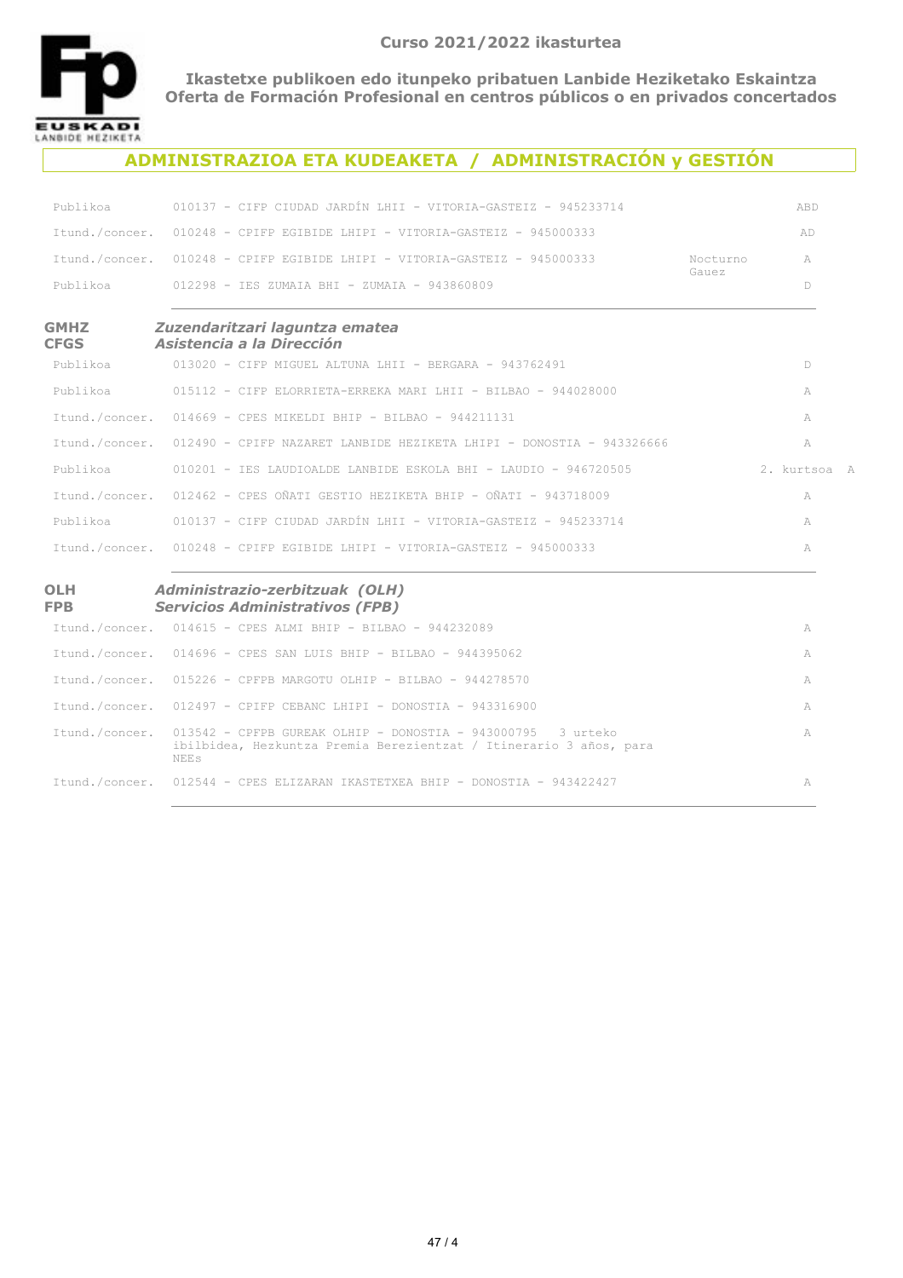

NEEs

**Ikastetxe publikoen edo itunpeko pribatuen Lanbide Heziketako Eskaintza Oferta de Formación Profesional en centros públicos o en privados concertados**

#### **ADMINISTRAZIOA ETA KUDEAKETA / ADMINISTRACIÓN y GESTIÓN**

| Publikoa                   | 010137 - CIFP CIUDAD JARDÍN LHII - VITORIA-GASTEIZ - 945233714                                                                    |                   | ABD          |
|----------------------------|-----------------------------------------------------------------------------------------------------------------------------------|-------------------|--------------|
| Itund./concer.             | $010248$ - CPIFP EGIBIDE LHIPI - VITORIA-GASTEIZ - 945000333                                                                      |                   | AD           |
|                            | Itund./concer. 010248 - CPIFP EGIBIDE LHIPI - VITORIA-GASTEIZ - 945000333                                                         | Nocturno<br>Gauez | A            |
| Publikoa                   | 012298 - IES ZUMAIA BHI - ZUMAIA - 943860809                                                                                      |                   | D            |
| <b>GMHZ</b><br><b>CFGS</b> | Zuzendaritzari laguntza ematea<br>Asistencia a la Dirección                                                                       |                   |              |
| Publikoa                   | $013020$ - CIFP MIGUEL ALTUNA LHII - BERGARA - 943762491                                                                          |                   | D            |
| Publikoa                   | 015112 - CIFP ELORRIETA-ERREKA MARI LHII - BILBAO - 944028000                                                                     |                   | A            |
|                            | Itund./concer. 014669 - CPES MIKELDI BHIP - BILBAO - 944211131                                                                    |                   | A            |
| Itund./concer.             | 012490 - CPIFP NAZARET LANBIDE HEZIKETA LHIPI - DONOSTIA - 943326666                                                              |                   | A            |
| Publikoa                   | 010201 - IES LAUDIOALDE LANBIDE ESKOLA BHI - LAUDIO - 946720505                                                                   |                   | 2. kurtsoa A |
|                            | Itund./concer. 012462 - CPES OÑATI GESTIO HEZIKETA BHIP - OÑATI - 943718009                                                       |                   | A            |
| Publikoa                   | 010137 - CIFP CIUDAD JARDÍN LHII - VITORIA-GASTEIZ - 945233714                                                                    |                   | A            |
|                            | Itund./concer. 010248 - CPIFP EGIBIDE LHIPI - VITORIA-GASTEIZ - 945000333                                                         |                   | A            |
| <b>OLH</b><br>FPB          | Administrazio-zerbitzuak (OLH)<br><b>Servicios Administrativos (FPB)</b>                                                          |                   |              |
|                            | Itund./concer. 014615 - CPES ALMI BHIP - BILBAO - 944232089                                                                       |                   | A            |
|                            | Itund./concer. 014696 - CPES SAN LUIS BHIP - BILBAO - 944395062                                                                   |                   | A            |
| Itund./concer.             | $015226$ - CPFPB MARGOTU OLHIP - BILBAO - 944278570                                                                               |                   | A            |
|                            | Itund./concer. 012497 - CPIFP CEBANC LHIPI - DONOSTIA - 943316900                                                                 |                   | A            |
| Itund./concer.             | 013542 - CPFPB GUREAK OLHIP - DONOSTIA - 943000795 3 urteko<br>ibilbidea, Hezkuntza Premia Berezientzat / Itinerario 3 años, para |                   | A            |

Itund./concer. 012544 - CPES ELIZARAN IKASTETXEA BHIP - DONOSTIA - 943422427 AI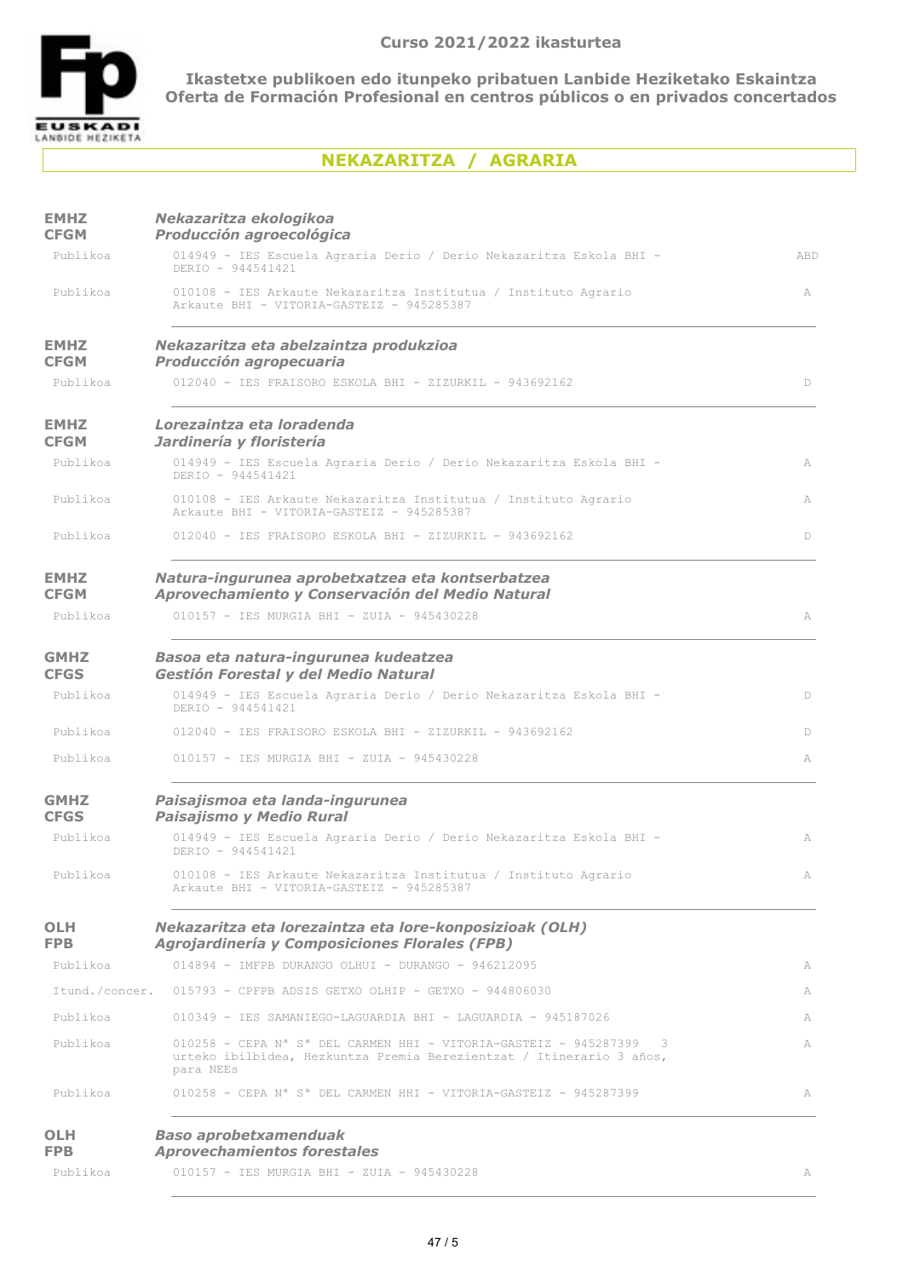

# **NEKAZARITZA / AGRARIA**

| <b>EMHZ</b><br><b>CFGM</b> | Nekazaritza ekologikoa<br>Producción agroecológica                                                                                                                                |            |
|----------------------------|-----------------------------------------------------------------------------------------------------------------------------------------------------------------------------------|------------|
| Publikoa                   | 014949 - IES Escuela Agraria Derio / Derio Nekazaritza Eskola BHI -<br>DERIO - 944541421                                                                                          | <b>ABD</b> |
| Publikoa                   | 010108 - IES Arkaute Nekazaritza Institutua / Instituto Agrario<br>Arkaute BHI - VITORIA-GASTEIZ - 945285387                                                                      | A          |
| <b>EMHZ</b><br><b>CFGM</b> | Nekazaritza eta abelzaintza produkzioa<br><b>Producción agropecuaria</b>                                                                                                          |            |
| Publikoa                   | $012040$ - TES FRATSORO ESKOLA BHT - ZIZURKIL - 943692162                                                                                                                         | D          |
| <b>EMHZ</b><br><b>CFGM</b> | Lorezaintza eta loradenda<br>Jardinería y floristería                                                                                                                             |            |
| Publikoa                   | 014949 - IES Escuela Agraria Derio / Derio Nekazaritza Eskola BHI -<br>DERIO - 944541421                                                                                          | A          |
| Publikoa                   | 010108 - IES Arkaute Nekazaritza Institutua / Instituto Agrario<br>Arkaute BHI - VITORIA-GASTEIZ - 945285387                                                                      | A          |
| Publikoa                   | 012040 - IES FRAISORO ESKOLA BHI - ZIZURKIL - 943692162                                                                                                                           | D.         |
| <b>EMHZ</b><br><b>CFGM</b> | Natura-ingurunea aprobetxatzea eta kontserbatzea<br>Aprovechamiento y Conservación del Medio Natural                                                                              |            |
| Publikoa                   | 010157 - TES MURGIA BHT - ZUIA - 945430228                                                                                                                                        | A          |
| <b>GMHZ</b><br><b>CFGS</b> | Basoa eta natura-ingurunea kudeatzea<br>Gestión Forestal y del Medio Natural                                                                                                      |            |
| Publikoa                   | 014949 - IES Escuela Agraria Derio / Derio Nekazaritza Eskola BHI -<br>DERIO - 944541421                                                                                          | D          |
| Publikoa                   | 012040 - IES FRAISORO ESKOLA BHI - ZIZURKIL - 943692162                                                                                                                           | D          |
| Publikoa                   | 010157 - IES MURGIA BHI - ZUIA - 945430228                                                                                                                                        | A          |
| <b>GMHZ</b><br><b>CFGS</b> | Paisajismoa eta landa-ingurunea<br>Paisajismo y Medio Rural                                                                                                                       |            |
| Publikoa                   | 014949 - IES Escuela Agraria Derio / Derio Nekazaritza Eskola BHI -<br>DERIO - 944541421                                                                                          | A          |
| Publikoa                   | 010108 - IES Arkaute Nekazaritza Institutua / Instituto Agrario<br>Arkaute BHI - VITORIA-GASTEIZ - 945285387                                                                      | A          |
| OLH<br>FPB.                | Nekazaritza eta lorezaintza eta lore-konposizioak (OLH)<br>Agrojardinería y Composiciones Florales (FPB)                                                                          |            |
| Publikoa                   | 014894 - IMFPB DURANGO OLHUI - DURANGO - 946212095                                                                                                                                | A          |
|                            | Itund./concer. 015793 - CPFPB ADSIS GETXO OLHIP - GETXO - 944806030                                                                                                               | А          |
| Publikoa                   | 010349 - IES SAMANIEGO-LAGUARDIA BHI - LAGUARDIA - 945187026                                                                                                                      | A          |
| Publikoa                   | $010258$ - CEPA N <sup>a</sup> S <sup>a</sup> DEL CARMEN HHI - VITORIA-GASTEIZ - 945287399 3<br>urteko ibilbidea, Hezkuntza Premia Berezientzat / Itinerario 3 años,<br>para NEEs | A          |
| Publikoa                   | $010258$ - CEPA N <sup>a</sup> S <sup>a</sup> DEL CARMEN HHI - VITORIA-GASTEIZ - 945287399                                                                                        | A          |
| <b>OLH</b><br><b>FPB</b>   | <b>Baso aprobetxamenduak</b><br><b>Aprovechamientos forestales</b>                                                                                                                |            |
| Publikoa                   | 010157 - IES MURGIA BHI - ZUIA - 945430228                                                                                                                                        |            |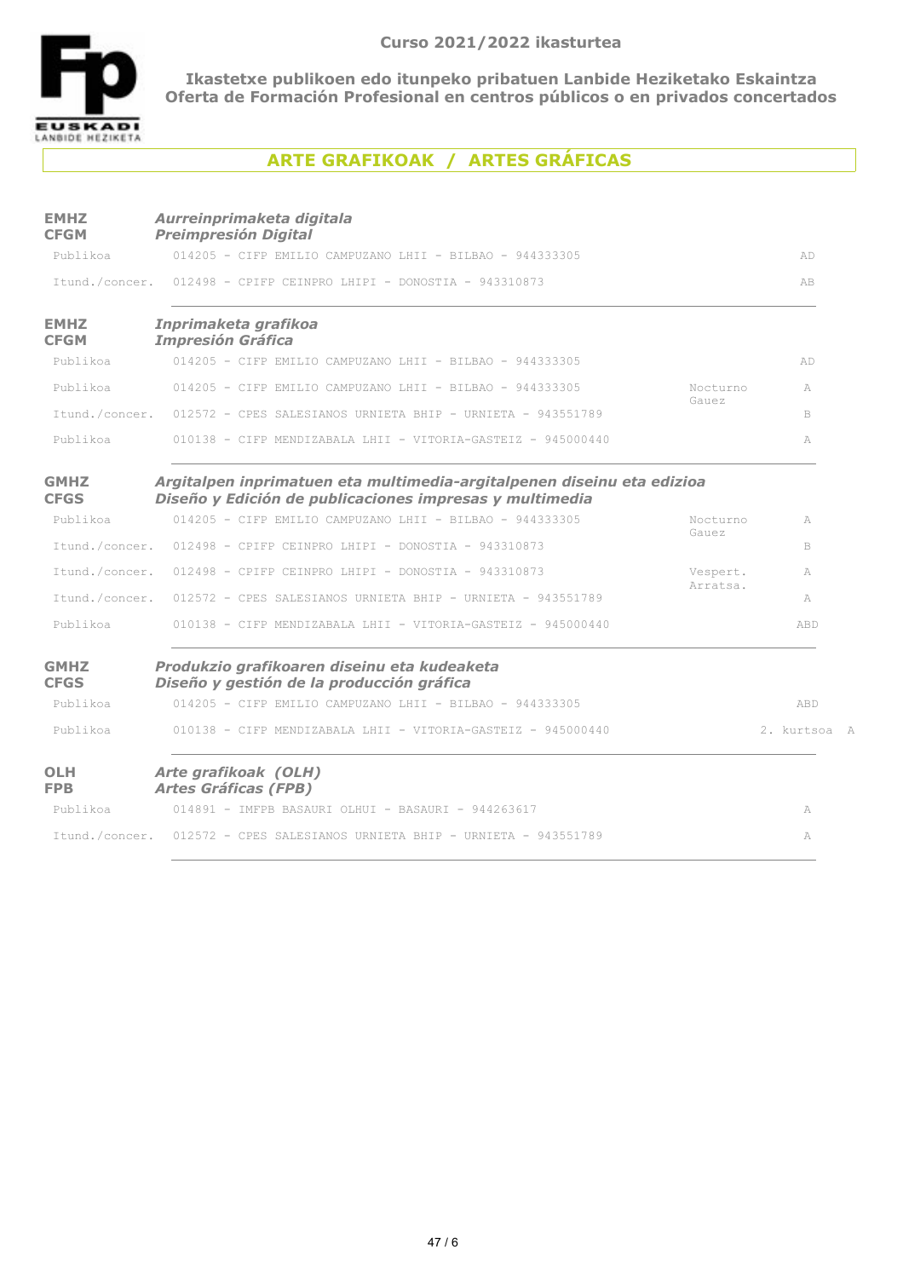

# **ARTE GRAFIKOAK / ARTES GRÁFICAS**

| <b>EMHZ</b><br><b>CFGM</b> | Aurreinprimaketa digitala<br><b>Preimpresión Digital</b>                                                                          |          |              |
|----------------------------|-----------------------------------------------------------------------------------------------------------------------------------|----------|--------------|
| Publikoa                   | 014205 - CIFP EMILIO CAMPUZANO LHII - BILBAO - 944333305                                                                          |          | AD.          |
|                            | Itund./concer. 012498 - CPIFP CEINPRO LHIPI - DONOSTIA - 943310873                                                                |          | AB           |
| <b>EMHZ</b><br><b>CFGM</b> | Inprimaketa grafikoa<br><b>Impresión Gráfica</b>                                                                                  |          |              |
| Publikoa                   | 014205 - CIFP EMILIO CAMPUZANO LHII - BILBAO - 944333305                                                                          |          | AD.          |
| Publikoa                   | 014205 - CIFP EMILIO CAMPUZANO LHII - BILBAO - 944333305                                                                          | Nocturno | A            |
|                            | Itund./concer. 012572 - CPES SALESIANOS URNIETA BHIP - URNIETA - 943551789                                                        | Gauez    | B            |
| Publikoa                   | 010138 - CIFP MENDIZABALA LHII - VITORIA-GASTEIZ - 945000440                                                                      |          | A            |
| <b>GMHZ</b><br><b>CFGS</b> | Argitalpen inprimatuen eta multimedia-argitalpenen diseinu eta edizioa<br>Diseño y Edición de publicaciones impresas y multimedia |          |              |
| Publikoa                   | 014205 - CIFP EMILIO CAMPUZANO LHII - BILBAO - 944333305                                                                          | Nocturno | A            |
| Itund./concer.             | $012498$ - CPIFP CEINPRO LHIPI - DONOSTIA - 943310873                                                                             | Gauez    | B            |
| Itund./concer.             | $012498$ - CPIFP CEINPRO LHIPI - DONOSTIA - 943310873                                                                             | Vespert. | A            |
| Itund./concer.             | 012572 - CPES SALESIANOS URNIETA BHIP - URNIETA - 943551789                                                                       | Arratsa. | A            |
| Publikoa                   | 010138 - CIFP MENDIZABALA LHII - VITORIA-GASTEIZ - 945000440                                                                      |          | ABD          |
| <b>GMHZ</b><br><b>CFGS</b> | Produkzio grafikoaren diseinu eta kudeaketa<br>Diseño y gestión de la producción gráfica                                          |          |              |
| Publikoa                   | 014205 - CIFP EMILIO CAMPUZANO LHII - BILBAO - 944333305                                                                          |          | ABD          |
| Publikoa                   | 010138 - CIFP MENDIZABALA LHII - VITORIA-GASTEIZ - 945000440                                                                      |          | 2. kurtsoa A |
| <b>OLH</b><br><b>FPB</b>   | Arte grafikoak (OLH)<br><b>Artes Gráficas (FPB)</b>                                                                               |          |              |
| Publikoa                   | 014891 - IMFPB BASAURI OLHUI - BASAURI - 944263617                                                                                |          | A            |
|                            | Itund./concer. 012572 - CPES SALESIANOS URNIETA BHIP - URNIETA - 943551789                                                        |          | A            |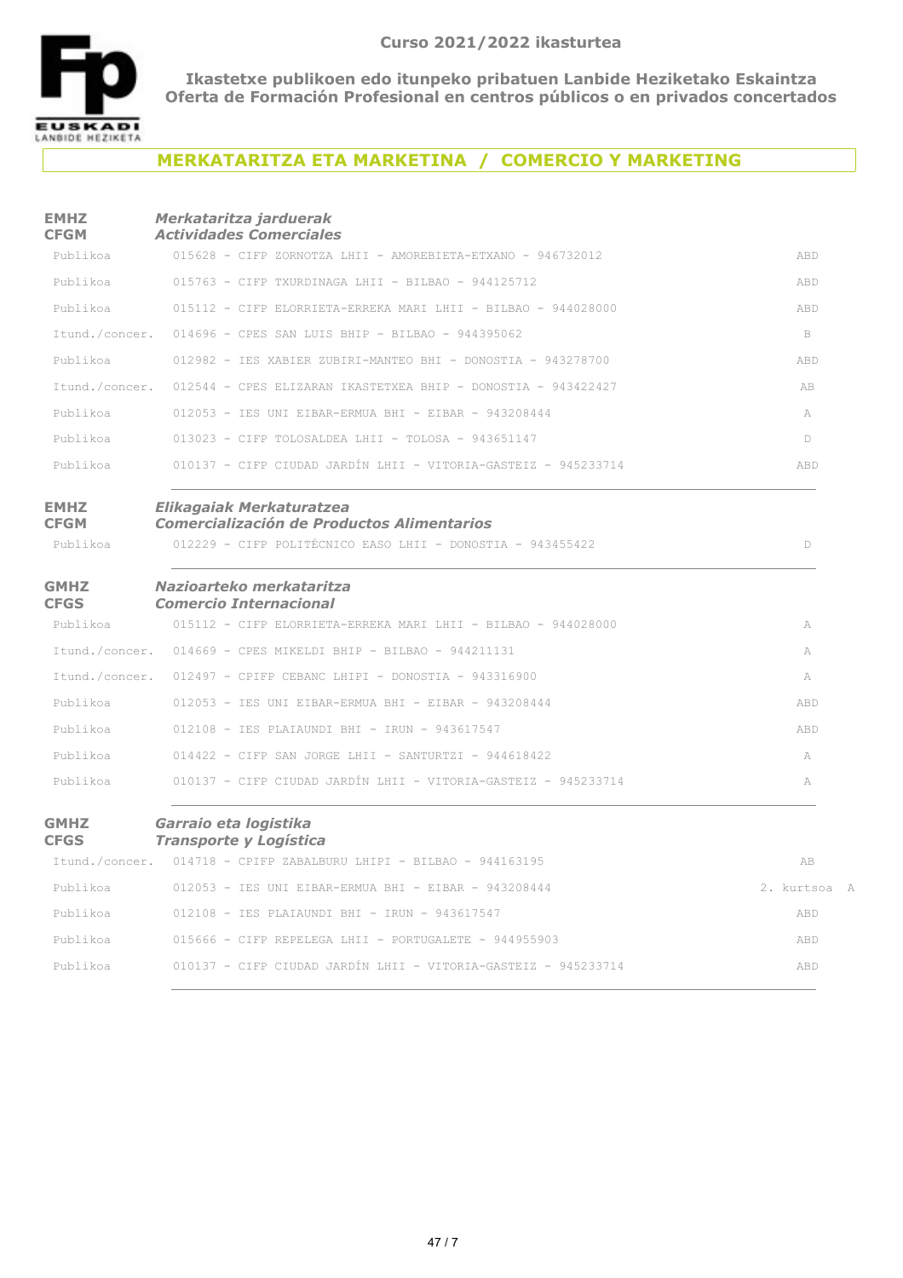

## **MERKATARITZA ETA MARKETINA / COMERCIO Y MARKETING**

#### **EMHZ CFGM** *Merkataritza jarduerak Actividades Comerciales*

| <b>GMHZ</b>                | Garraio eta logistika                                                  |            |
|----------------------------|------------------------------------------------------------------------|------------|
| Publikoa                   | 010137 - CIFP CIUDAD JARDÍN LHII - VITORIA-GASTEIZ - 945233714         | A          |
| Publikoa                   | $014422$ - CIFP SAN JORGE LHII - SANTURTZI - 944618422                 | A          |
| Publikoa                   | 012108 - IES PLAIAUNDI BHI - IRUN - 943617547                          | ABD        |
| Publikoa                   | 012053 - IES UNI EIBAR-ERMUA BHI - EIBAR - 943208444                   | ABD        |
| Itund./concer.             | $012497$ - CPIFP CEBANC LHIPI - DONOSTIA - 943316900                   | A          |
| Itund./concer.             | $014669$ - CPES MIKELDI BHIP - BILBAO - 944211131                      | A          |
| Publikoa                   | 015112 - CIFP ELORRIETA-ERREKA MARI LHII - BILBAO - 944028000          | A          |
| <b>GMHZ</b><br><b>CFGS</b> | Nazioarteko merkataritza<br><b>Comercio Internacional</b>              |            |
| Publikoa                   | 012229 - CIFP POLITÉCNICO EASO LHII - DONOSTIA - 943455422             | D          |
| <b>EMHZ</b><br><b>CFGM</b> | Elikagaiak Merkaturatzea<br>Comercialización de Productos Alimentarios |            |
| Publikoa                   | 010137 - CIFP CIUDAD JARDÍN LHII - VITORIA-GASTEIZ - 945233714         | ABD        |
| Publikoa                   | $013023$ - CIFP TOLOSALDEA LHII - TOLOSA - 943651147                   | D.         |
| Publikoa                   | $012053$ - IES UNI EIBAR-ERMUA BHI - EIBAR - 943208444                 | A          |
| Itund./concer.             | 012544 - CPES ELIZARAN IKASTETXEA BHIP - DONOSTIA - 943422427          | AB         |
| Publikoa                   | 012982 - IES XABIER ZUBIRI-MANTEO BHI - DONOSTIA - 943278700           | ABD        |
| Itund./concer.             | 014696 - CPES SAN LUIS BHIP - BILBAO - 944395062                       | B.         |
| Publikoa                   | 015112 - CIFP ELORRIETA-ERREKA MARI LHII - BILBAO - 944028000          | ABD        |
| Publikoa                   | $015763$ - CIFP TXURDINAGA LHII - BILBAO - 944125712                   | <b>ABD</b> |
| Publikoa                   | 015628 - CIFP ZORNOTZA LHII - AMOREBIETA-ETXANO - 946732012            | ABD        |

|          | Itund./concer. 014718 - CPIFP ZABALBURU LHIPI - BILBAO - 944163195 | AB           |
|----------|--------------------------------------------------------------------|--------------|
| Publikoa | $012053$ - IES UNI EIBAR-ERMUA BHI - EIBAR - 943208444             | 2. kurtsoa A |
| Publikoa | 012108 - IES PLAIAUNDI BHI - IRUN - 943617547                      | ABD          |
| Publikoa | 015666 - CIFP REPELEGA LHII - PORTUGALETE - 944955903              | ABD          |
| Publikoa | 010137 - CIFP CIUDAD JARDÍN LHII - VITORIA-GASTEIZ - 945233714     | ABD          |
|          |                                                                    |              |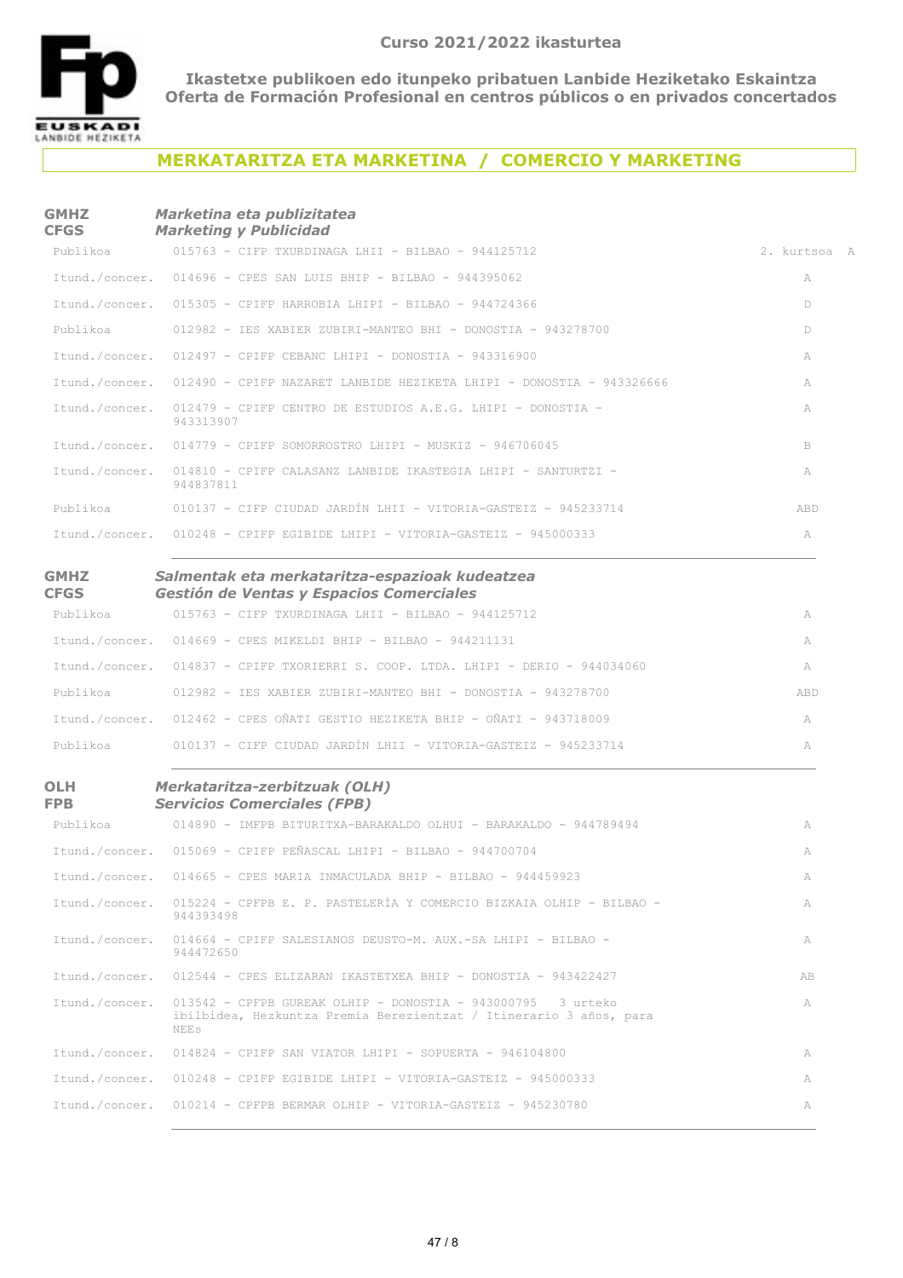

## **MERKATARITZA ETA MARKETINA / COMERCIO Y MARKETING**

#### **GMHZ CFGS** *Marketina eta publizitatea Marketing y Publicidad*

| Publikoa                   | 015763 - CIFP TXURDINAGA LHII - BILBAO - 944125712                                         | 2. kurtsoa A |
|----------------------------|--------------------------------------------------------------------------------------------|--------------|
| Itund./concer.             | 014696 - CPES SAN LUIS BHIP - BILBAO - 944395062                                           | A            |
| Itund./concer.             | $015305$ - CPIFP HARROBIA LHIPI - BILBAO - 944724366                                       | D            |
| Publikoa                   | 012982 - IES XABIER ZUBIRI-MANTEO BHI - DONOSTIA - 943278700                               | D            |
| Itund./concer.             | $012497$ - CPIFP CEBANC LHIPI - DONOSTIA - 943316900                                       | А            |
| Itund./concer.             | 012490 - CPIFP NAZARET LANBIDE HEZIKETA LHIPI - DONOSTIA - 943326666                       | А            |
| Itund./concer.             | 012479 - CPIFP CENTRO DE ESTUDIOS A.E.G. LHIPI - DONOSTIA -<br>943313907                   | А            |
|                            | Itund./concer. 014779 - CPIFP SOMORROSTRO LHIPI - MUSKIZ - 946706045                       | B            |
| Itund./concer.             | 014810 - CPIFP CALASANZ LANBIDE IKASTEGIA LHIPI - SANTURTZI -<br>944837811                 | A            |
| Publikoa                   | 010137 - CIFP CIUDAD JARDÍN LHII - VITORIA-GASTEIZ - 945233714                             | ABD          |
|                            | Itund./concer. 010248 - CPIFP EGIBIDE LHIPI - VITORIA-GASTEIZ - 945000333                  | A            |
| <b>GMHZ</b><br><b>CFGS</b> | Salmentak eta merkataritza-espazioak kudeatzea<br>Gestión de Ventas y Espacios Comerciales |              |
| Publikoa                   | 015763 - CIFP TXURDINAGA LHII - BILBAO - 944125712                                         | A            |
|                            | Itund./concer. 014669 - CPES MIKELDI BHIP - BILBAO - 944211131                             | A            |
| Itund./concer.             | 014837 - CPIFP TXORIERRI S. COOP. LTDA. LHIPI - DERIO - 944034060                          | A            |
|                            |                                                                                            |              |
| Publikoa                   | 012982 - IES XABIER ZUBIRI-MANTEO BHI - DONOSTIA - 943278700                               | ABD          |
| Itund./concer.             | 012462 - CPES OÑATI GESTIO HEZIKETA BHIP - OÑATI - 943718009                               | A            |
| Publikoa                   | 010137 - CIFP CIUDAD JARDÍN LHII - VITORIA-GASTEIZ - 945233714                             | A            |
| <b>OLH</b>                 | Merkataritza-zerbitzuak (OLH)<br><b>Servicios Comerciales (FPB)</b>                        |              |
| FPB<br>Publikoa            | 014890 - IMFPB BITURITXA-BARAKALDO OLHUI - BARAKALDO - 944789494                           | A            |

|                | Itund./concer. 015069 - CPIFP PEÑASCAL LHIPI - BILBAO - 944700704                                                                                  | A  |
|----------------|----------------------------------------------------------------------------------------------------------------------------------------------------|----|
|                | Itund./concer. 014665 - CPES MARIA INMACULADA BHIP - BILBAO - 944459923                                                                            | A  |
| Itund./concer. | 015224 - CPFPB E. P. PASTELERÍA Y COMERCIO BIZKAIA OLHIP - BILBAO -<br>944393498                                                                   | A  |
| Itund./concer. | 014664 - CPIFP SALESIANOS DEUSTO-M. AUX.-SA LHIPI - BILBAO -<br>944472650                                                                          | A  |
|                | Itund./concer. 012544 - CPES ELIZARAN IKASTETXEA BHIP - DONOSTIA - 943422427                                                                       | AB |
| Itund./concer. | $013542$ - CPFPB GUREAK OLHIP - DONOSTIA - 943000795 3 urteko<br>ibilbidea, Hezkuntza Premia Berezientzat / Itinerario 3 años, para<br><b>NEES</b> | A  |
|                | Itund./concer. 014824 - CPIFP SAN VIATOR LHIPI - SOPUERTA - 946104800                                                                              | A  |
|                | Itund./concer. 010248 - CPIFP EGIBIDE LHIPI - VITORIA-GASTEIZ - 945000333                                                                          | A  |
|                | Itund./concer. 010214 - CPFPB BERMAR OLHIP - VITORIA-GASTEIZ - 945230780                                                                           | A  |
|                |                                                                                                                                                    |    |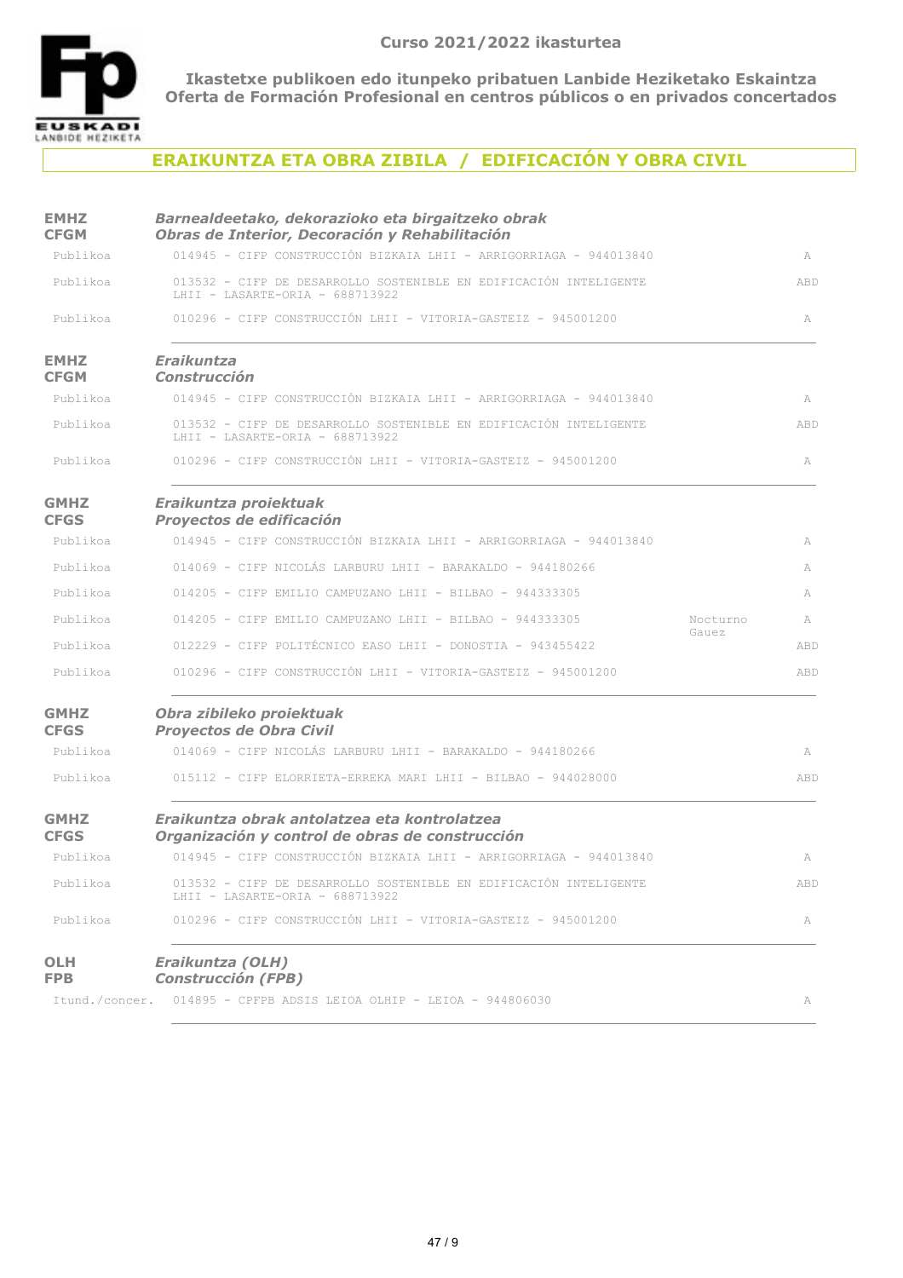

# **ERAIKUNTZA ETA OBRA ZIBILA / EDIFICACIÓN Y OBRA CIVIL**

| <b>EMHZ</b><br><b>CFGM</b> | Barnealdeetako, dekorazioko eta birgaitzeko obrak<br>Obras de Interior, Decoración y Rehabilitación                  |               |
|----------------------------|----------------------------------------------------------------------------------------------------------------------|---------------|
| Publikoa                   | 014945 - CIFP CONSTRUCCIÓN BIZKAIA LHII - ARRIGORRIAGA - 944013840                                                   | A             |
| Publikoa                   | 013532 - CIFP DE DESARROLLO SOSTENIBLE EN EDIFICACIÓN INTELIGENTE<br>LHII - LASARTE-ORIA - 688713922                 | ABD           |
| Publikoa                   | 010296 - CIFP CONSTRUCCIÓN LHII - VITORIA-GASTEIZ - 945001200                                                        | A             |
| <b>EMHZ</b><br><b>CFGM</b> | <b>Eraikuntza</b><br><b>Construcción</b>                                                                             |               |
| Publikoa                   | 014945 - CIFP CONSTRUCCIÓN BIZKAIA LHII - ARRIGORRIAGA - 944013840                                                   | A             |
| Publikoa                   | 013532 - CIFP DE DESARROLLO SOSTENIBLE EN EDIFICACIÓN INTELIGENTE<br>LHII - LASARTE-ORIA - 688713922                 | ABD           |
| Publikoa                   | 010296 - CIFP CONSTRUCCIÓN LHII - VITORIA-GASTEIZ - 945001200                                                        | A             |
| <b>GMHZ</b><br><b>CFGS</b> | Eraikuntza proiektuak<br>Proyectos de edificación                                                                    |               |
| Publikoa                   | 014945 - CIFP CONSTRUCCIÓN BIZKAIA LHII - ARRIGORRIAGA - 944013840                                                   | A             |
| Publikoa                   | 014069 - CIFP NICOLÁS LARBURU LHII - BARAKALDO - 944180266                                                           | A             |
| Publikoa                   | 014205 - CIFP EMILIO CAMPUZANO LHII - BILBAO - 944333305                                                             | A             |
| Publikoa                   | 014205 - CIFP EMILIO CAMPUZANO LHII - BILBAO - 944333305                                                             | Nocturno<br>A |
| Publikoa                   | 012229 - CIFP POLITÉCNICO EASO LHII - DONOSTIA - 943455422                                                           | Gauez<br>ABD  |
| Publikoa                   | 010296 - CIFP CONSTRUCCIÓN LHII - VITORIA-GASTEIZ - 945001200                                                        | ABD           |
| <b>GMHZ</b><br><b>CFGS</b> | Obra zibileko proiektuak<br>Proyectos de Obra Civil                                                                  |               |
| Publikoa                   | 014069 - CIFP NICOLÁS LARBURU LHII - BARAKALDO - 944180266                                                           | A             |
| Publikoa                   | 015112 - CIFP ELORRIETA-ERREKA MARI LHII - BILBAO - 944028000                                                        | ABD           |
| <b>GMHZ</b><br><b>CFGS</b> | Eraikuntza obrak antolatzea eta kontrolatzea<br>Organización y control de obras de construcción                      |               |
| Publikoa                   | 014945 - CIFP CONSTRUCCIÓN BIZKAIA LHII - ARRIGORRIAGA - 944013840                                                   | A             |
| Publikoa                   | 013532 - CIFP DE DESARROLLO SOSTENIBLE EN EDIFICACIÓN INTELIGENTE<br>LHII - LASARTE-ORIA - 688713922                 | ABD           |
| Publikoa                   | 010296 - CIFP CONSTRUCCIÓN LHII - VITORIA-GASTEIZ - 945001200                                                        | А             |
| <b>OLH</b><br><b>FPB</b>   | Eraikuntza (OLH)<br><b>Construcción (FPB)</b><br>Itund./concer. 014895 - CPFPB ADSIS LEIOA OLHIP - LEIOA - 944806030 | A             |
|                            |                                                                                                                      |               |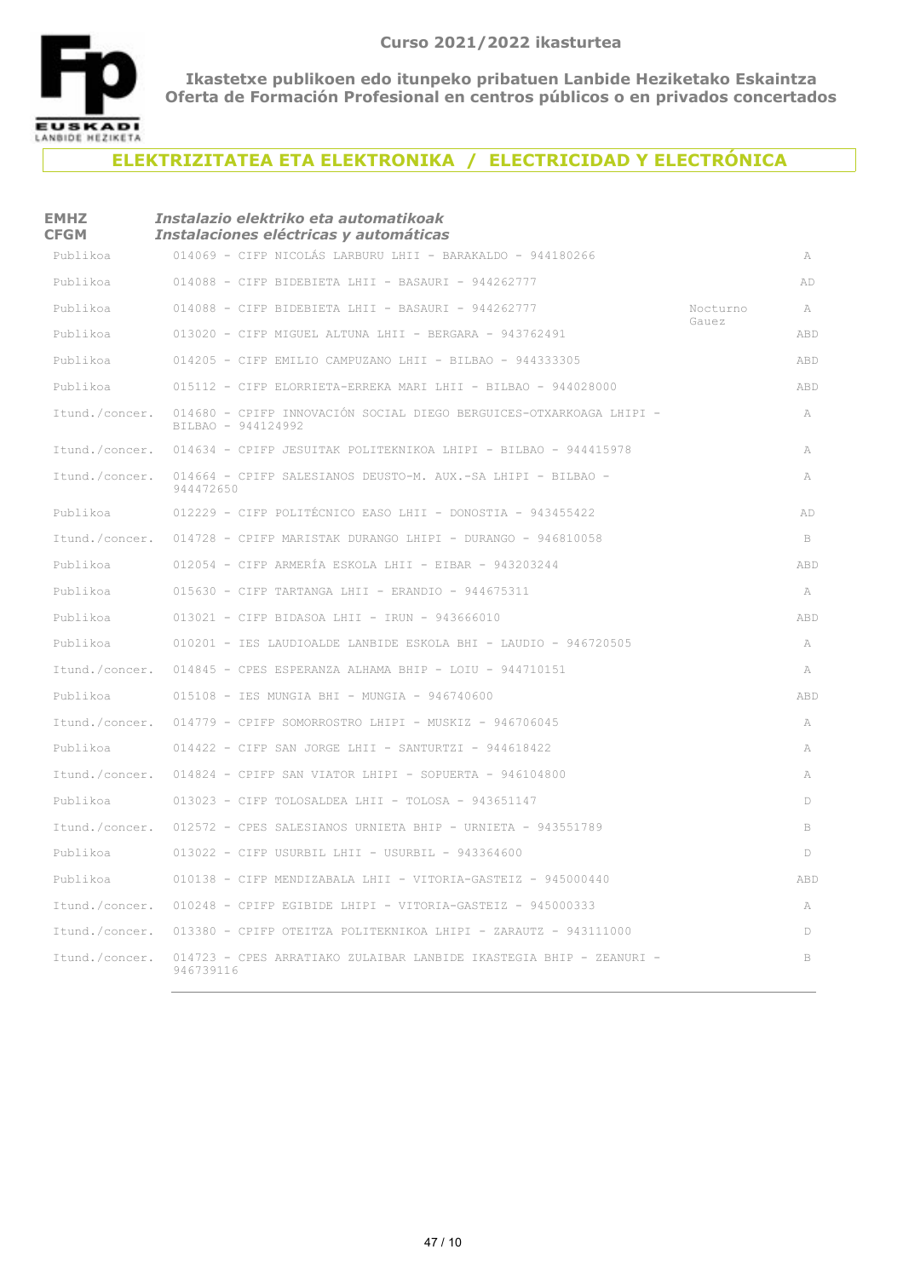

### **ELEKTRIZITATEA ETA ELEKTRONIKA / ELECTRICIDAD Y ELECTRÓNICA**

| EMHZ<br><b>CFGM</b> | Instalazio elektriko eta automatikoak<br>Instalaciones eléctricas y automáticas           |          |     |
|---------------------|-------------------------------------------------------------------------------------------|----------|-----|
| Publikoa            | 014069 - CIFP NICOLÁS LARBURU LHII - BARAKALDO - 944180266                                |          | A   |
| Publikoa            | $014088$ - CIFP BIDEBIETA LHII - BASAURI - 944262777                                      |          | AD  |
| Publikoa            | $014088$ - CIFP BIDEBIETA LHII - BASAURI - 944262777                                      | Nocturno | A   |
| Publikoa            | 013020 - CIFP MIGUEL ALTUNA LHII - BERGARA - 943762491                                    | Gauez    | ABD |
| Publikoa            | 014205 - CIFP EMILIO CAMPUZANO LHII - BILBAO - 944333305                                  |          | ABD |
| Publikoa            | 015112 - CIFP ELORRIETA-ERREKA MARI LHII - BILBAO - 944028000                             |          | ABD |
| Itund./concer.      | 014680 - CPIFP INNOVACIÓN SOCIAL DIEGO BERGUICES-OTXARKOAGA LHIPI -<br>BILBAO - 944124992 |          | A   |
| Itund./concer.      | 014634 - CPIFP JESUITAK POLITEKNIKOA LHIPI - BILBAO - 944415978                           |          | A   |
| Itund./concer.      | 014664 - CPIFP SALESIANOS DEUSTO-M. AUX.-SA LHIPI - BILBAO -<br>944472650                 |          | A   |
| Publikoa            | 012229 - CIFP POLITÉCNICO EASO LHII - DONOSTIA - 943455422                                |          | AD  |
| Itund./concer.      | 014728 - CPIFP MARISTAK DURANGO LHIPI - DURANGO - 946810058                               |          | B   |
| Publikoa            | $012054$ - CIFP ARMERÍA ESKOLA LHII - EIBAR - 943203244                                   |          | ABD |
| Publikoa            | $015630$ - CIFP TARTANGA LHII - ERANDIO - 944675311                                       |          | A   |
| Publikoa            | $013021$ - CIFP BIDASOA LHII - IRUN - 943666010                                           |          | ABD |
| Publikoa            | 010201 - IES LAUDIOALDE LANBIDE ESKOLA BHI - LAUDIO - 946720505                           |          | A   |
| Itund./concer.      | $014845$ - CPES ESPERANZA ALHAMA BHIP - LOIU - 944710151                                  |          | A   |
| Publikoa            | 015108 - IES MUNGIA BHI - MUNGIA - 946740600                                              |          | ABD |
| Itund./concer.      | $014779$ - CPIFP SOMORROSTRO LHIPI - MUSKIZ - 946706045                                   |          | A   |
| Publikoa            | 014422 - CIFP SAN JORGE LHII - SANTURTZI - 944618422                                      |          | A   |
| Itund./concer.      | $014824$ - CPIFP SAN VIATOR LHIPI - SOPUERTA - 946104800                                  |          | A   |
| Publikoa            | 013023 - CIFP TOLOSALDEA LHII - TOLOSA - 943651147                                        |          | D   |
| Itund./concer.      | 012572 - CPES SALESIANOS URNIETA BHIP - URNIETA - 943551789                               |          | B   |
| Publikoa            | $013022$ - CIFP USURBIL LHII - USURBIL - 943364600                                        |          | D   |
| Publikoa            | 010138 - CIFP MENDIZABALA LHII - VITORIA-GASTEIZ - 945000440                              |          | ABD |
| Itund./concer.      | $010248$ - CPIFP EGIBIDE LHIPI - VITORIA-GASTEIZ - 945000333                              |          | A   |
| Itund./concer.      | 013380 - CPIFP OTEITZA POLITEKNIKOA LHIPI - ZARAUTZ - 943111000                           |          | D   |
| Itund./concer.      | 014723 - CPES ARRATIAKO ZULAIBAR LANBIDE IKASTEGIA BHIP - ZEANURI -<br>946739116          |          | B   |
|                     |                                                                                           |          |     |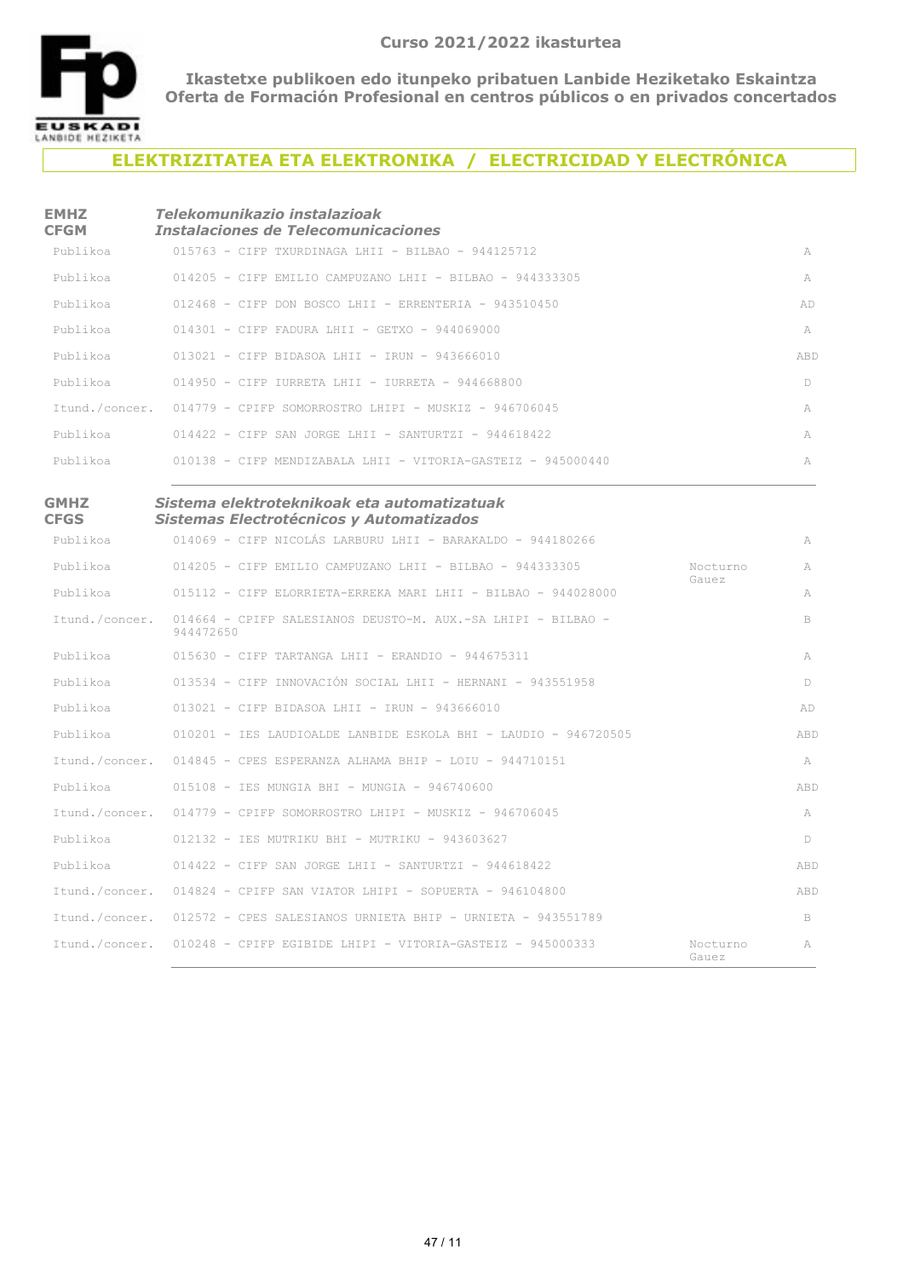

### **ELEKTRIZITATEA ETA ELEKTRONIKA / ELECTRICIDAD Y ELECTRÓNICA**

#### **EMHZ CFGM** *Telekomunikazio instalazioak Instalaciones de Telecomunicaciones*

| Publikoa | $015763$ - CIFP TXURDINAGA LHII - BILBAO - 944125712                 | A   |
|----------|----------------------------------------------------------------------|-----|
| Publikoa | 014205 - CIEP EMILIO CAMPUZANO LHII - BILBAO - 944333305             | A   |
| Publikoa | $012468$ - CIFP DON BOSCO LHII - ERRENTERIA - 943510450              | AD  |
| Publikoa | $014301 - C$ TFP FADURA LHIT - GETXO - 944069000                     | A   |
| Publikoa | $013021 - C$ TFP BIDASOA LHII - TRUN - 943666010                     | ABD |
| Publikoa | $014950$ - CIFP IURRETA LHII - IURRETA - 944668800                   | D   |
|          | Itund./concer. 014779 - CPIFP SOMORROSTRO LHIPI - MUSKIZ - 946706045 | A   |
| Publikoa | $014422$ - CIFP SAN JORGE LHIT - SANTURTZI - 944618422               | A   |
| Publikoa | $010138$ - CIFP MENDIZABALA LHII - VITORIA-GASTEIZ - 945000440       | A   |
|          |                                                                      |     |

| <b>GMHZ</b><br><b>CFGS</b> | Sistema elektroteknikoak eta automatizatuak<br>Sistemas Electrotécnicos y Automatizados |                   |              |
|----------------------------|-----------------------------------------------------------------------------------------|-------------------|--------------|
| Publikoa                   | 014069 - CIFP NICOLÁS LARBURU LHII - BARAKALDO - 944180266                              |                   | A            |
| Publikoa                   | 014205 - CIFP EMILIO CAMPUZANO LHII - BILBAO - 944333305                                | Nocturno<br>Gauez | $\mathbb{A}$ |
| Publikoa                   | 015112 - CIFP ELORRIETA-ERREKA MARI LHII - BILBAO - 944028000                           |                   | A            |
| Itund./concer.             | 014664 - CPIFP SALESIANOS DEUSTO-M. AUX.-SA LHIPI - BILBAO -<br>944472650               |                   | B            |
| Publikoa                   | $015630$ - CIFP TARTANGA LHII - ERANDIO - 944675311                                     |                   | A            |
| Publikoa                   | 013534 - CIFP INNOVACIÓN SOCIAL LHII - HERNANI - 943551958                              |                   | D            |
| Publikoa                   | $013021$ - CIFP BIDASOA LHII - IRUN - 943666010                                         |                   | AD           |
| Publikoa                   | 010201 - IES LAUDIOALDE LANBIDE ESKOLA BHI - LAUDIO - 946720505                         |                   | ABD          |
| Itund./concer.             | $014845$ - CPES ESPERANZA ALHAMA BHIP - LOIU - 944710151                                |                   | A            |
| Publikoa                   | $015108$ - TES MUNGTA BHT - MUNGTA - 946740600                                          |                   | ABD          |
| Itund./concer.             | $014779$ - CPTFP SOMORROSTRO LHIPT - MUSKIZ - 946706045                                 |                   | A            |
| Publikoa                   | $012132 -$ TES MUTRIKU BHI - MUTRIKU - 943603627                                        |                   | D            |
| Publikoa                   | $014422$ - CIFP SAN JORGE LHII - SANTURTZI - 944618422                                  |                   | ABD          |
|                            | Itund./concer. 014824 - CPIFP SAN VIATOR LHIPI - SOPUERTA - 946104800                   |                   | ABD          |
|                            | Itund./concer. 012572 - CPES SALESIANOS URNIETA BHIP - URNIETA - 943551789              |                   | B            |
|                            | Itund./concer. 010248 - CPIFP EGIBIDE LHIPI - VITORIA-GASTEIZ - 945000333               | Nocturno<br>Gauez | A            |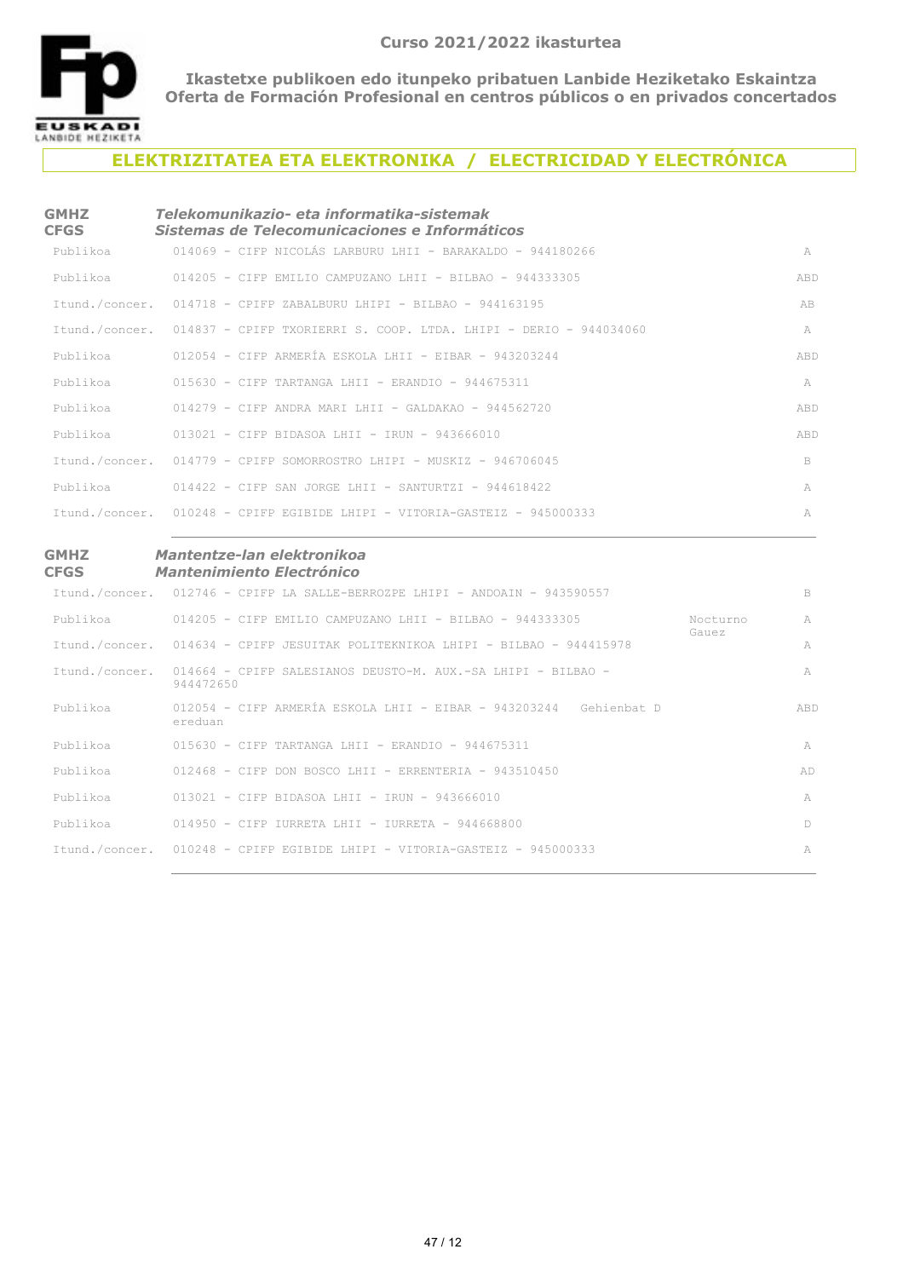

### **ELEKTRIZITATEA ETA ELEKTRONIKA / ELECTRICIDAD Y ELECTRÓNICA**

| <b>GMHZ</b><br><b>CFGS</b> | Telekomunikazio- eta informatika-sistemak<br>Sistemas de Telecomunicaciones e Informáticos |                     |
|----------------------------|--------------------------------------------------------------------------------------------|---------------------|
| Publikoa                   | 014069 - CIFP NICOLÁS LARBURU LHII - BARAKALDO - 944180266                                 | A                   |
| Publikoa                   | 014205 - CIEP EMILIO CAMPUZANO LHII - BILBAO - 944333305                                   | ABD                 |
|                            | Ttund./concer. 014718 - CPTFP ZABALBURU LHIPT - BILBAO - 944163195                         | AB                  |
|                            | Itund./concer. 014837 - CPIFP TXORIERRI S. COOP. LTDA. LHIPI - DERIO - 944034060           | $\mathbb{A}$        |
| Publikoa                   | $012054$ - CIFP ARMERÍA ESKOLA LHII - EIBAR - 943203244                                    | ABD                 |
|                            | Publikoa 6015630 - CIFP TARTANGA LHII - ERANDIO - 944675311                                | A                   |
| Publikoa                   | 014279 - ctfp andra mart ihtt - gaidakao - 944562720                                       | ABD                 |
| Publikoa                   | 013021 - CIFP BIDASOA LHII - IRUN - 943666010                                              | ABD                 |
|                            | Ttund./concer. 014779 - CPTFP SOMORROSTRO LHTPT - MUSKIZ - 946706045                       | B                   |
| Publikoa                   | $014422 - C$ TFP SAN JORGE LHIT - SANTURTZI - 944618422                                    | A                   |
|                            | Itund./concer. 010248 - CPIFP EGIBIDE LHIPI - VITORIA-GASTEIZ - 945000333                  | $\overline{\wedge}$ |
|                            |                                                                                            |                     |

#### **GMHZ CFGS**

#### *Mantentze-lan elektronikoa Mantenimiento Electrónico*

|                | Itund./concer. 012746 - CPIFP LA SALLE-BERROZPE LHIPI - ANDOAIN - 943590557      |                   | B      |
|----------------|----------------------------------------------------------------------------------|-------------------|--------|
| Publikoa       | $014205$ - CIFP EMILIO CAMPUZANO LHII - BILBAO - 944333305                       | Nocturno<br>Gauez | A      |
|                | Itund./concer. 014634 - CPIFP JESUITAK POLITEKNIKOA LHIPI - BILBAO - 944415978   |                   | A      |
| Itund./concer. | 014664 - CPIFP SALESIANOS DEUSTO-M. AUX.-SA LHIPI - BILBAO -<br>944472650        |                   | A      |
| Publikoa       | $012054$ - CIFP ARMERÍA ESKOLA LHII - EIBAR - 943203244 - Gehienbat D<br>ereduan |                   | ABD    |
| Publikoa       | $015630 - C$ TFP TARTANGA LHII - ERANDIO - 944675311                             |                   | A      |
| Publikoa       | $012468$ - CIFP DON BOSCO LHII - ERRENTERIA - 943510450                          |                   | AD     |
| Publikoa       | $013021 - C$ TFP BIDASOA LHII - IRUN - 943666010                                 |                   | A      |
| Publikoa       | $014950 - C$ FFP TURRETA LHIT - TURRETA - 944668800                              |                   | $\Box$ |
|                | Itund./concer. 010248 - CPIFP EGIBIDE LHIPI - VITORIA-GASTEIZ - 945000333        |                   | A      |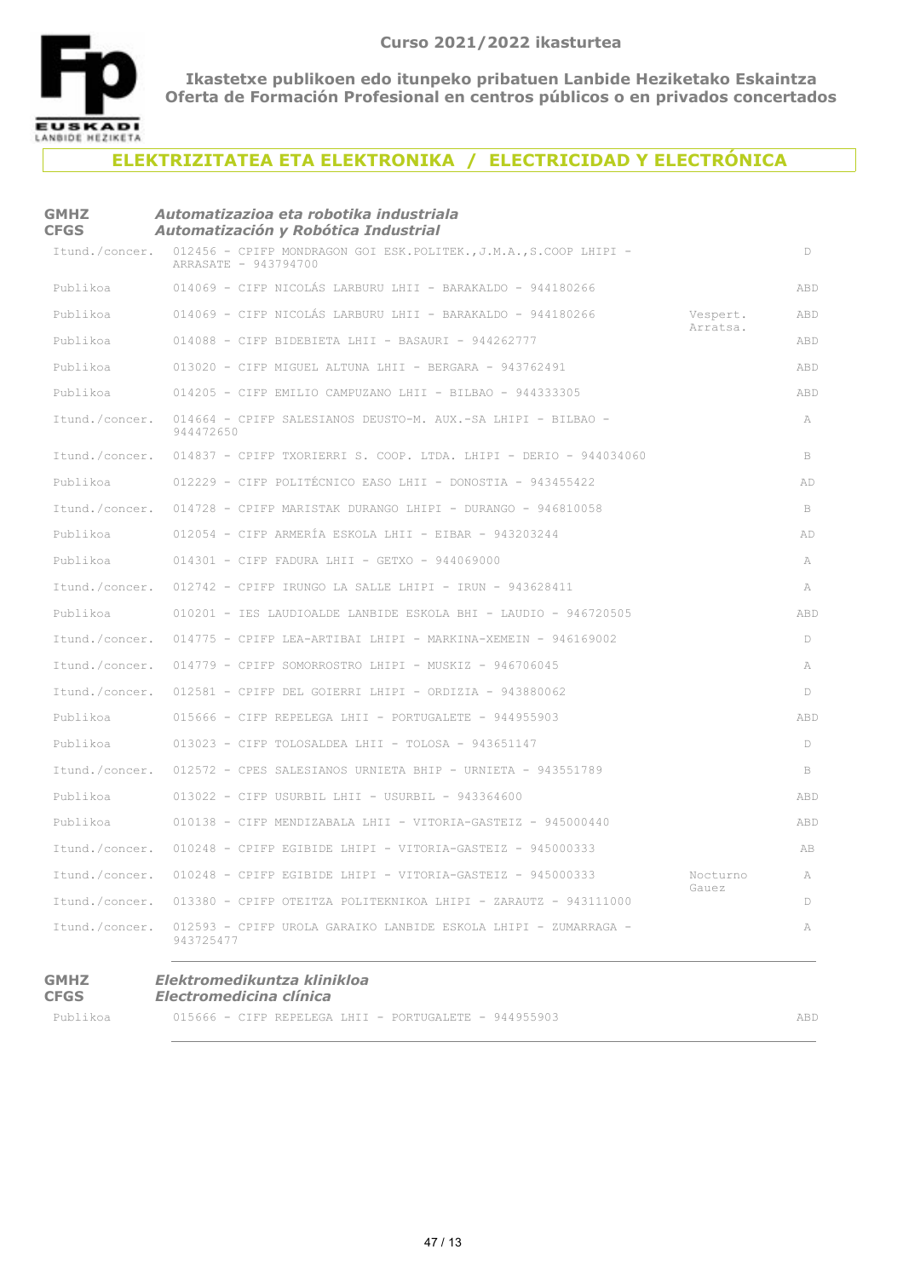

### **ELEKTRIZITATEA ETA ELEKTRONIKA / ELECTRICIDAD Y ELECTRÓNICA**

| <b>GMHZ</b><br><b>CFGS</b> | Automatizazioa eta robotika industriala<br>Automatización y Robótica Industrial           |                   |        |
|----------------------------|-------------------------------------------------------------------------------------------|-------------------|--------|
| Itund./concer.             | 012456 - CPIFP MONDRAGON GOI ESK.POLITEK., J.M.A., S.COOP LHIPI -<br>ARRASATE - 943794700 |                   | D      |
| Publikoa                   | 014069 - CIFP NICOLÁS LARBURU LHII - BARAKALDO - 944180266                                |                   | ABD    |
| Publikoa                   | 014069 - CIFP NICOLÁS LARBURU LHII - BARAKALDO - 944180266                                | Vespert.          | ABD    |
| Publikoa                   | $014088$ - CIFP BIDEBIETA LHII - BASAURI - 944262777                                      | Arratsa.          | ABD    |
| Publikoa                   | 013020 - CIFP MIGUEL ALTUNA LHII - BERGARA - 943762491                                    |                   | ABD    |
| Publikoa                   | 014205 - CIFP EMILIO CAMPUZANO LHII - BILBAO - 944333305                                  |                   | ABD    |
| Itund./concer.             | 014664 - CPIFP SALESIANOS DEUSTO-M. AUX.-SA LHIPI - BILBAO -<br>944472650                 |                   | A      |
| Itund./concer.             | 014837 - CPIFP TXORIERRI S. COOP. LTDA. LHIPI - DERIO - 944034060                         |                   | B      |
| Publikoa                   | 012229 - CIFP POLITÉCNICO EASO LHII - DONOSTIA - 943455422                                |                   | AD     |
| Itund./concer.             | 014728 - CPIFP MARISTAK DURANGO LHIPI - DURANGO - 946810058                               |                   | B      |
| Publikoa                   | $012054$ - CIFP ARMERÍA ESKOLA LHII - EIBAR - 943203244                                   |                   | AD     |
| Publikoa                   | $014301$ - CIFP FADURA LHII - GETXO - 944069000                                           |                   | A      |
| Itund./concer.             | 012742 - CPIFP IRUNGO LA SALLE LHIPI - IRUN - 943628411                                   |                   | A      |
| Publikoa                   | 010201 - IES LAUDIOALDE LANBIDE ESKOLA BHI - LAUDIO - 946720505                           |                   | ABD    |
| Itund./concer.             | $014775$ - CPIFP LEA-ARTIBAI LHIPI - MARKINA-XEMEIN - 946169002                           |                   | Ð      |
| Itund./concer.             | $014779$ - CPIFP SOMORROSTRO LHIPI - MUSKIZ - 946706045                                   |                   | А      |
| Itund./concer.             | 012581 - CPIFP DEL GOIERRI LHIPI - ORDIZIA - 943880062                                    |                   | Ð      |
| Publikoa                   | 015666 - CIFP REPELEGA LHII - PORTUGALETE - 944955903                                     |                   | ABD    |
| Publikoa                   | $013023$ - CIFP TOLOSALDEA LHII - TOLOSA - 943651147                                      |                   | D      |
| Itund./concer.             | 012572 - CPES SALESIANOS URNIETA BHIP - URNIETA - 943551789                               |                   | B      |
| Publikoa                   | $013022$ - CIFP USURBIL LHII - USURBIL - 943364600                                        |                   | ABD    |
| Publikoa                   | 010138 - CIFP MENDIZABALA LHII - VITORIA-GASTEIZ - 945000440                              |                   | ABD    |
| Itund./concer.             | 010248 - CPIFP EGIBIDE LHIPI - VITORIA-GASTEIZ - 945000333                                |                   | AB     |
| Itund./concer.             | $010248$ - CPIFP EGIBIDE LHIPI - VITORIA-GASTEIZ - 945000333                              | Nocturno<br>Gauez | A      |
| Itund./concer.             | 013380 - CPIFP OTEITZA POLITEKNIKOA LHIPI - ZARAUTZ - 943111000                           |                   | $\Box$ |
| Itund./concer.             | 012593 - CPIFP UROLA GARAIKO LANBIDE ESKOLA LHIPI - ZUMARRAGA -<br>943725477              |                   | A      |
| <b>GMHZ</b><br><b>CFGS</b> | Elektromedikuntza klinikloa<br>Electromedicina clínica                                    |                   |        |

Publikoa  $015666$  - CIFP REPELEGA LHII - PORTUGALETE - 944955903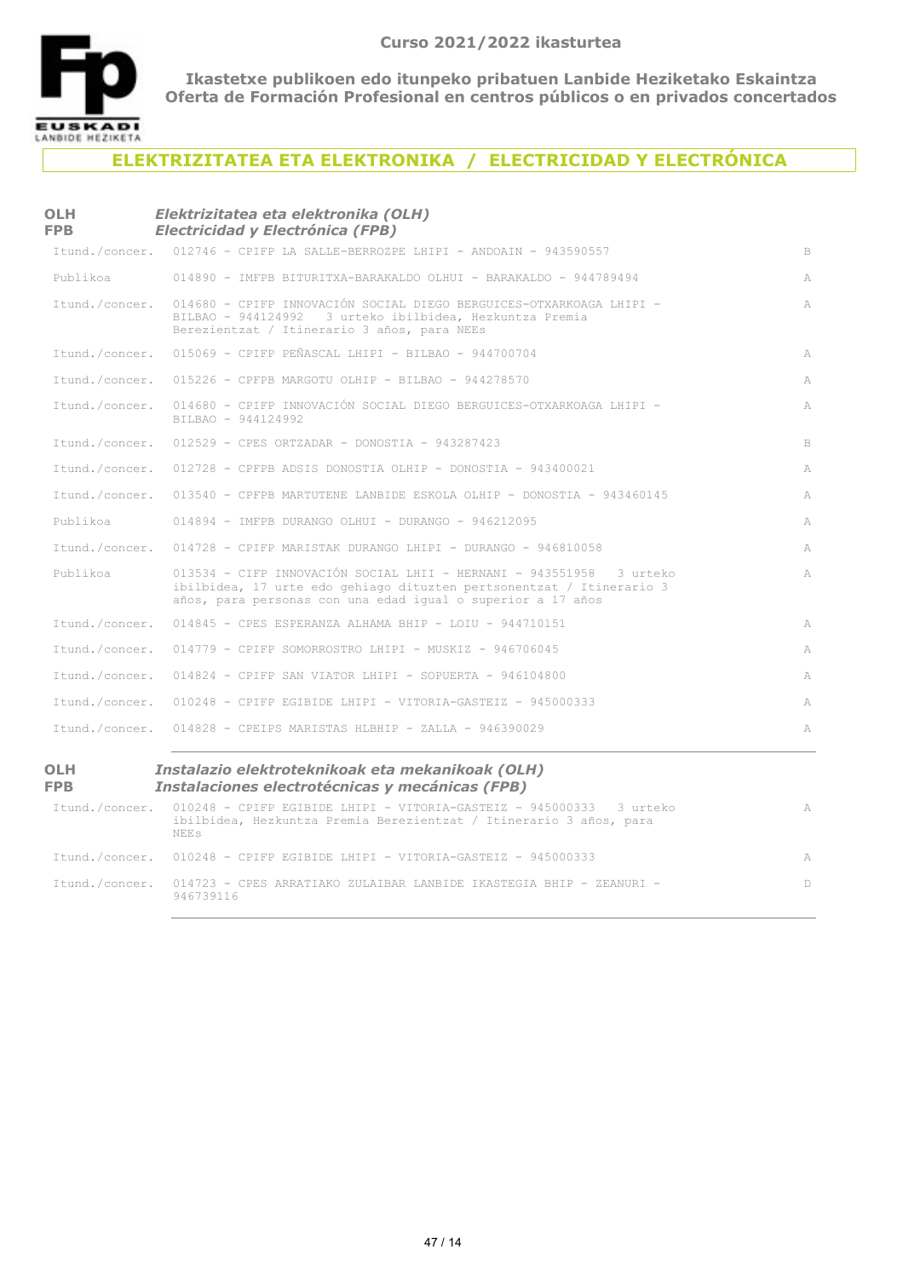

**OLH** 

**Ikastetxe publikoen edo itunpeko pribatuen Lanbide Heziketako Eskaintza Oferta de Formación Profesional en centros públicos o en privados concertados**

## **ELEKTRIZITATEA ETA ELEKTRONIKA / ELECTRICIDAD Y ELECTRÓNICA**

#### *Elektrizitatea eta elektronika (OLH) Electricidad y Electrónica (FPB)*

| <b>FPB</b>        | <b>Electricidad y Electrónica (FPB)</b>                                                                                                                                                                    |   |
|-------------------|------------------------------------------------------------------------------------------------------------------------------------------------------------------------------------------------------------|---|
| Itund./concer.    | 012746 - CPIFP LA SALLE-BERROZPE LHIPI - ANDOAIN - 943590557                                                                                                                                               | B |
| Publikoa          | 014890 - IMFPB BITURITXA-BARAKALDO OLHUI - BARAKALDO - 944789494                                                                                                                                           | A |
| Itund./concer.    | 014680 - CPIFP INNOVACIÓN SOCIAL DIEGO BERGUICES-OTXARKOAGA LHIPI -<br>BILBAO - 944124992 3 urteko ibilbidea, Hezkuntza Premia<br>Berezientzat / Itinerario 3 años, para NEEs                              | A |
| Itund./concer.    | $015069$ - CPIFP PEÑASCAL LHIPI - BILBAO - 944700704                                                                                                                                                       | A |
| Itund./concer.    | 015226 - CPFPB MARGOTU OLHIP - BILBAO - 944278570                                                                                                                                                          | A |
| Itund./concer.    | 014680 - CPIFP INNOVACIÓN SOCIAL DIEGO BERGUICES-OTXARKOAGA LHIPI -<br>BILBAO - 944124992                                                                                                                  | A |
| Itund./concer.    | $012529$ - CPES ORTZADAR - DONOSTIA - 943287423                                                                                                                                                            | B |
| Itund./concer.    | $012728$ - CPFPB ADSIS DONOSTIA OLHIP - DONOSTIA - 943400021                                                                                                                                               | A |
| Itund./concer.    | 013540 - CPFPB MARTUTENE LANBIDE ESKOLA OLHIP - DONOSTIA - 943460145                                                                                                                                       | A |
| Publikoa          | 014894 - IMFPB DURANGO OLHUI - DURANGO - 946212095                                                                                                                                                         | A |
| Itund./concer.    | 014728 - CPIFP MARISTAK DURANGO LHIPI - DURANGO - 946810058                                                                                                                                                | A |
| Publikoa          | 013534 - CIFP INNOVACIÓN SOCIAL LHII - HERNANI - 943551958 3 urteko<br>ibilbidea, 17 urte edo gehiago dituzten pertsonentzat / Itinerario 3<br>años, para personas con una edad igual o superior a 17 años | A |
| Itund./concer.    | $014845$ - CPES ESPERANZA ALHAMA BHIP - LOIU - 944710151                                                                                                                                                   | A |
| Itund./concer.    | $014779$ - CPIFP SOMORROSTRO LHIPI - MUSKIZ - 946706045                                                                                                                                                    | A |
| Itund./concer.    | $014824$ - CPIFP SAN VIATOR LHIPI - SOPUERTA - 946104800                                                                                                                                                   | A |
| Itund./concer.    | $010248$ - CPIFP EGIBIDE LHIPI - VITORIA-GASTEIZ - 945000333                                                                                                                                               | A |
|                   | Itund./concer. 014828 - CPEIPS MARISTAS HLBHIP - ZALLA - 946390029                                                                                                                                         | A |
| OLH<br><b>FPB</b> | Instalazio elektroteknikoak eta mekanikoak (OLH)<br>Instalaciones electrotécnicas y mecánicas (FPB)                                                                                                        |   |
| Itund./concer.    | 010248 - CPIFP EGIBIDE LHIPI - VITORIA-GASTEIZ - 945000333 3 urteko<br>ibilbidea, Hezkuntza Premia Berezientzat / Itinerario 3 años, para<br><b>NEES</b>                                                   | A |

| <b>NEES</b>                                                                                     |  |
|-------------------------------------------------------------------------------------------------|--|
| Itund./concer. 010248 - CPIFP EGIBIDE LHIPI - VITORIA-GASTEIZ - 945000333                       |  |
| Itund./concer. 014723 - CPES ARRATIAKO ZULAIBAR LANBIDE IKASTEGIA BHIP - ZEANURI -<br>946739116 |  |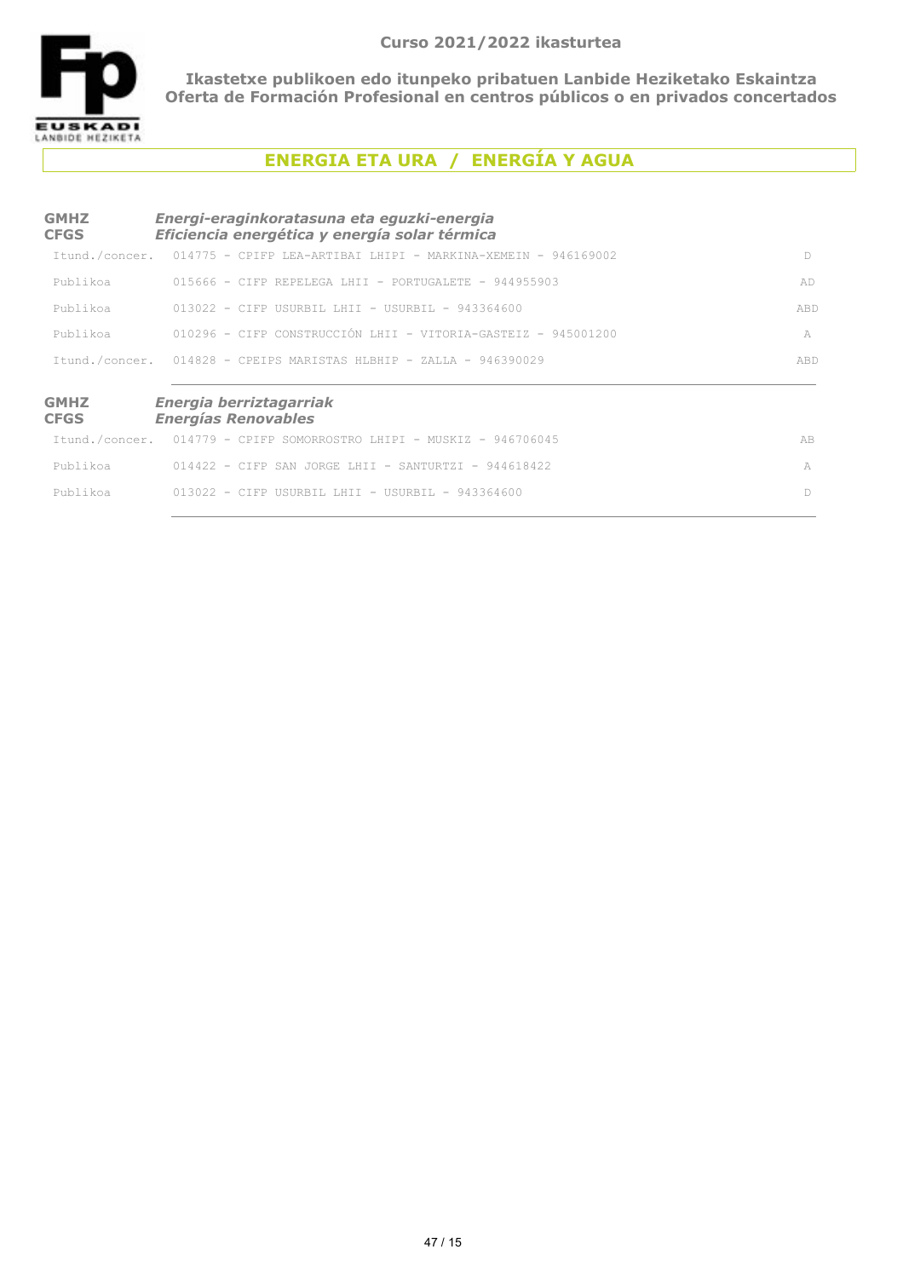

# **ENERGIA ETA URA / ENERGÍA Y AGUA**

| <b>GMHZ</b><br><b>CFGS</b> | Energi-eraginkoratasuna eta eguzki-energia<br>Eficiencia energética y energía solar térmica |     |
|----------------------------|---------------------------------------------------------------------------------------------|-----|
| Itund./concer.             | $014775$ - CPIFP LEA-ARTIBAI LHIPI - MARKINA-XEMEIN - 946169002                             | D.  |
| Publikoa                   | $015666$ - CIFP REPELEGA LHII - PORTUGALETE - 944955903                                     | AD  |
| Publikoa                   | $013022 - C$ TFP USURBIL LHIT - USURBIL - 943364600                                         | ABD |
| Publikoa                   | 010296 - CIFP CONSTRUCCIÓN LHII - VITORIA-GASTEIZ - 945001200                               | A   |
|                            | Itund./concer. 014828 - CPEIPS MARISTAS HLBHIP - ZALLA - 946390029                          | ABD |
| <b>GMHZ</b><br><b>CFGS</b> | Energia berriztagarriak<br><b>Energías Renovables</b>                                       |     |
|                            | Itund./concer. 014779 - CPIFP SOMORROSTRO LHIPI - MUSKIZ - 946706045                        | AB  |
| Publikoa                   | $014422 - C$ TFP SAN JORGE LHIT - SANTURTZI - 944618422                                     | A   |
| Publikoa                   | $013022 - C$ TFP USURBIL LHIT - USURBIL - 943364600                                         | D   |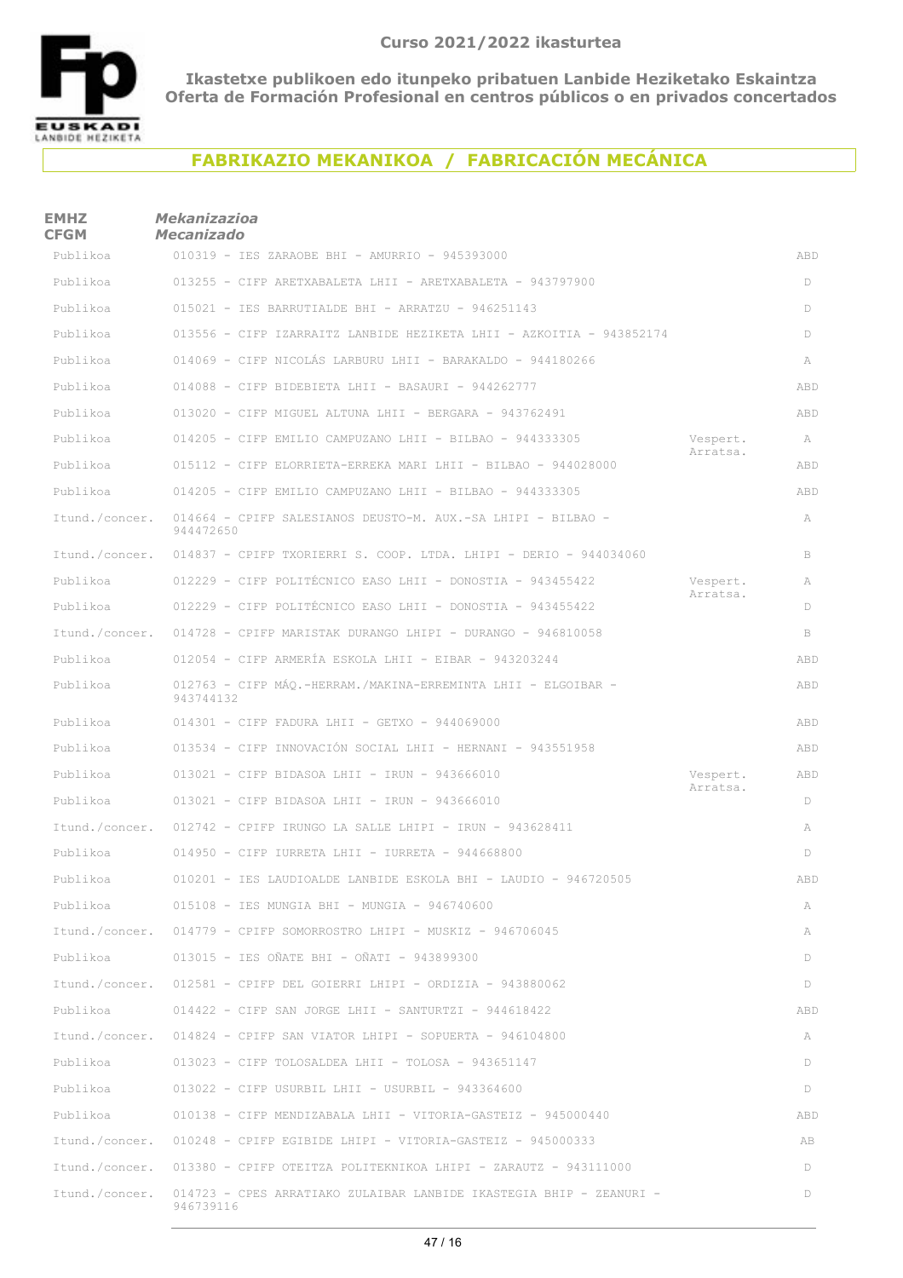

# **FABRIKAZIO MEKANIKOA / FABRICACIÓN MECÁNICA**

| <b>EMHZ</b><br><b>CFGM</b> | <b>Mekanizazioa</b><br><b>Mecanizado</b>                                         |                      |     |
|----------------------------|----------------------------------------------------------------------------------|----------------------|-----|
| Publikoa                   | 010319 - IES ZARAOBE BHI - AMURRIO - 945393000                                   |                      | ABD |
| Publikoa                   | 013255 - CIFP ARETXABALETA LHII - ARETXABALETA - 943797900                       |                      | D   |
| Publikoa                   | $015021$ - IES BARRUTIALDE BHI - ARRATZU - 946251143                             |                      | D   |
| Publikoa                   | 013556 - CIFP IZARRAITZ LANBIDE HEZIKETA LHII - AZKOITIA - 943852174             |                      | D   |
| Publikoa                   | 014069 - CIFP NICOLÁS LARBURU LHII - BARAKALDO - 944180266                       |                      | A   |
| Publikoa                   | $014088$ - CIFP BIDEBIETA LHII - BASAURI - 944262777                             |                      | ABD |
| Publikoa                   | 013020 - CIFP MIGUEL ALTUNA LHII - BERGARA - 943762491                           |                      | ABD |
| Publikoa                   | 014205 - CIFP EMILIO CAMPUZANO LHII - BILBAO - 944333305                         | Vespert.             | A   |
| Publikoa                   | 015112 - CIFP ELORRIETA-ERREKA MARI LHII - BILBAO - 944028000                    | Arratsa.             | ABD |
| Publikoa                   | 014205 - CIFP EMILIO CAMPUZANO LHII - BILBAO - 944333305                         |                      | ABD |
| Itund./concer.             | 014664 - CPIFP SALESIANOS DEUSTO-M. AUX.-SA LHIPI - BILBAO -<br>944472650        |                      | A   |
| Itund./concer.             | $014837$ - CPIFP TXORIERRI S. COOP. LTDA. LHIPI - DERIO - 944034060              |                      | B   |
| Publikoa                   | 012229 - CIFP POLITÉCNICO EASO LHII - DONOSTIA - 943455422                       | Vespert.<br>Arratsa. | A   |
| Publikoa                   | 012229 - CIFP POLITÉCNICO EASO LHII - DONOSTIA - 943455422                       |                      | D   |
| Itund./concer.             | $014728$ - CPIFP MARISTAK DURANGO LHIPI - DURANGO - 946810058                    |                      | B   |
| Publikoa                   | $012054$ - CIFP ARMERÍA ESKOLA LHII - EIBAR - 943203244                          |                      | ABD |
| Publikoa                   | 012763 - CIFP MÁQ.-HERRAM./MAKINA-ERREMINTA LHII - ELGOIBAR -<br>943744132       |                      | ABD |
| Publikoa                   | $014301$ - CIFP FADURA LHII - GETXO - 944069000                                  |                      | ABD |
| Publikoa                   | 013534 - CIFP INNOVACIÓN SOCIAL LHII - HERNANI - 943551958                       |                      | ABD |
| Publikoa                   | $013021$ - CIFP BIDASOA LHII - IRUN - 943666010                                  | Vespert.<br>Arratsa. | ABD |
| Publikoa                   | $013021$ - CIFP BIDASOA LHII - IRUN - 943666010                                  |                      | D   |
| Itund./concer.             | $012742$ - CPIFP IRUNGO LA SALLE LHIPI - IRUN - 943628411                        |                      | A   |
| Publikoa                   | $014950$ - CIFP IURRETA LHII - IURRETA - 944668800                               |                      | D   |
| Publikoa                   | 010201 - IES LAUDIOALDE LANBIDE ESKOLA BHI - LAUDIO - 946720505                  |                      | ABD |
| Publikoa                   | $015108$ - IES MUNGIA BHI - MUNGIA - 946740600                                   |                      | A   |
| Itund./concer.             | $014779$ - CPIFP SOMORROSTRO LHIPI - MUSKIZ - 946706045                          |                      | A   |
| Publikoa                   | 013015 - IES OÑATE BHI - OÑATI - 943899300                                       |                      | D   |
| Itund./concer.             | $012581$ - CPIFP DEL GOIERRI LHIPI - ORDIZIA - 943880062                         |                      | D   |
| Publikoa                   | $014422$ - CIFP SAN JORGE LHII - SANTURTZI - 944618422                           |                      | ABD |
| Itund./concer.             | $014824$ - CPIFP SAN VIATOR LHIPI - SOPUERTA - 946104800                         |                      | A   |
| Publikoa                   | $013023$ - CIFP TOLOSALDEA LHII - TOLOSA - 943651147                             |                      | D   |
| Publikoa                   | $013022$ - CIFP USURBIL LHII - USURBIL - 943364600                               |                      | D   |
| Publikoa                   | 010138 - CIFP MENDIZABALA LHII - VITORIA-GASTEIZ - 945000440                     |                      | ABD |
| Itund./concer.             | $010248$ - CPIFP EGIBIDE LHIPI - VITORIA-GASTEIZ - 945000333                     |                      | AB  |
| Itund./concer.             | $013380$ - CPIFP OTEITZA POLITEKNIKOA LHIPI - ZARAUTZ - 943111000                |                      | D   |
| Itund./concer.             | 014723 - CPES ARRATIAKO ZULAIBAR LANBIDE IKASTEGIA BHIP - ZEANURI -<br>946739116 |                      | D   |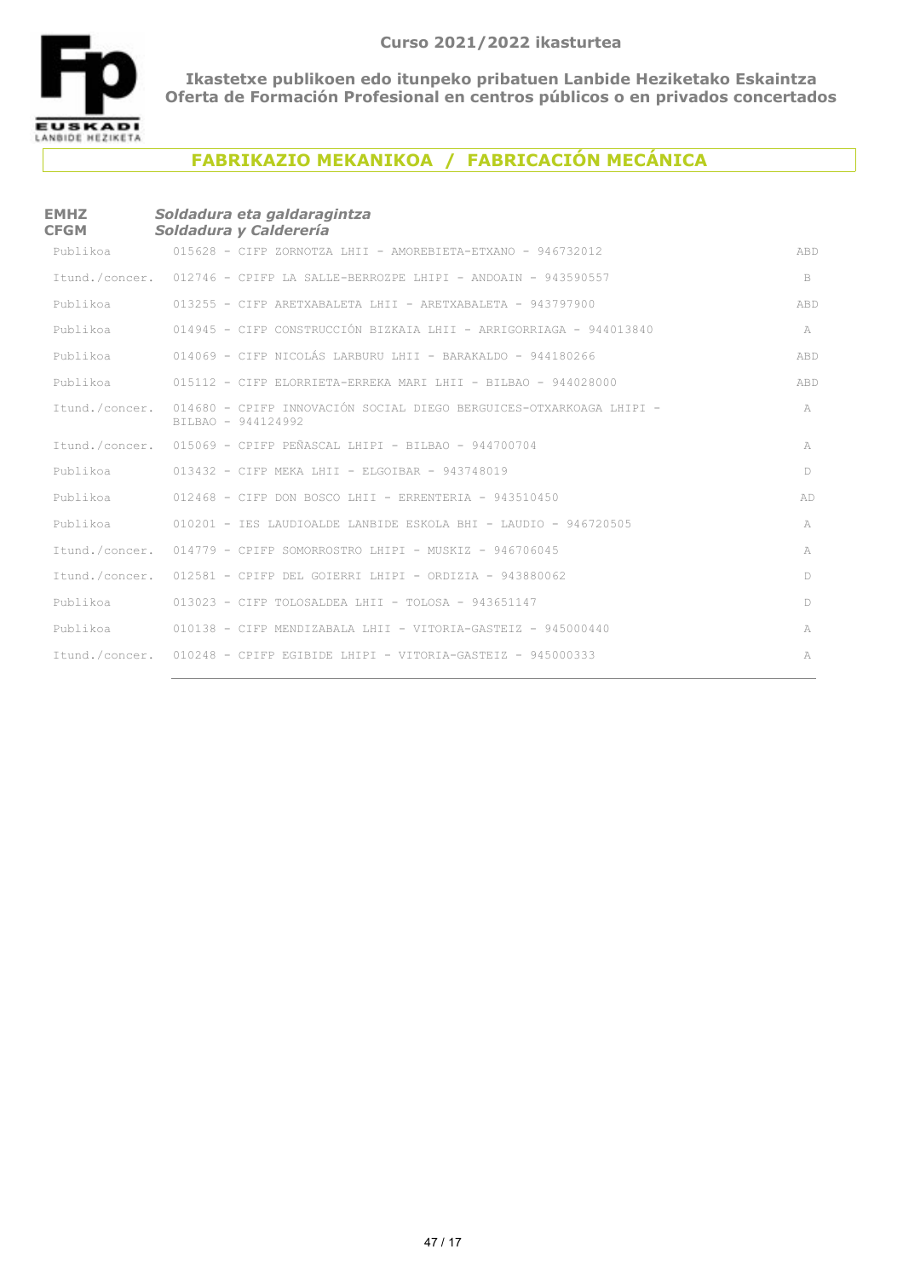

## **FABRIKAZIO MEKANIKOA / FABRICACIÓN MECÁNICA**

#### **EMHZ CFGM** *Soldadura eta galdaragintza Soldadura y Calderería*

| Publikoa       | $015628$ - CIFP ZORNOTZA LHII - AMOREBIETA-ETXANO - 946732012                             | ABD    |
|----------------|-------------------------------------------------------------------------------------------|--------|
|                | Itund./concer. 012746 - CPIFP LA SALLE-BERROZPE LHIPI - ANDOAIN - 943590557               | B      |
|                | Publikoa 613255 - CIFP ARETXABALETA LHII - ARETXABALETA - 943797900                       | ABD    |
| Publikoa       | 014945 - CIFP CONSTRUCCIÓN BIZKAIA LHII - ARRIGORRIAGA - 944013840                        | A      |
| Publikoa       | 014069 - CIFP NICOLÁS LARBURU LHII - BARAKALDO - 944180266                                | ABD    |
|                | Publikoa 615112 - CIFP ELORRIETA-ERREKA MARI LHII - BILBAO - 944028000                    | ABD    |
| Itund./concer. | 014680 - CPIFP INNOVACIÓN SOCIAL DIEGO BERGUICES-OTXARKOAGA LHIPI -<br>BILBAO - 944124992 | A      |
|                | Itund./concer. 015069 - CPIFP PEÑASCAL LHIPI - BILBAO - 944700704                         | A      |
| Publikoa       | $013432$ - CIFP MEKA LHII - ELGOIBAR - 943748019                                          | D      |
|                | Publikoa 612468 - CIFP DON BOSCO LHII - ERRENTERIA - 943510450                            | AD     |
|                | Publikoa 610201 - IES LAUDIOALDE LANBIDE ESKOLA BHI - LAUDIO - 946720505                  | A      |
|                | Itund./concer. 014779 - CPIFP SOMORROSTRO LHIPI - MUSKIZ - 946706045                      | A      |
|                | Itund./concer. 012581 - CPIFP DEL GOIERRI LHIPI - ORDIZIA - 943880062                     | $\Box$ |
|                | Publikoa 613023 - CIFP TOLOSALDEA LHII - TOLOSA - 943651147                               | D      |
|                | Publikoa 610138 - CIFP MENDIZABALA LHII - VITORIA-GASTEIZ - 945000440                     | A      |
|                | Itund./concer. 010248 - CPIFP EGIBIDE LHIPI - VITORIA-GASTEIZ - 945000333                 | A      |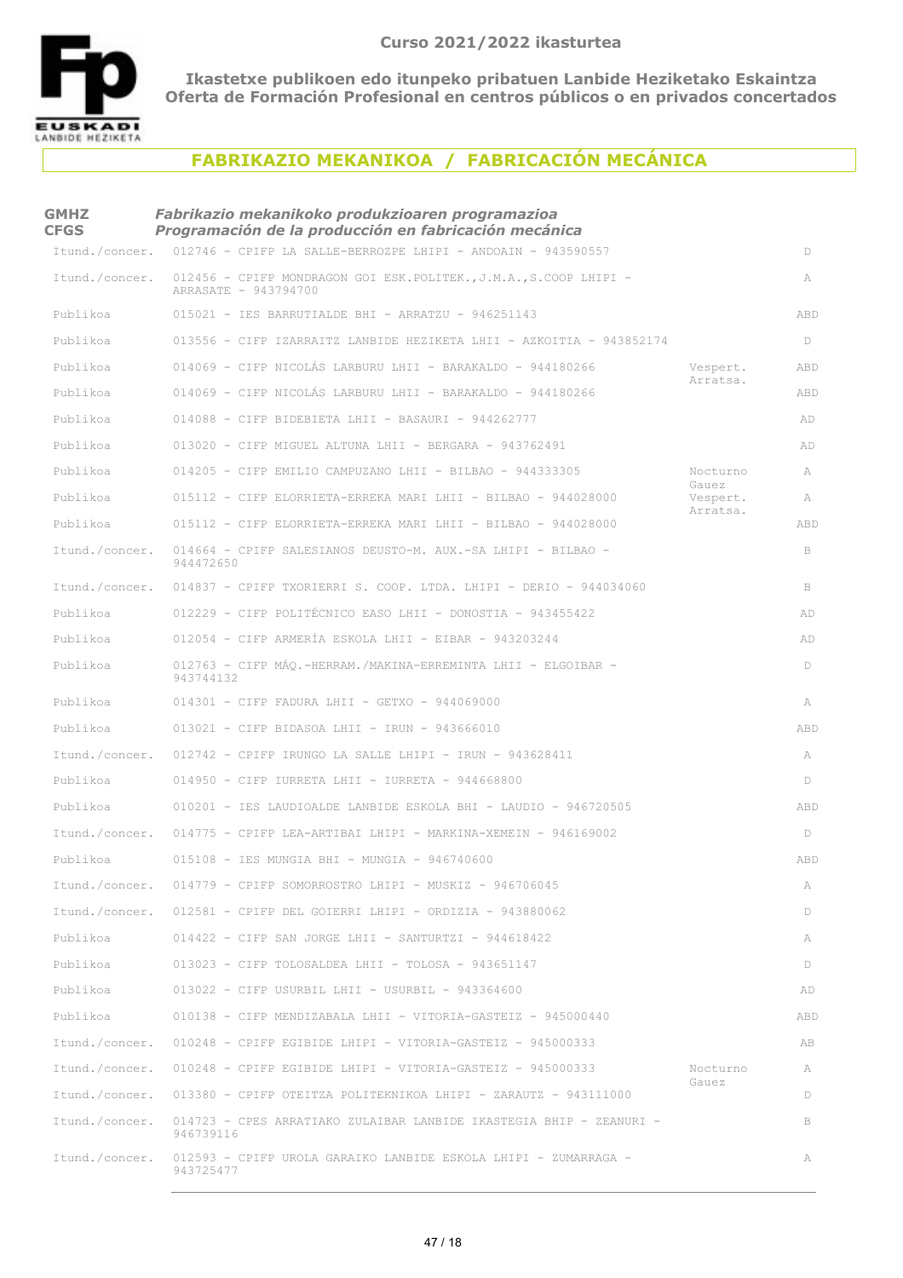

### **FABRIKAZIO MEKANIKOA / FABRICACIÓN MECÁNICA**

| <b>GMHZ</b><br><b>CFGS</b> | Fabrikazio mekanikoko produkzioaren programazioa<br>Programación de la producción en fabricación mecánica |                   |              |
|----------------------------|-----------------------------------------------------------------------------------------------------------|-------------------|--------------|
| Itund./concer.             | 012746 - CPIFP LA SALLE-BERROZPE LHIPI - ANDOAIN - 943590557                                              |                   | D            |
| Itund./concer.             | 012456 - CPIFP MONDRAGON GOI ESK.POLITEK., J.M.A., S.COOP LHIPI -<br>ARRASATE - 943794700                 |                   | A            |
| Publikoa                   | 015021 - IES BARRUTIALDE BHI - ARRATZU - 946251143                                                        |                   | ABD          |
| Publikoa                   | 013556 - CIFP IZARRAITZ LANBIDE HEZIKETA LHII - AZKOITIA - 943852174                                      |                   | D            |
| Publikoa                   | 014069 - CIFP NICOLÁS LARBURU LHII - BARAKALDO - 944180266                                                | Vespert.          | ABD          |
| Publikoa                   | 014069 - CIFP NICOLÁS LARBURU LHII - BARAKALDO - 944180266                                                | Arratsa.          | ABD          |
| Publikoa                   | 014088 - CIFP BIDEBIETA LHII - BASAURI - 944262777                                                        |                   | AD           |
| Publikoa                   | 013020 - CIFP MIGUEL ALTUNA LHII - BERGARA - 943762491                                                    |                   | AD           |
| Publikoa                   | 014205 - CIFP EMILIO CAMPUZANO LHII - BILBAO - 944333305                                                  | Nocturno          | A            |
| Publikoa                   | 015112 - CIFP ELORRIETA-ERREKA MARI LHII - BILBAO - 944028000                                             | Gauez<br>Vespert. | A            |
| Publikoa                   | $015112$ - CIFP ELORRIETA-ERREKA MARI LHII - BILBAO - 944028000                                           | Arratsa.          | ABD          |
| Itund./concer.             | 014664 - CPIFP SALESIANOS DEUSTO-M. AUX.-SA LHIPI - BILBAO -<br>944472650                                 |                   | $\, {\bf B}$ |
| Itund./concer.             | 014837 - CPIFP TXORIERRI S. COOP. LTDA. LHIPI - DERIO - 944034060                                         |                   | B            |
| Publikoa                   | 012229 - CIFP POLITÉCNICO EASO LHII - DONOSTIA - 943455422                                                |                   | AD           |
| Publikoa                   | $012054$ - CIFP ARMERÍA ESKOLA LHII - EIBAR - 943203244                                                   |                   | AD           |
| Publikoa                   | 012763 - CIFP MÁQ.-HERRAM./MAKINA-ERREMINTA LHII - ELGOIBAR -<br>943744132                                |                   | D            |
| Publikoa                   | $014301$ - CIFP FADURA LHII - GETXO - 944069000                                                           |                   | A            |
| Publikoa                   | $013021$ - CIFP BIDASOA LHII - IRUN - 943666010                                                           |                   | ABD          |
| Itund./concer.             | $012742$ - CPIFP IRUNGO LA SALLE LHIPI - IRUN - 943628411                                                 |                   | A            |
| Publikoa                   | $014950$ - CIFP IURRETA LHII - IURRETA - 944668800                                                        |                   | D            |
| Publikoa                   | 010201 - IES LAUDIOALDE LANBIDE ESKOLA BHI - LAUDIO - 946720505                                           |                   | ABD          |
| Itund./concer.             | 014775 - CPIFP LEA-ARTIBAI LHIPI - MARKINA-XEMEIN - 946169002                                             |                   | D            |
| Publikoa                   | 015108 - IES MUNGIA BHI - MUNGIA - 946740600                                                              |                   | ABD          |
|                            | Itund./concer. 014779 - CPIFP SOMORROSTRO LHIPI - MUSKIZ - 946706045                                      |                   | A            |
|                            | Itund./concer. 012581 - CPIFP DEL GOIERRI LHIPI - ORDIZIA - 943880062                                     |                   | D            |
| Publikoa                   | $014422$ - CIFP SAN JORGE LHII - SANTURTZI - 944618422                                                    |                   | A            |
| Publikoa                   | $013023$ - CIFP TOLOSALDEA LHII - TOLOSA - 943651147                                                      |                   | D            |
| Publikoa                   | $013022$ - CIFP USURBIL LHII - USURBIL - 943364600                                                        |                   | AD           |
| Publikoa                   | $010138$ - CIFP MENDIZABALA LHII - VITORIA-GASTEIZ - 945000440                                            |                   | ABD          |
| Itund./concer.             | $010248$ - CPIFP EGIBIDE LHIPI - VITORIA-GASTEIZ - 945000333                                              |                   | AB           |
| Itund./concer.             | $010248$ - CPIFP EGIBIDE LHIPI - VITORIA-GASTEIZ - 945000333                                              | Nocturno          | A            |
|                            | Itund./concer. 013380 - CPIFP OTEITZA POLITEKNIKOA LHIPI - ZARAUTZ - 943111000                            | Gauez             | D            |
| Itund./concer.             | 014723 - CPES ARRATIAKO ZULAIBAR LANBIDE IKASTEGIA BHIP - ZEANURI -<br>946739116                          |                   | B            |
| Itund./concer.             | 012593 - CPIFP UROLA GARAIKO LANBIDE ESKOLA LHIPI - ZUMARRAGA -<br>943725477                              |                   | A            |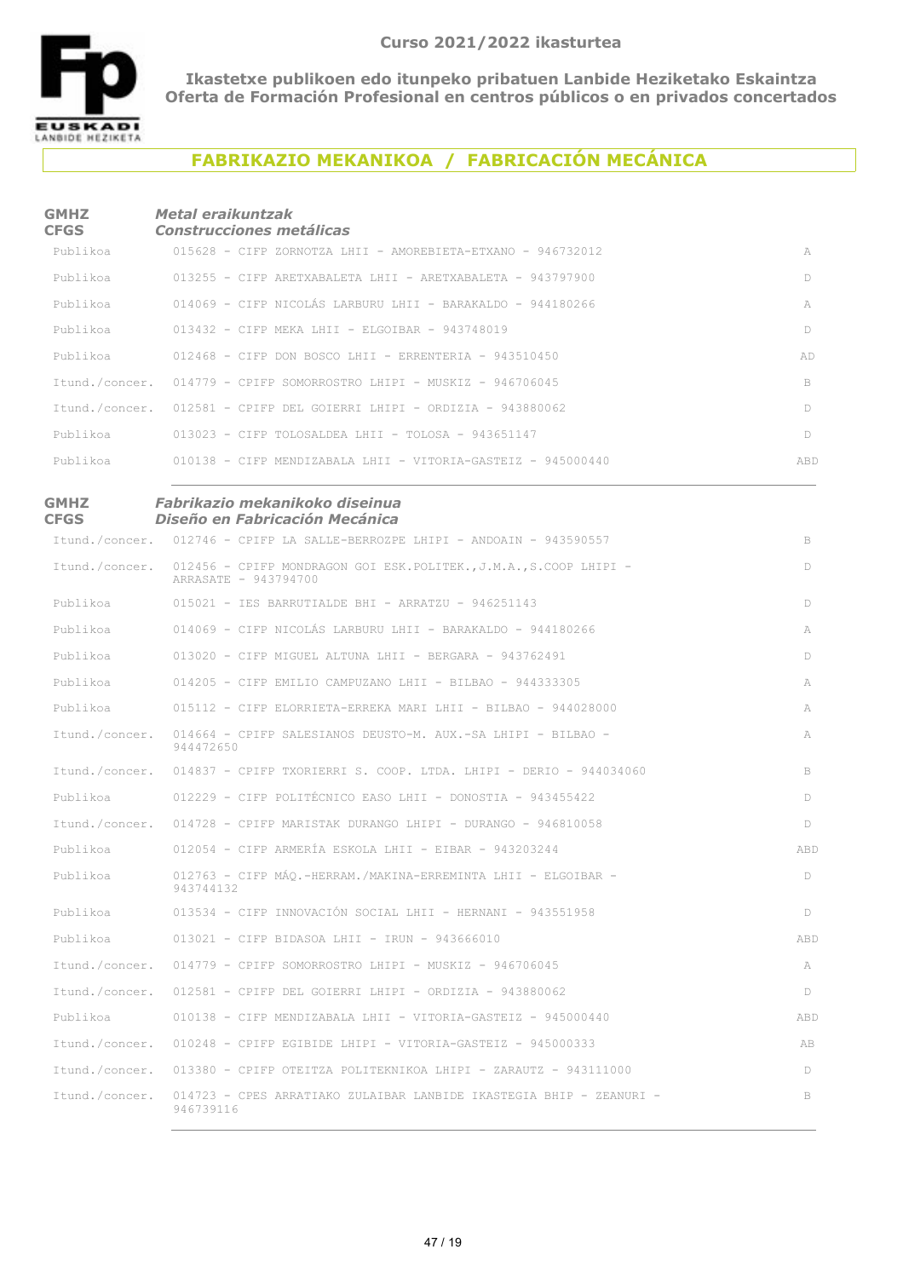

## **FABRIKAZIO MEKANIKOA / FABRICACIÓN MECÁNICA**

#### **GMHZ CFGS** *Metal eraikuntzak Construcciones metálicas*

| Publikoa | $015628$ - CIFP ZORNOTZA LHIT - AMOREBIETA-ETXANO - 946732012         | A   |
|----------|-----------------------------------------------------------------------|-----|
| Publikoa | 013255 - CIFP ARETXABALETA LHII - ARETXABALETA - 943797900            | D   |
| Publikoa | 014069 - CIFP NICOLÁS LARBURU LHII - BARAKALDO - 944180266            | A   |
| Publikoa | 013432 - CIFP MEKA LHII - ELGOIBAR - 943748019                        | D   |
|          | Publikoa $012468$ - CIFP DON BOSCO LHII - ERRENTERIA - 943510450      | AD  |
|          | Itund./concer. 014779 - CPIFP SOMORROSTRO LHIPI - MUSKIZ - 946706045  | B.  |
|          | Ttund./concer. 012581 - CPIFP DEL GOTERRI LHIPI - ORDIZIA - 943880062 | D   |
| Publikoa | 013023 - CIFP TOLOSALDEA LHII - TOLOSA - 943651147                    | D   |
| Publikoa | 010138 – CIFP MENDIZABALA LHII – VITORIA-GASTEIZ – 945000440          | ABD |

#### **GMHZ CFGS** *Fabrikazio mekanikoko diseinua Diseño en Fabricación Mecánica*

|                | Itund./concer. 012746 - CPIFP LA SALLE-BERROZPE LHIPI - ANDOAIN - 943590557               | B   |
|----------------|-------------------------------------------------------------------------------------------|-----|
| Itund./concer. | 012456 - CPIFP MONDRAGON GOI ESK.POLITEK., J.M.A., S.COOP LHIPI -<br>ARRASATE - 943794700 | D   |
| Publikoa       | $015021$ - IES BARRUTIALDE BHI - ARRATZU - 946251143                                      | D   |
| Publikoa       | $014069$ - CIFP NICOLÁS LARBURU LHII - BARAKALDO - 944180266                              | A   |
| Publikoa       | $013020$ - CIFP MIGUEL ALTUNA LHII - BERGARA - 943762491                                  | D   |
| Publikoa       | 014205 - CIFP EMILIO CAMPUZANO LHII - BILBAO - 944333305                                  | A   |
| Publikoa       | 015112 - CIFP ELORRIETA-ERREKA MARI LHII - BILBAO - 944028000                             | A   |
| Itund./concer. | 014664 - CPIFP SALESIANOS DEUSTO-M. AUX.-SA LHIPI - BILBAO -<br>944472650                 | A   |
|                | Itund./concer. 014837 - CPIFP TXORIERRI S. COOP. LTDA. LHIPI - DERIO - 944034060          | B.  |
| Publikoa       | 012229 - CIFP POLITÉCNICO EASO LHII - DONOSTIA - 943455422                                | D   |
|                | Itund./concer. 014728 - CPIFP MARISTAK DURANGO LHIPI - DURANGO - 946810058                | D.  |
| Publikoa       | $012054$ - CIFP ARMERÍA ESKOLA LHII - EIBAR - 943203244                                   | ABD |
| Publikoa       | 012763 - CIFP MÁO.-HERRAM./MAKINA-ERREMINTA LHII - ELGOIBAR -<br>943744132                | D   |
| Publikoa       | 013534 - CIFP INNOVACIÓN SOCIAL LHII - HERNANI - 943551958                                | D   |
| Publikoa       | $013021$ - CIFP BIDASOA LHII - IRUN - 943666010                                           | ABD |
| Itund./concer. | $014779$ - CPIFP SOMORROSTRO LHIPI - MUSKIZ - 946706045                                   | A   |
|                | Itund./concer. 012581 - CPIFP DEL GOIERRI LHIPI - ORDIZIA - 943880062                     | D   |
| Publikoa       | 010138 - CIFP MENDIZABALA LHII - VITORIA-GASTEIZ - 945000440                              | ABD |
| Itund./concer. | $010248$ - CPIFP EGIBIDE LHIPI - VITORIA-GASTEIZ - 945000333                              | AB  |
| Itund./concer. | $013380$ - CPIFP OTEITZA POLITEKNIKOA LHIPI - ZARAUTZ - 943111000                         | D   |
| Itund./concer. | 014723 - CPES ARRATIAKO ZULAIBAR LANBIDE IKASTEGIA BHIP - ZEANURI -<br>946739116          | B   |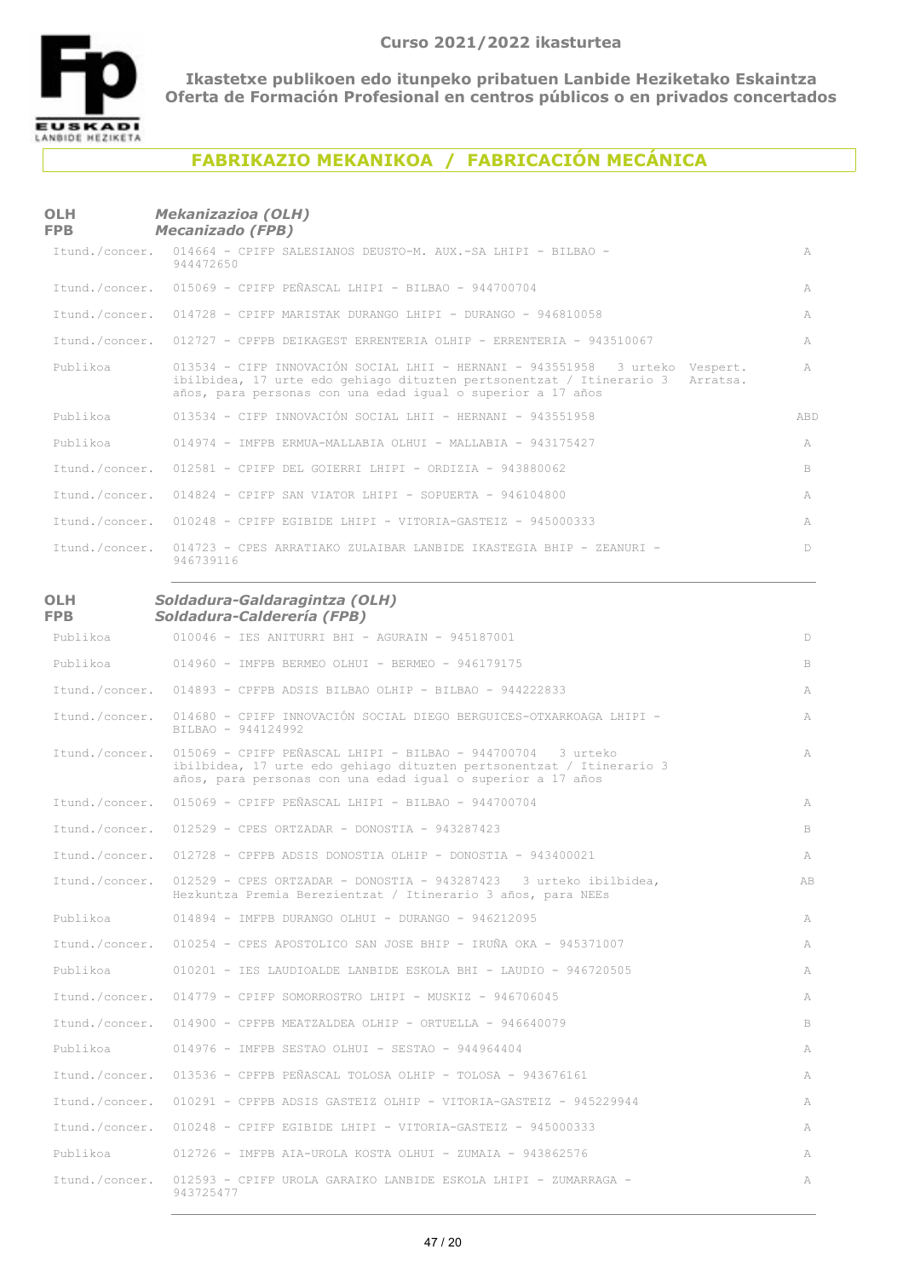

## **FABRIKAZIO MEKANIKOA / FABRICACIÓN MECÁNICA**

#### **OLH FPB** *Mekanizazioa (OLH) Mecanizado (FPB)*

|          | Itund./concer. 014664 - CPIFP SALESIANOS DEUSTO-M. AUX.-SA LHIPI - BILBAO -<br>944472650                                                                                                                                     | A      |
|----------|------------------------------------------------------------------------------------------------------------------------------------------------------------------------------------------------------------------------------|--------|
|          | Itund./concer. 015069 - CPIFP PEÑASCAL LHIPI - BILBAO - 944700704                                                                                                                                                            | A      |
|          | Itund./concer. 014728 - CPIFP MARISTAK DURANGO LHIPI - DURANGO - 946810058                                                                                                                                                   | A      |
|          | Itund./concer. 012727 - CPFPB DEIKAGEST ERRENTERIA OLHIP - ERRENTERIA - 943510067                                                                                                                                            | A      |
| Publikoa | 013534 - CIFP INNOVACIÓN SOCIAL LHII - HERNANI - 943551958 3 urteko Vespert.<br>ibilbidea, 17 urte edo gehiago dituzten pertsonentzat / Itinerario 3 Arratsa.<br>años, para personas con una edad iqual o superior a 17 años | A      |
| Publikoa | 013534 - CIFP INNOVACIÓN SOCIAL LHII - HERNANI - 943551958                                                                                                                                                                   | ABD    |
| Publikoa | 014974 - IMFPB ERMUA-MALLABIA OLHUI - MALLABIA - 943175427                                                                                                                                                                   | A      |
|          | Itund./concer. 012581 - CPIFP DEL GOIERRI LHIPI - ORDIZIA - 943880062                                                                                                                                                        | B.     |
|          | Itund./concer. 014824 - CPIFP SAN VIATOR LHIPI - SOPUERTA - 946104800                                                                                                                                                        | A      |
|          | Itund./concer. 010248 - CPIFP EGIBIDE LHIPI - VITORIA-GASTEIZ - 945000333                                                                                                                                                    | A      |
|          | Itund./concer. 014723 - CPES ARRATIAKO ZULAIBAR LANBIDE IKASTEGIA BHIP - ZEANURI -<br>946739116                                                                                                                              | $\Box$ |

#### **OLH FPB** *Soldadura-Galdaragintza (OLH) Soldadura-Calderería (FPB)*

| Publikoa       | $010046$ - IES ANITURRI BHI - AGURAIN - 945187001                                                                                                                                                  | D  |
|----------------|----------------------------------------------------------------------------------------------------------------------------------------------------------------------------------------------------|----|
| Publikoa       | $014960$ - IMFPB BERMEO OLHUI - BERMEO - 946179175                                                                                                                                                 | B  |
| Itund./concer. | $014893$ - CPFPB ADSIS BILBAO OLHIP - BILBAO - 944222833                                                                                                                                           | A  |
| Itund./concer. | 014680 - CPIFP INNOVACIÓN SOCIAL DIEGO BERGUICES-OTXARKOAGA LHIPI -<br>BILBAO - 944124992                                                                                                          | A  |
| Itund./concer. | 015069 - CPIFP PEÑASCAL LHIPI - BILBAO - 944700704 3 urteko<br>ibilbidea, 17 urte edo gehiago dituzten pertsonentzat / Itinerario 3<br>años, para personas con una edad igual o superior a 17 años | A  |
| Itund./concer. | $015069$ - CPIFP PEÑASCAL LHIPI - BILBAO - 944700704                                                                                                                                               | A  |
| Itund./concer. | $012529$ - CPES ORTZADAR - DONOSTIA - 943287423                                                                                                                                                    | B  |
| Itund./concer. | $012728$ - CPFPB ADSIS DONOSTIA OLHIP - DONOSTIA - 943400021                                                                                                                                       | A  |
| Itund./concer. | 012529 - CPES ORTZADAR - DONOSTIA - 943287423 3 urteko ibilbidea,<br>Hezkuntza Premia Berezientzat / Itinerario 3 años, para NEEs                                                                  | AB |
| Publikoa       | $014894$ - IMFPB DURANGO OLHUI - DURANGO - 946212095                                                                                                                                               | A  |
| Itund./concer. | 010254 - CPES APOSTOLICO SAN JOSE BHIP - IRUÑA OKA - 945371007                                                                                                                                     | A  |
| Publikoa       | 010201 - IES LAUDIOALDE LANBIDE ESKOLA BHI - LAUDIO - 946720505                                                                                                                                    | A  |
| Itund./concer. | $014779$ - CPIFP SOMORROSTRO LHIPI - MUSKIZ - 946706045                                                                                                                                            | A  |
| Itund./concer. | $014900$ - CPFPB MEATZALDEA OLHIP - ORTUELLA - 946640079                                                                                                                                           | B  |
| Publikoa       | $014976$ - IMFPB SESTAO OLHUI - SESTAO - 944964404                                                                                                                                                 | A  |
| Itund./concer. | 013536 - CPFPB PEÑASCAL TOLOSA OLHIP - TOLOSA - 943676161                                                                                                                                          | A  |
| Itund./concer. | 010291 - CPFPB ADSIS GASTEIZ OLHIP - VITORIA-GASTEIZ - 945229944                                                                                                                                   | A  |
| Itund./concer. | $010248$ - CPIFP EGIBIDE LHIPI - VITORIA-GASTEIZ - 945000333                                                                                                                                       | A  |
| Publikoa       | $012726$ - IMFPB AIA-UROLA KOSTA OLHUI - ZUMAIA - 943862576                                                                                                                                        | A  |
| Itund./concer. | 012593 - CPIFP UROLA GARAIKO LANBIDE ESKOLA LHIPI - ZUMARRAGA -<br>943725477                                                                                                                       | A  |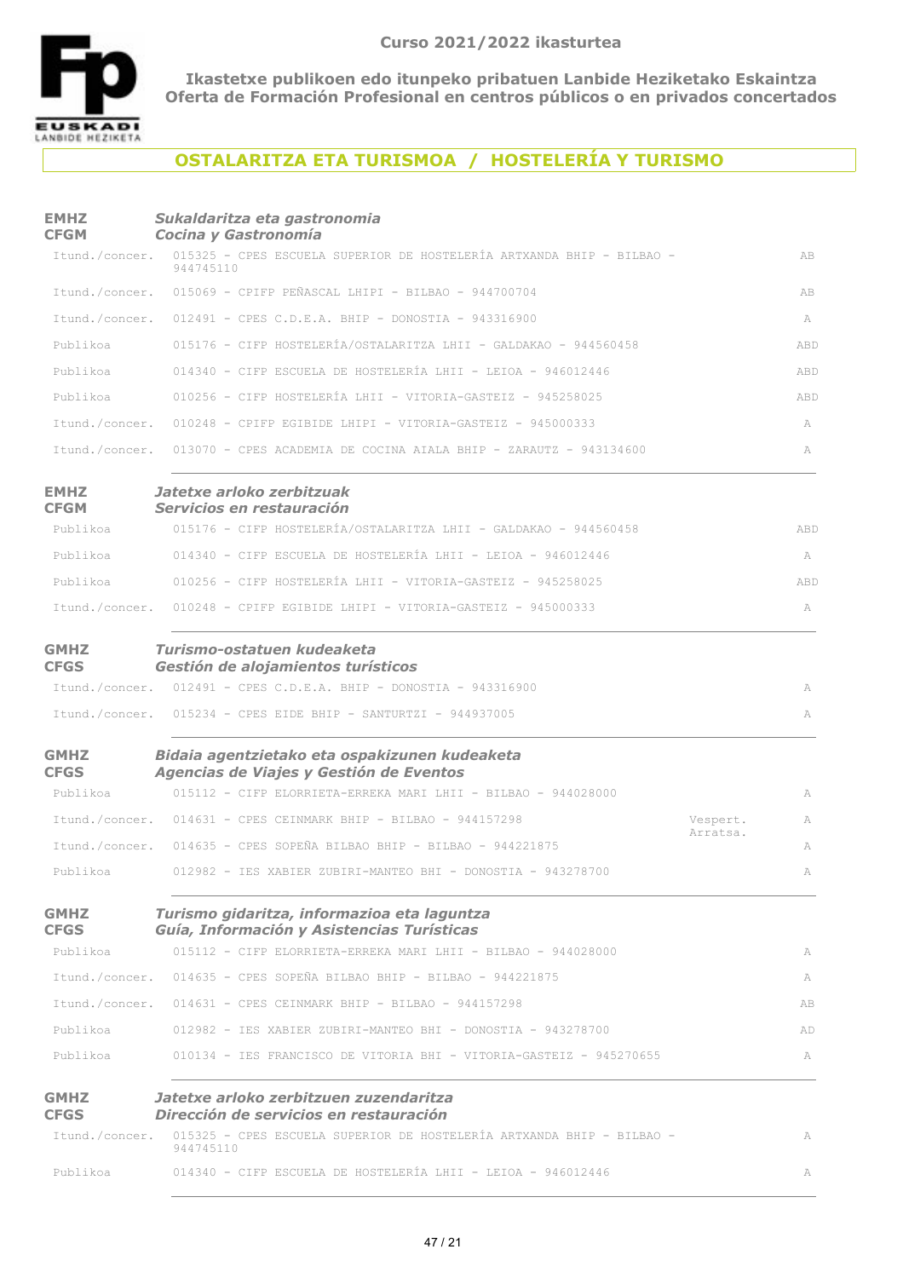

# **OSTALARITZA ETA TURISMOA / HOSTELERÍA Y TURISMO**

#### **EMHZ CFGM** *Sukaldaritza eta gastronomia Cocina y Gastronomía* Itund./concer. 015325 - CPES ESCUELA SUPERIOR DE HOSTELERÍA ARTXANDA BHIP - BILBAO - AB 944745110 015069 - CPIFP PEÑASCAL LHIPI - BILBAO - 944700704 ABItund./concer. Itund./concer. 012491 - CPES C.D.E.A. BHIP - DONOSTIA - 943316900 A 015176 - CIFP HOSTELERÍA/OSTALARITZA LHII - GALDAKAO - 944560458 ABDPublikoa Publikoa  $014340$  - CIFP ESCUELA DE HOSTELERÍA LHII - LEIOA - 946012446  $ABD$ 010256 - CIFP HOSTELERÍA LHII - VITORIA-GASTEIZ - 945258025 ABDPublikoa 010248 - CPIFP EGIBIDE LHIPI - VITORIA-GASTEIZ - 945000333 AItund./concer. Itund./concer. 013070 - CPES ACADEMIA DE COCINA AIALA BHIP - ZARAUTZ - 943134600 A **EMHZ CFGM** *Jatetxe arloko zerbitzuak Servicios en restauración* 015176 - CIFP HOSTELERÍA/OSTALARITZA LHII - GALDAKAO - 944560458 ABDPublikoa 014340 - CIFP ESCUELA DE HOSTELERÍA LHII - LEIOA - 946012446 APublikoa 010256 - CIFP HOSTELERÍA LHII - VITORIA-GASTEIZ - 945258025 ABDPublikoa 010248 - CPIFP EGIBIDE LHIPI - VITORIA-GASTEIZ - 945000333 AItund./concer. **GMHZ CFGS** *Turismo-ostatuen kudeaketa Gestión de alojamientos turísticos* 012491 - CPES C.D.E.A. BHIP - DONOSTIA - 943316900 AItund./concer.  $I$ tund./concer. 015234 - CPES EIDE BHIP - SANTIIBTZI - 944937005 **GMHZ CFGS** *Bidaia agentzietako eta ospakizunen kudeaketa Agencias de Viajes y Gestión de Eventos* 015112 - CIFP ELORRIETA-ERREKA MARI LHII - BILBAO - 944028000 APublikoa Itund./concer. 014631 - CPES CEINMARK BHIP - BILBAO - 944157298 Vespert. A Arratsa.  $I$ tund /concer. 014635 - CPES SOPEÑA BILBAO BHIP - BILBAO - 944221875 012982 - IES XABIER ZUBIRI-MANTEO BHI - DONOSTIA - 943278700 APublikoa **GMHZ CFGS** *Turismo gidaritza, informazioa eta laguntza Guía, Información y Asistencias Turísticas* 015112 - CIFP ELORRIETA-ERREKA MARI LHII - BILBAO - 944028000 APublikoa 014635 - CPES SOPEÑA BILBAO BHIP - BILBAO - 944221875 AItund./concer.  $I$ tund./concer.  $014631$  - CPES CEINMARK BHIP - BILBAO - 944157298 012982 - IES XABIER ZUBIRI-MANTEO BHI - DONOSTIA - 943278700 ADPublikoa 010134 - IES FRANCISCO DE VITORIA BHI - VITORIA-GASTEIZ - 945270655 APublikoa **GMHZ CFGS** *Jatetxe arloko zerbitzuen zuzendaritza Dirección de servicios en restauración* Itund./concer. 015325 - CPES ESCUELA SUPERIOR DE HOSTELERÍA ARTXANDA BHIP - BILBAO -  $\,$ A 944745110 Publikoa  $014340$  - CIFP ESCUELA DE HOSTELERÍA LHII - LEIOA - 946012446 APublikoa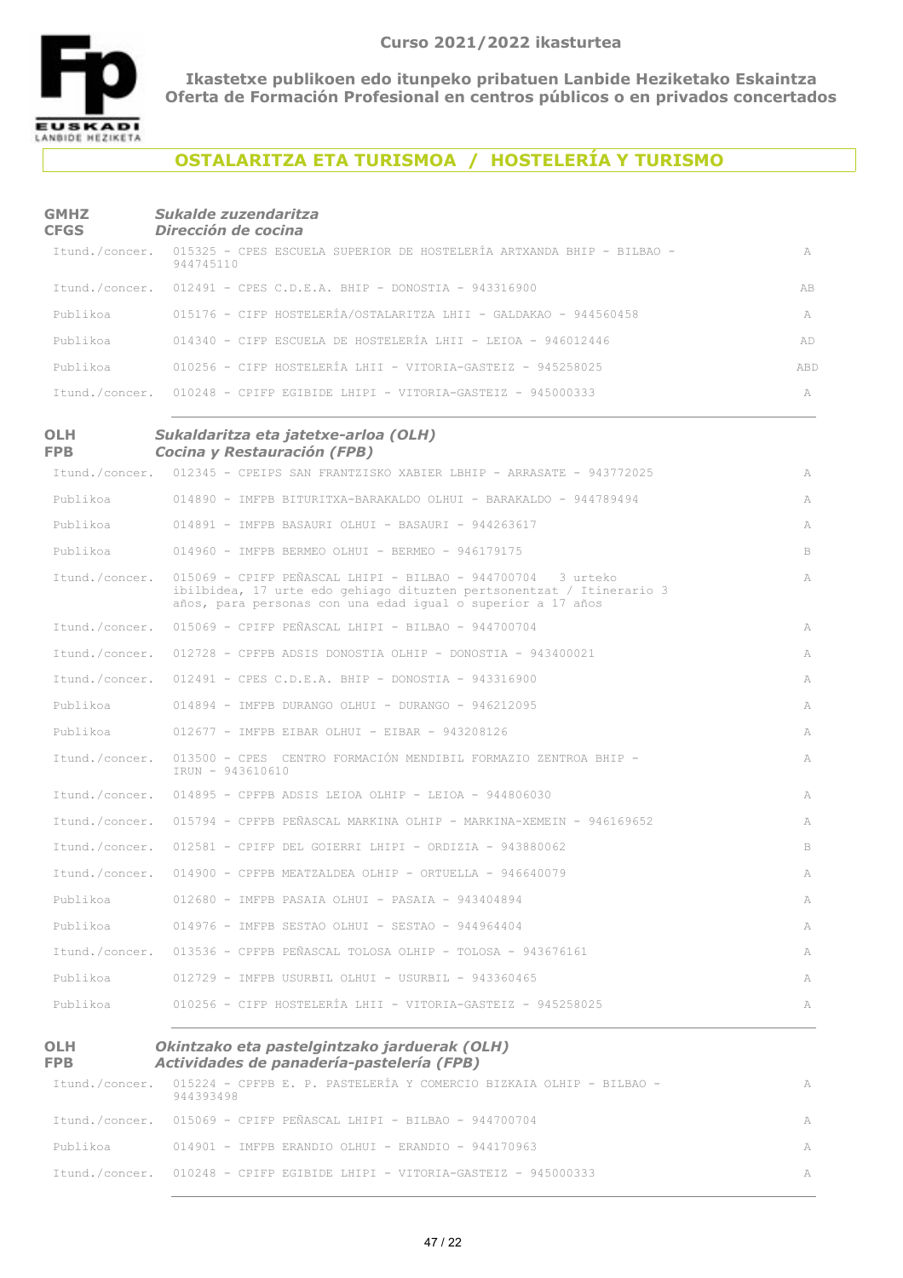

**OLH FPB**

**Ikastetxe publikoen edo itunpeko pribatuen Lanbide Heziketako Eskaintza Oferta de Formación Profesional en centros públicos o en privados concertados**

# **OSTALARITZA ETA TURISMOA / HOSTELERÍA Y TURISMO**

#### **GMHZ CFGS** *Sukalde zuzendaritza Dirección de cocina*

|          | Itund./concer. 015325 - CPES ESCUELA SUPERIOR DE HOSTELERÍA ARTXANDA BHIP - BILBAO -<br>944745110 | A   |
|----------|---------------------------------------------------------------------------------------------------|-----|
|          | Itund./concer. 012491 - CPES C.D.E.A. BHIP - DONOSTIA - 943316900                                 | AB. |
|          | Publikoa 615176 - CIFP HOSTELERÍA/OSTALARITZA LHII - GALDAKAO - 944560458                         | A   |
|          | Publikoa 614340 - CIFP ESCUELA DE HOSTELERÍA LHII - LEIOA - 946012446                             | AD. |
| Publikoa | 010256 - CIFP HOSTELERÍA LHII - VITORIA-GASTEIZ - 945258025                                       | ABD |
|          | Itund./concer. 010248 - CPIFP EGIBIDE LHIPI - VITORIA-GASTEIZ - 945000333                         | А   |

#### **OLH FPB** *Sukaldaritza eta jatetxe-arloa (OLH) Cocina y Restauración (FPB)*

|                | Itund./concer. 012345 - CPEIPS SAN FRANTZISKO XABIER LBHIP - ARRASATE - 943772025                                                                                                                  | A  |
|----------------|----------------------------------------------------------------------------------------------------------------------------------------------------------------------------------------------------|----|
| Publikoa       | 014890 - IMFPB BITURITXA-BARAKALDO OLHUI - BARAKALDO - 944789494                                                                                                                                   | A  |
| Publikoa       | $014891$ - IMFPB BASAURI OLHUI - BASAURI - 944263617                                                                                                                                               | A  |
| Publikoa       | 014960 - IMFPB BERMEO OLHUI - BERMEO - 946179175                                                                                                                                                   | B  |
| Itund./concer. | 015069 - CPIFP PEÑASCAL LHIPI - BILBAO - 944700704 3 urteko<br>ibilbidea, 17 urte edo gehiago dituzten pertsonentzat / Itinerario 3<br>años, para personas con una edad igual o superior a 17 años | A  |
| Itund./concer. | 015069 - CPIFP PEÑASCAL LHIPI - BILBAO - 944700704                                                                                                                                                 | A  |
| Itund./concer. | $012728$ - CPFPB ADSIS DONOSTIA OLHIP - DONOSTIA - 943400021                                                                                                                                       | A  |
| Itund./concer. | $012491$ - CPES C.D.E.A. BHIP - DONOSTIA - 943316900                                                                                                                                               | A  |
| Publikoa       | 014894 - IMFPB DURANGO OLHUI - DURANGO - 946212095                                                                                                                                                 | A  |
| Publikoa       | $012677$ - IMFPB EIBAR OLHUI - EIBAR - 943208126                                                                                                                                                   | A  |
| Itund./concer. | 013500 - CPES CENTRO FORMACIÓN MENDIBIL FORMAZIO ZENTROA BHIP -<br>IRUN - 943610610                                                                                                                | A  |
| Itund./concer. | $014895$ - CPFPB ADSIS LEIOA OLHIP - LEIOA - 944806030                                                                                                                                             | A  |
| Itund./concer. | 015794 - CPFPB PEÑASCAL MARKINA OLHIP - MARKINA-XEMEIN - 946169652                                                                                                                                 | A  |
| Itund./concer. | $012581$ - CPIFP DEL GOIERRI LHIPI - ORDIZIA - 943880062                                                                                                                                           | B. |
| Itund./concer. | $014900$ - CPFPB MEATZALDEA OLHIP - ORTUELLA - 946640079                                                                                                                                           | A  |
| Publikoa       | $012680$ - IMFPB PASAIA OLHUI - PASAIA - 943404894                                                                                                                                                 | A  |
| Publikoa       | 014976 - IMFPB SESTAO OLHUI - SESTAO - 944964404                                                                                                                                                   | A  |
| Itund./concer. | 013536 - CPFPB PEÑASCAL TOLOSA OLHIP - TOLOSA - 943676161                                                                                                                                          | A  |
| Publikoa       | $012729$ - IMFPB USURBIL OLHUI - USURBIL - 943360465                                                                                                                                               | A  |
| Publikoa       | 010256 - CIFP HOSTELERÍA LHII - VITORIA-GASTEIZ - 945258025                                                                                                                                        | A  |

#### *Okintzako eta pastelgintzako jarduerak (OLH) Actividades de panadería-pastelería (FPB)*

| Itund./concer. 015224 - CPFPB E. P. PASTELERÍA Y COMERCIO BIZKAIA OLHIP - BILBAO - | A |
|------------------------------------------------------------------------------------|---|
| 944393498<br>Itund./concer. 015069 - CPIFP PEÑASCAL LHIPI - BILBAO - 944700704     |   |
| Publikoa $014901 - \text{IMFPR ERRANDIO}$ OLHUI - ERANDIO - 944170963              | A |
| Itund./concer. 010248 - CPIFP EGIBIDE LHIPI - VITORIA-GASTEIZ - 945000333          | A |
|                                                                                    |   |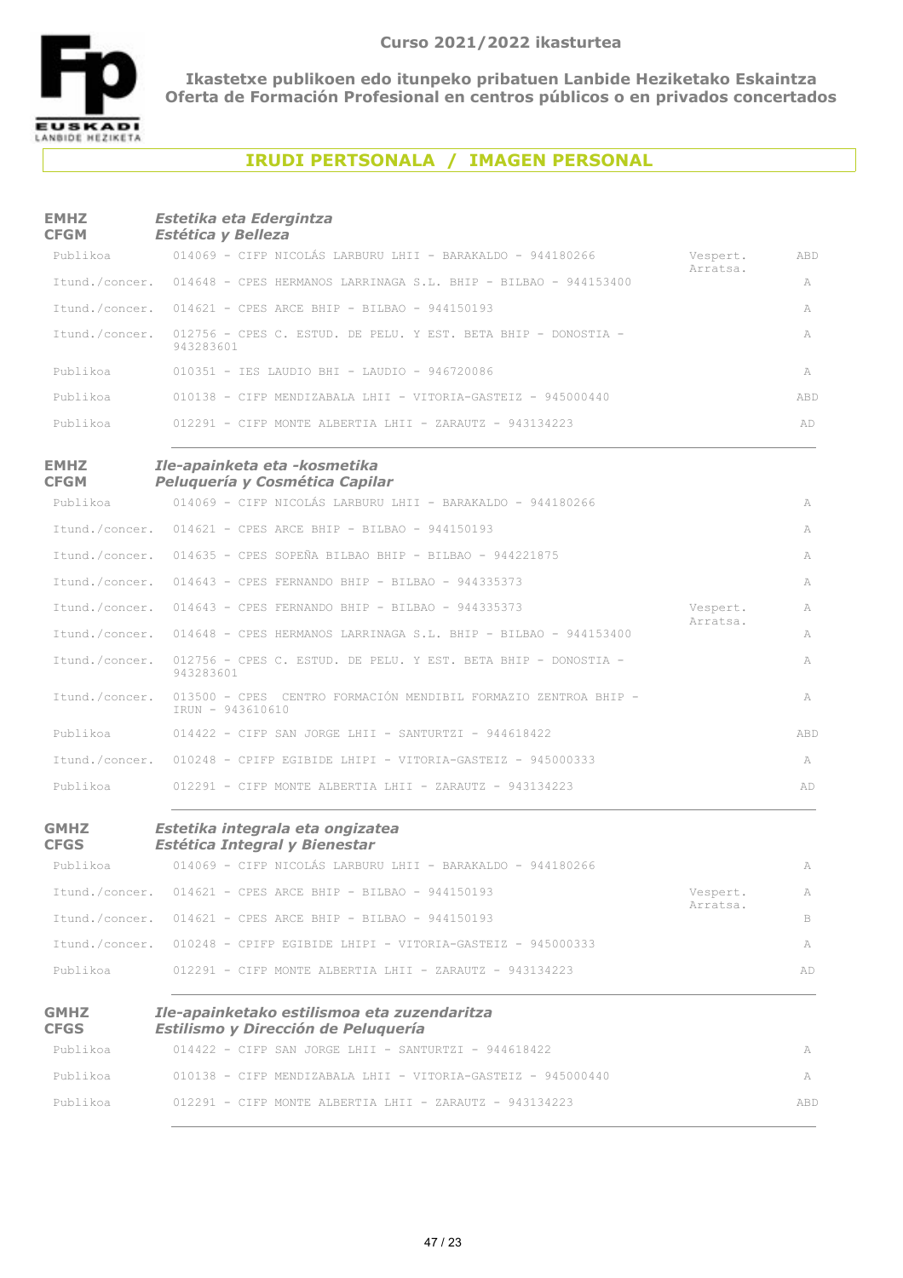

## **IRUDI PERTSONALA / IMAGEN PERSONAL**

| <b>EMHZ</b><br><b>CFGM</b> | Estetika eta Edergintza<br><b>Estética y Belleza</b>                                       |          |     |
|----------------------------|--------------------------------------------------------------------------------------------|----------|-----|
| Publikoa                   | 014069 - CIFP NICOLÁS LARBURU LHII - BARAKALDO - 944180266                                 | Vespert. | ABD |
|                            | Itund./concer. 014648 - CPES HERMANOS LARRINAGA S.L. BHIP - BILBAO - 944153400             | Arratsa. | A   |
|                            | Itund./concer. 014621 - CPES ARCE BHIP - BILBAO - 944150193                                |          | A   |
|                            | Itund./concer. 012756 - CPES C. ESTUD. DE PELU. Y EST. BETA BHIP - DONOSTIA -<br>943283601 |          | A   |
| Publikoa                   | 010351 - IES LAUDIO BHI - LAUDIO - 946720086                                               |          | A   |
| Publikoa                   | 010138 - CIFP MENDIZABALA LHII - VITORIA-GASTEIZ - 945000440                               |          | ABD |
| Publikoa                   | $012291$ - CIFP MONTE ALBERTIA LHII - ZARAUTZ - 943134223                                  |          | AD  |
| <b>EMHZ</b><br><b>CFGM</b> | Ile-apainketa eta -kosmetika<br>Peluquería y Cosmética Capilar                             |          |     |
| Publikoa                   | 014069 - CIFP NICOLÁS LARBURU LHII - BARAKALDO - 944180266                                 |          | A   |
|                            | Itund./concer. 014621 - CPES ARCE BHIP - BILBAO - 944150193                                |          | A   |
|                            | Itund./concer. 014635 - CPES SOPEÑA BILBAO BHIP - BILBAO - 944221875                       |          | A   |
|                            | Itund./concer. 014643 - CPES FERNANDO BHIP - BILBAO - 944335373                            |          | A   |
|                            | Itund./concer. 014643 - CPES FERNANDO BHIP - BILBAO - 944335373                            | Vespert. | A   |
| Itund./concer.             | 014648 - CPES HERMANOS LARRINAGA S.L. BHIP - BILBAO - 944153400                            | Arratsa. | A   |
| Itund./concer.             | 012756 - CPES C. ESTUD. DE PELU. Y EST. BETA BHIP - DONOSTIA -<br>943283601                |          | A   |
| Itund./concer.             | 013500 - CPES CENTRO FORMACIÓN MENDIBIL FORMAZIO ZENTROA BHIP -<br>IRUN - 943610610        |          | A   |
| Publikoa                   | $014422$ - CIFP SAN JORGE LHII - SANTURTZI - 944618422                                     |          | ABD |
|                            | Itund./concer. 010248 - CPIFP EGIBIDE LHIPI - VITORIA-GASTEIZ - 945000333                  |          | A   |
| Publikoa                   | $012291$ - CIFP MONTE ALBERTIA LHII - ZARAUTZ - 943134223                                  |          | AD  |
| <b>GMHZ</b><br><b>CFGS</b> | Estetika integrala eta ongizatea<br><b>Estética Integral y Bienestar</b>                   |          |     |
| Publikoa                   | 014069 - CIFP NICOLÁS LARBURU LHII - BARAKALDO - 944180266                                 |          | A   |
| Itund./concer.             | 014621 - CPES ARCE BHIP - BILBAO - 944150193                                               | Vespert. | A   |
|                            | Itund./concer. 014621 - CPES ARCE BHIP - BILBAO - 944150193                                | Arratsa. | B   |
|                            | Itund./concer. 010248 - CPIFP EGIBIDE LHIPI - VITORIA-GASTEIZ - 945000333                  |          | A   |
| Publikoa                   | 012291 - CIFP MONTE ALBERTIA LHII - ZARAUTZ - 943134223                                    |          | AD  |
| <b>GMHZ</b><br><b>CFGS</b> | Ile-apainketako estilismoa eta zuzendaritza<br>Estilismo y Dirección de Peluquería         |          |     |
| Publikoa                   | 014422 - CIFP SAN JORGE LHII - SANTURTZI - 944618422                                       |          | A   |
| Publikoa                   | 010138 - CIFP MENDIZABALA LHII - VITORIA-GASTEIZ - 945000440                               |          | A   |
| Publikoa                   | 012291 - CIFP MONTE ALBERTIA LHII - ZARAUTZ - 943134223                                    |          | ABD |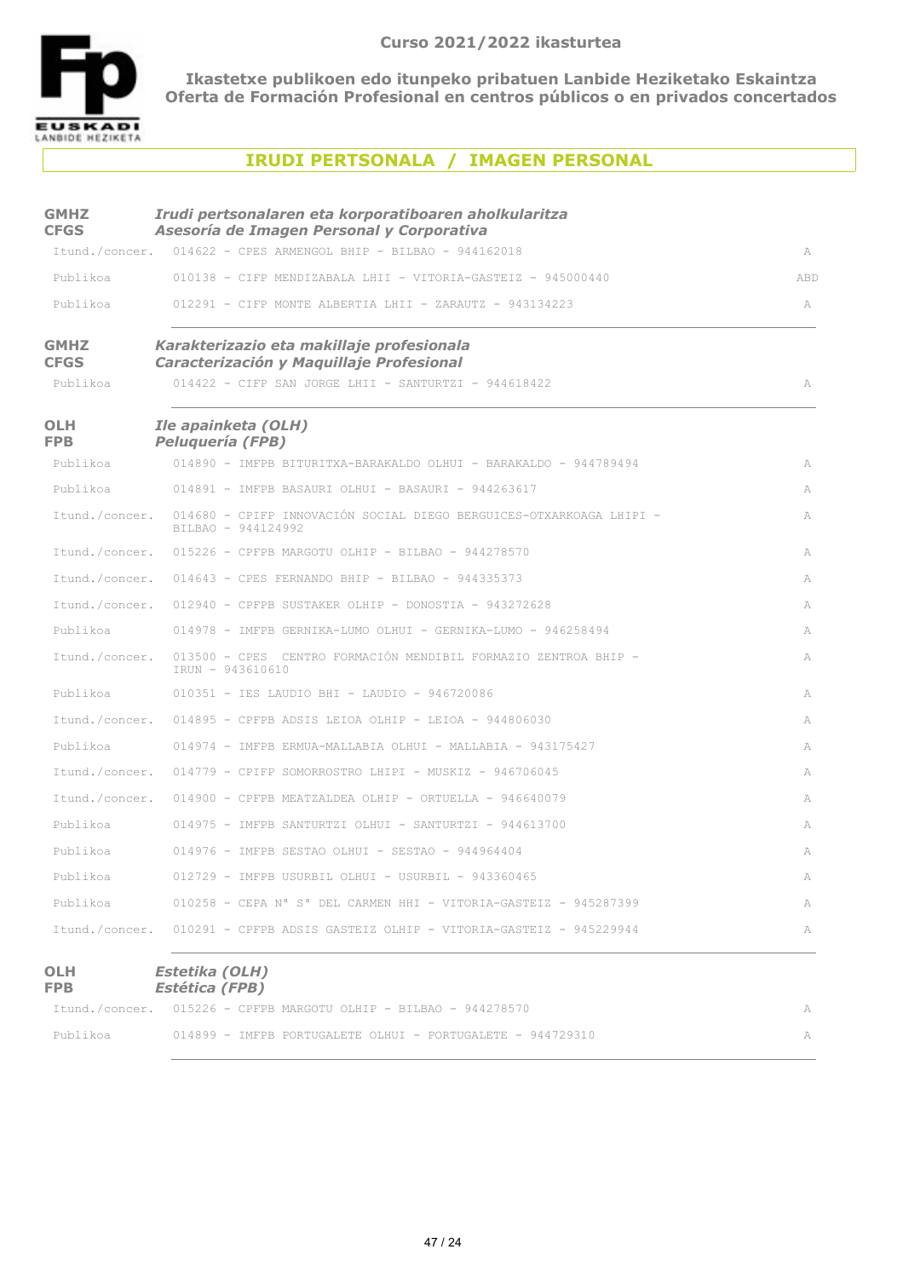

### **IRUDI PERTSONALA / IMAGEN PERSONAL**

| <b>GMHZ</b>                | Irudi pertsonalaren eta korporatiboaren aholkularitza                                      |     |
|----------------------------|--------------------------------------------------------------------------------------------|-----|
| <b>CFGS</b>                | Asesoría de Imagen Personal y Corporativa                                                  |     |
|                            | Itund./concer. 014622 - CPES ARMENGOL BHIP - BILBAO - 944162018                            | A   |
| Publikoa                   | 010138 - CIFP MENDIZABALA LHII - VITORIA-GASTEIZ - 945000440                               | ABD |
| Publikoa                   | $012291$ - CIFP MONTE ALBERTIA LHII - ZARAUTZ - 943134223                                  | A   |
| <b>GMHZ</b><br><b>CFGS</b> | Karakterizazio eta makillaje profesionala<br>Caracterización y Maquillaje Profesional      |     |
| Publikoa                   | 014422 - CIFP SAN JORGE LHII - SANTURTZI - 944618422                                       | A   |
| <b>OLH</b><br><b>FPB</b>   | Ile apainketa (OLH)<br><b>Peluquería (FPB)</b>                                             |     |
| Publikoa                   | 014890 - IMFPB BITURITXA-BARAKALDO OLHUI - BARAKALDO - 944789494                           | A   |
| Publikoa                   | $014891$ - IMFPB BASAURI OLHUI - BASAURI - 944263617                                       | A   |
| Itund./concer.             | 014680 - CPIFP INNOVACIÓN SOCIAL DIEGO BERGUICES-OTXARKOAGA LHIPI -<br>BILBAO - 944124992  | A   |
|                            | Itund./concer. 015226 - CPFPB MARGOTU OLHIP - BILBAO - 944278570                           | A   |
|                            | Itund./concer. 014643 - CPES FERNANDO BHIP - BILBAO - 944335373                            | A   |
|                            | Itund./concer. 012940 - CPFPB SUSTAKER OLHIP - DONOSTIA - 943272628                        | A   |
| Publikoa                   | 014978 - IMFPB GERNIKA-LUMO OLHUI - GERNIKA-LUMO - 946258494                               | A   |
| Itund./concer.             | 013500 - CPES CENTRO FORMACIÓN MENDIBIL FORMAZIO ZENTROA BHIP -<br>IRUN - 943610610        | A   |
| Publikoa                   | 010351 - IES LAUDIO BHI - LAUDIO - 946720086                                               | A   |
|                            | Itund./concer. 014895 - CPFPB ADSIS LEIOA OLHIP - LEIOA - 944806030                        | A   |
| Publikoa                   | 014974 - IMFPB ERMUA-MALLABIA OLHUI - MALLABIA - 943175427                                 | A   |
|                            | Itund./concer. 014779 - CPIFP SOMORROSTRO LHIPI - MUSKIZ - 946706045                       | A   |
|                            | Itund./concer. 014900 - CPFPB MEATZALDEA OLHIP - ORTUELLA - 946640079                      | A   |
| Publikoa                   | 014975 - IMFPB SANTURTZI OLHUI - SANTURTZI - 944613700                                     | A   |
| Publikoa                   | $014976$ - IMFPB SESTAO OLHUI - SESTAO - 944964404                                         | A   |
| Publikoa                   | 012729 - IMFPB USURBIL OLHUI - USURBIL - 943360465                                         | A   |
| Publikoa                   | $010258$ - CEPA N <sup>a</sup> S <sup>a</sup> DEL CARMEN HHI - VITORIA-GASTEIZ - 945287399 | A   |
| Itund./concer.             | 010291 - CPFPB ADSIS GASTEIZ OLHIP - VITORIA-GASTEIZ - 945229944                           | А   |
| <b>OLH</b><br><b>FPB</b>   | Estetika (OLH)<br><b>Estética (FPB)</b>                                                    |     |
| Itund./concer.             | 015226 - CPFPB MARGOTU OLHIP - BILBAO - 944278570                                          | А   |

Publikoa 614899 - IMFPB PORTUGALETE OLHUI - PORTUGALETE - 944729310 APublikoa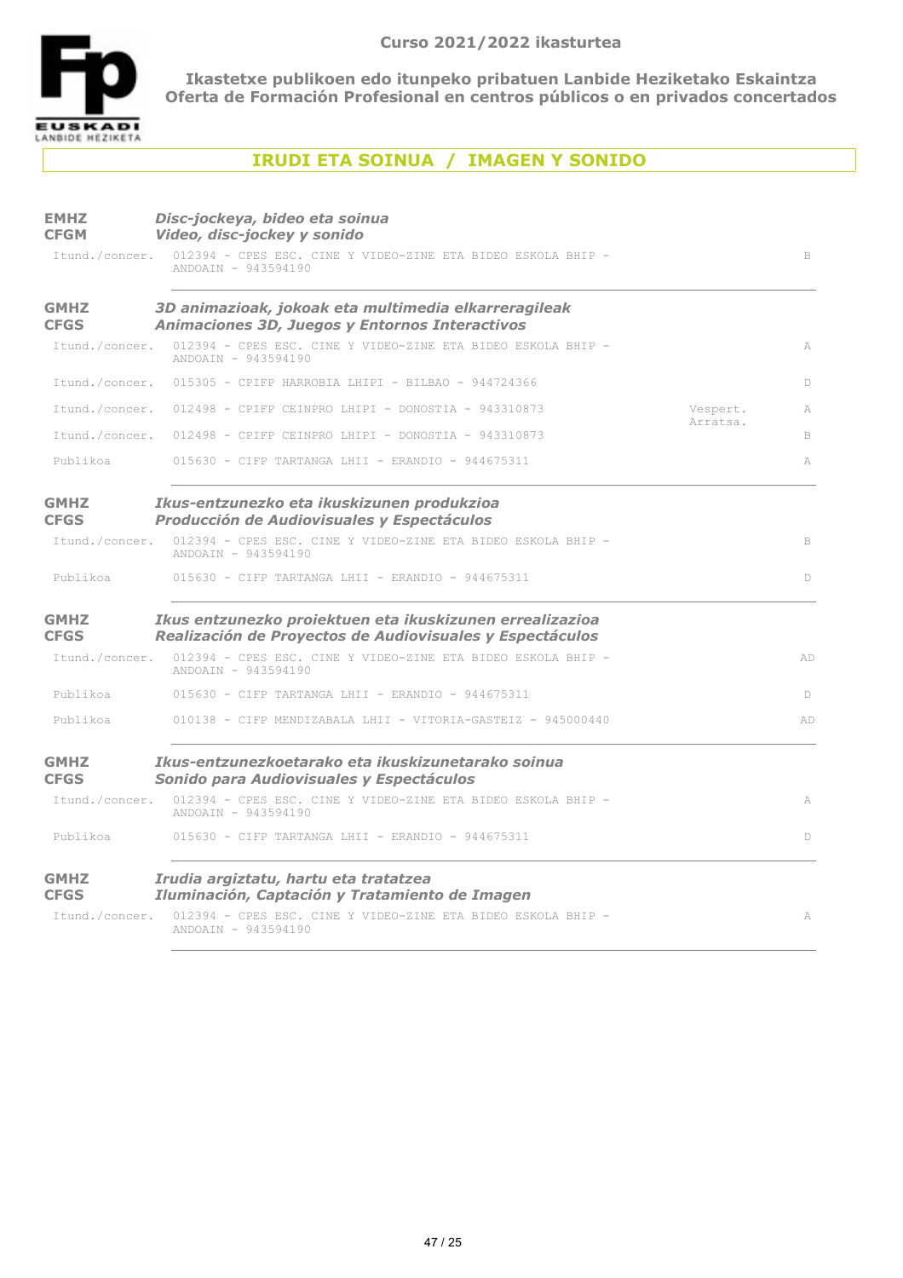

# **IRUDI ETA SOINUA / IMAGEN Y SONIDO**

| <b>EMHZ</b><br><b>CFGM</b> | Disc-jockeya, bideo eta soinua<br>Video, disc-jockey y sonido                                                        |             |
|----------------------------|----------------------------------------------------------------------------------------------------------------------|-------------|
| Itund./concer.             | 012394 - CPES ESC. CINE Y VIDEO-ZINE ETA BIDEO ESKOLA BHIP -<br>ANDOAIN - 943594190                                  | $\,$ B      |
| <b>GMHZ</b><br><b>CFGS</b> | 3D animazioak, jokoak eta multimedia elkarreragileak<br>Animaciones 3D, Juegos y Entornos Interactivos               |             |
| Itund./concer.             | 012394 - CPES ESC. CINE Y VIDEO-ZINE ETA BIDEO ESKOLA BHIP -<br>ANDOAIN - 943594190                                  | A           |
| Itund./concer.             | $015305$ - CPIFP HARROBIA LHIPI - BILBAO - 944724366                                                                 | D           |
|                            | Itund./concer. 012498 - CPIFP CEINPRO LHIPI - DONOSTIA - 943310873<br>Vespert.                                       | A           |
| Itund./concer.             | Arratsa.<br>012498 - CPIFP CEINPRO LHIPI - DONOSTIA - 943310873                                                      | B           |
| Publikoa                   | 015630 - CIFP TARTANGA LHII - ERANDIO - 944675311                                                                    | A           |
| <b>GMHZ</b><br><b>CFGS</b> | Ikus-entzunezko eta ikuskizunen produkzioa<br>Producción de Audiovisuales y Espectáculos                             |             |
| Itund./concer.             | 012394 - CPES ESC. CINE Y VIDEO-ZINE ETA BIDEO ESKOLA BHIP -<br>ANDOAIN - 943594190                                  | $\mathbb B$ |
| Publikoa                   | 015630 - CIFP TARTANGA LHII - ERANDIO - 944675311                                                                    | D           |
| <b>GMHZ</b><br><b>CFGS</b> | Ikus entzunezko proiektuen eta ikuskizunen errealizazioa<br>Realización de Proyectos de Audiovisuales y Espectáculos |             |
| Itund./concer.             | 012394 - CPES ESC. CINE Y VIDEO-ZINE ETA BIDEO ESKOLA BHIP -<br>ANDOAIN - 943594190                                  | AD          |
| Publikoa                   | 015630 - CIFP TARTANGA LHII - ERANDIO - 944675311                                                                    | D           |
| Publikoa                   | 010138 - CIFP MENDIZABALA LHII - VITORIA-GASTEIZ - 945000440                                                         | AD          |
| <b>GMHZ</b><br><b>CFGS</b> | Ikus-entzunezkoetarako eta ikuskizunetarako soinua<br>Sonido para Audiovisuales y Espectáculos                       |             |
| Itund./concer.             | 012394 - CPES ESC. CINE Y VIDEO-ZINE ETA BIDEO ESKOLA BHIP -<br>ANDOAIN - 943594190                                  | A           |
| Publikoa                   | $015630$ - CIFP TARTANGA LHII - ERANDIO - 944675311                                                                  | D           |
| <b>GMHZ</b><br><b>CFGS</b> | Irudia argiztatu, hartu eta tratatzea<br>Iluminación, Captación y Tratamiento de Imagen                              |             |
| Itund./concer.             | 012394 - CPES ESC. CINE Y VIDEO-ZINE ETA BIDEO ESKOLA BHIP -<br>ANDOAIN - 943594190                                  | A           |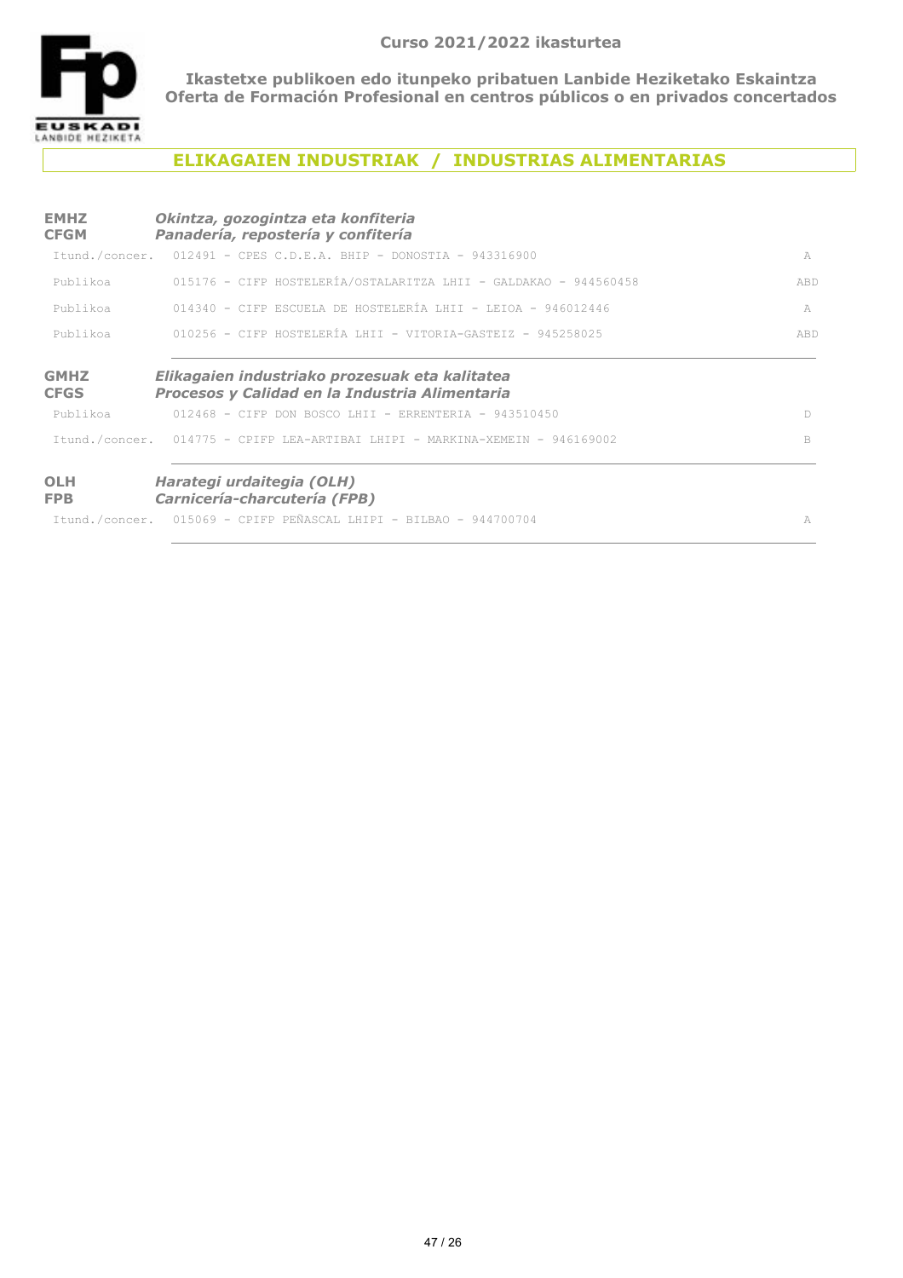

# **ELIKAGAIEN INDUSTRIAK / INDUSTRIAS ALIMENTARIAS**

| <b>EMHZ</b><br><b>CFGM</b> | Okintza, gozogintza eta konfiteria<br>Panadería, repostería y confitería                         |     |
|----------------------------|--------------------------------------------------------------------------------------------------|-----|
|                            | Itund./concer. 012491 - CPES C.D.E.A. BHIP - DONOSTIA - 943316900                                | A   |
| Publikoa                   | 015176 - CIFP HOSTELERÍA/OSTALARITZA LHII - GALDAKAO - 944560458                                 | ABD |
| Publikoa                   | $014340$ - CIFP ESCUELA DE HOSTELERÍA LHII - LEIOA - 946012446                                   | A   |
| Publikoa                   | 010256 - CIFP HOSTELERÍA LHII - VITORIA-GASTEIZ - 945258025                                      | ABD |
| <b>GMHZ</b><br><b>CFGS</b> | Elikagaien industriako prozesuak eta kalitatea<br>Procesos y Calidad en la Industria Alimentaria |     |
| Publikoa                   | $012468$ - CIFP DON BOSCO LHIT - ERRENTERIA - 943510450                                          | D.  |
|                            | Ttund./concer. 014775 - CPIFP LEA-ARTIBAI LHIPI - MARKINA-XEMEIN - 946169002                     | B   |
| <b>OLH</b><br><b>FPB</b>   | Harategi urdaitegia (OLH)<br>Carnicería-charcutería (FPB)                                        |     |
|                            | Itund./concer. 015069 - CPIFP PEÑASCAL LHIPI - BILBAO - 944700704                                | A   |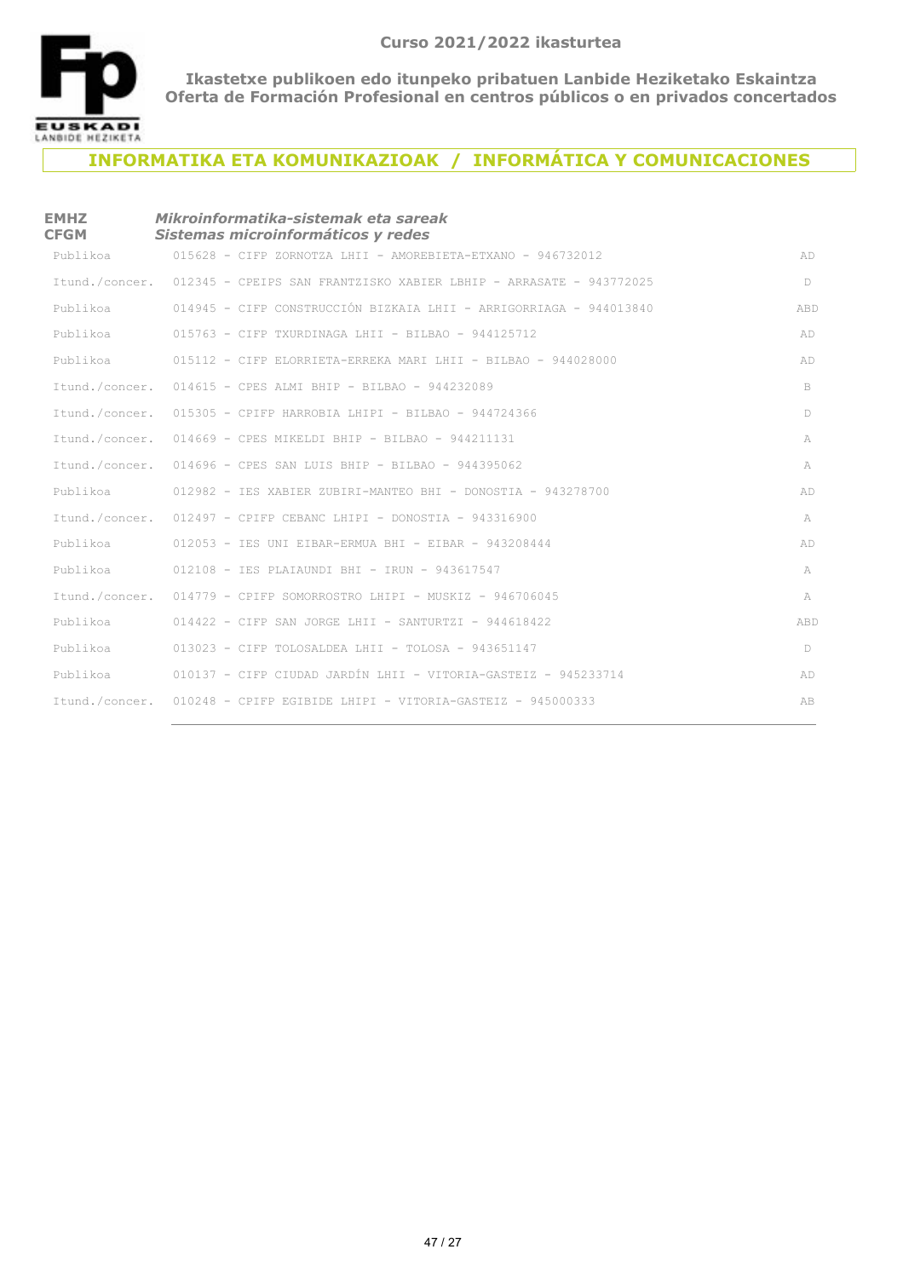

# **INFORMATIKA ETA KOMUNIKAZIOAK / INFORMÁTICA Y COMUNICACIONES**

| <b>EMHZ</b><br><b>CFGM</b> | Mikroinformatika-sistemak eta sareak<br>Sistemas microinformáticos y redes        |     |
|----------------------------|-----------------------------------------------------------------------------------|-----|
| Publikoa                   | 015628 - CIFP ZORNOTZA LHII - AMOREBIETA-ETXANO - 946732012                       | AD  |
|                            | Itund./concer. 012345 - CPEIPS SAN FRANTZISKO XABIER LBHIP - ARRASATE - 943772025 | D   |
| Publikoa                   | 014945 - CIFP CONSTRUCCIÓN BIZKAIA LHII - ARRIGORRIAGA - 944013840                | ABD |
| Publikoa                   | $015763$ - CIFP TXURDINAGA LHII - BILBAO - 944125712                              | AD  |
| Publikoa                   | 015112 - CIFP ELORRIETA-ERREKA MARI LHII - BILBAO - 944028000                     | AD  |
|                            | Itund./concer. 014615 - CPES ALMI BHIP - BILBAO - 944232089                       | B   |
|                            | Itund./concer. 015305 - CPIFP HARROBIA LHIPI - BILBAO - 944724366                 | D   |
|                            | Itund./concer. 014669 - CPES MIKELDI BHIP - BILBAO - 944211131                    | A   |
|                            | Itund./concer. 014696 - CPES SAN LUIS BHIP - BILBAO - 944395062                   | A   |
| Publikoa                   | 012982 - IES XABIER ZUBIRI-MANTEO BHI - DONOSTIA - 943278700                      | AD  |
|                            | Itund./concer. 012497 - CPIFP CEBANC LHIPI - DONOSTIA - 943316900                 | A   |
| Publikoa                   | $012053$ - IES UNI EIBAR-ERMUA BHI - EIBAR - 943208444                            | AD  |
| Publikoa                   | 012108 - IES PLAIAUNDI BHI - IRUN - 943617547                                     | A   |
| Itund./concer.             | 014779 - CPIFP SOMORROSTRO LHIPI - MUSKIZ - 946706045                             | A   |
| Publikoa                   | $014422$ - CIFP SAN JORGE LHII - SANTURTZI - 944618422                            | ABD |
| Publikoa                   | $013023$ - CIFP TOLOSALDEA LHII - TOLOSA - 943651147                              | D   |
| Publikoa                   | 010137 - CIFP CIUDAD JARDÍN LHII - VITORIA-GASTEIZ - 945233714                    | AD  |
|                            | Itund./concer. 010248 - CPIFP EGIBIDE LHIPI - VITORIA-GASTEIZ - 945000333         | AB  |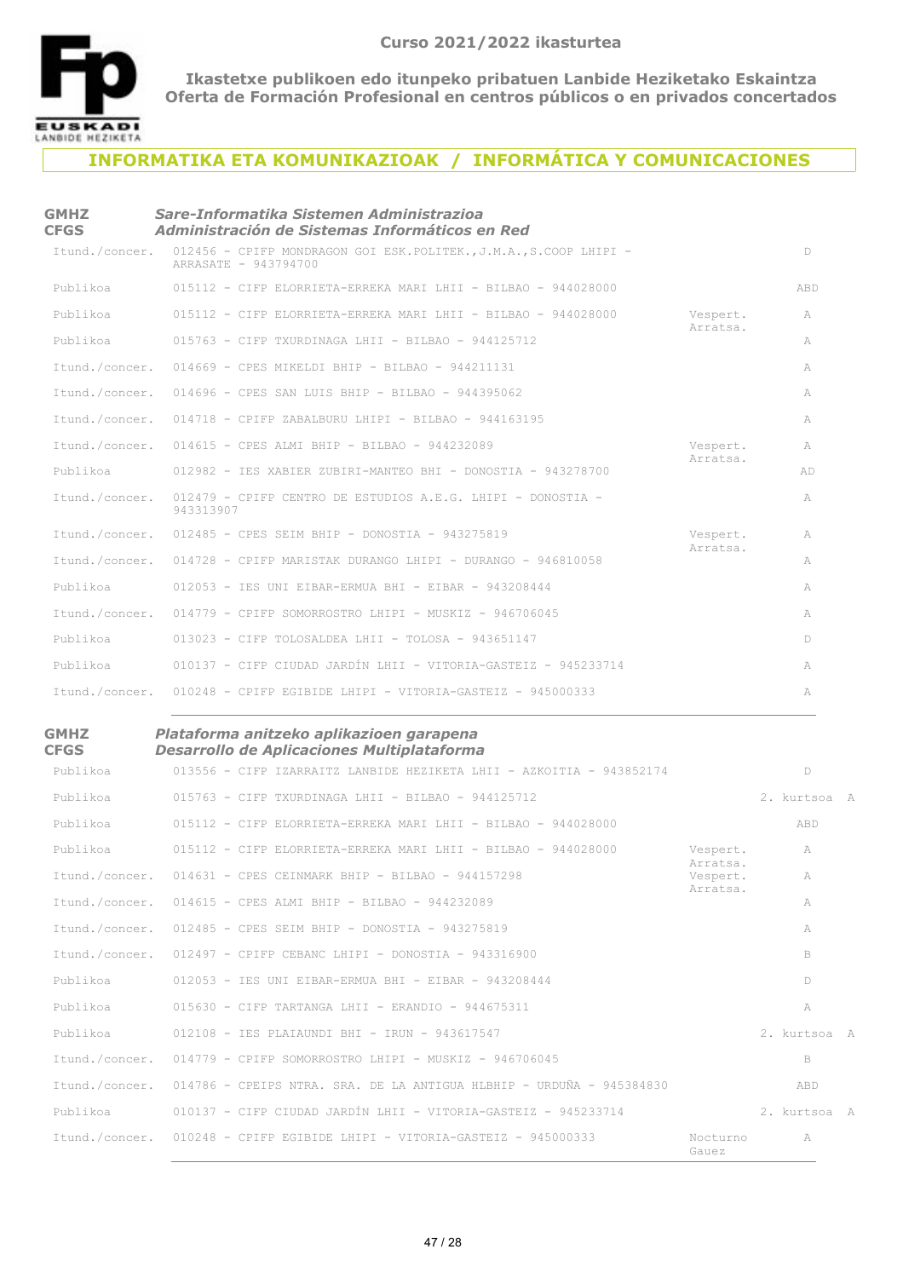

**GMHZ** 

**Ikastetxe publikoen edo itunpeko pribatuen Lanbide Heziketako Eskaintza Oferta de Formación Profesional en centros públicos o en privados concertados**

### **INFORMATIKA ETA KOMUNIKAZIOAK / INFORMÁTICA Y COMUNICACIONES**

| Sare-Informatika Sistemen Administrazioa<br>Administración de Sistemas Informáticos en Red |                                                                                                                                                                                                                                                                                                                                                                                                                                                                                                                                                                                                                                                                                  |                                  |
|--------------------------------------------------------------------------------------------|----------------------------------------------------------------------------------------------------------------------------------------------------------------------------------------------------------------------------------------------------------------------------------------------------------------------------------------------------------------------------------------------------------------------------------------------------------------------------------------------------------------------------------------------------------------------------------------------------------------------------------------------------------------------------------|----------------------------------|
| ARRASATE - 943794700                                                                       |                                                                                                                                                                                                                                                                                                                                                                                                                                                                                                                                                                                                                                                                                  | D                                |
| 015112 - CIFP ELORRIETA-ERREKA MARI LHII - BILBAO - 944028000                              |                                                                                                                                                                                                                                                                                                                                                                                                                                                                                                                                                                                                                                                                                  | ABD                              |
| 015112 - CIFP ELORRIETA-ERREKA MARI LHII - BILBAO - 944028000                              | Vespert.                                                                                                                                                                                                                                                                                                                                                                                                                                                                                                                                                                                                                                                                         | A                                |
| $015763$ - CIFP TXURDINAGA LHII - BILBAO - 944125712                                       |                                                                                                                                                                                                                                                                                                                                                                                                                                                                                                                                                                                                                                                                                  | A                                |
|                                                                                            |                                                                                                                                                                                                                                                                                                                                                                                                                                                                                                                                                                                                                                                                                  | A                                |
|                                                                                            |                                                                                                                                                                                                                                                                                                                                                                                                                                                                                                                                                                                                                                                                                  | A                                |
|                                                                                            |                                                                                                                                                                                                                                                                                                                                                                                                                                                                                                                                                                                                                                                                                  | A                                |
|                                                                                            | Vespert.                                                                                                                                                                                                                                                                                                                                                                                                                                                                                                                                                                                                                                                                         | A                                |
| 012982 - IES XABIER ZUBIRI-MANTEO BHI - DONOSTIA - 943278700                               |                                                                                                                                                                                                                                                                                                                                                                                                                                                                                                                                                                                                                                                                                  | AD                               |
| 012479 - CPIFP CENTRO DE ESTUDIOS A.E.G. LHIPI - DONOSTIA -<br>943313907                   |                                                                                                                                                                                                                                                                                                                                                                                                                                                                                                                                                                                                                                                                                  | A                                |
|                                                                                            | Vespert.                                                                                                                                                                                                                                                                                                                                                                                                                                                                                                                                                                                                                                                                         | A                                |
|                                                                                            |                                                                                                                                                                                                                                                                                                                                                                                                                                                                                                                                                                                                                                                                                  | A                                |
| $012053$ - IES UNI EIBAR-ERMUA BHI - EIBAR - 943208444                                     |                                                                                                                                                                                                                                                                                                                                                                                                                                                                                                                                                                                                                                                                                  | A                                |
|                                                                                            |                                                                                                                                                                                                                                                                                                                                                                                                                                                                                                                                                                                                                                                                                  | A                                |
| $013023$ - CIFP TOLOSALDEA LHII - TOLOSA - 943651147                                       |                                                                                                                                                                                                                                                                                                                                                                                                                                                                                                                                                                                                                                                                                  | D.                               |
| 010137 - CIFP CIUDAD JARDÍN LHII - VITORIA-GASTEIZ - 945233714                             |                                                                                                                                                                                                                                                                                                                                                                                                                                                                                                                                                                                                                                                                                  | A                                |
|                                                                                            |                                                                                                                                                                                                                                                                                                                                                                                                                                                                                                                                                                                                                                                                                  | A                                |
|                                                                                            | Itund./concer. 012456 - CPIFP MONDRAGON GOI ESK.POLITEK., J.M.A., S.COOP LHIPI -<br>Itund./concer. 014669 - CPES MIKELDI BHIP - BILBAO - 944211131<br>Itund./concer. 014696 - CPES SAN LUIS BHIP - BILBAO - 944395062<br>Itund./concer. 014718 - CPIFP ZABALBURU LHIPI - BILBAO - 944163195<br>Itund./concer. 014615 - CPES ALMI BHIP - BILBAO - 944232089<br>Itund./concer.<br>Itund./concer. 012485 - CPES SEIM BHIP - DONOSTIA - 943275819<br>Itund./concer. 014728 - CPIFP MARISTAK DURANGO LHIPI - DURANGO - 946810058<br>Itund./concer. 014779 - CPIFP SOMORROSTRO LHIPI - MUSKIZ - 946706045<br>Itund./concer. 010248 - CPIFP EGIBIDE LHIPI - VITORIA-GASTEIZ - 945000333 | Arratsa.<br>Arratsa.<br>Arratsa. |

#### *Plataforma anitzeko aplikazioen garapena Desarrollo de Aplicaciones Multiplataforma*

| <b>CFGS</b>    | <b>Desarrollo de Aplicaciones Multiplataforma</b>                    |                      |              |  |
|----------------|----------------------------------------------------------------------|----------------------|--------------|--|
| Publikoa       | 013556 - CIFP IZARRAITZ LANBIDE HEZIKETA LHII - AZKOITIA - 943852174 |                      | D            |  |
| Publikoa       | $015763$ - CIFP TXURDINAGA LHII - BILBAO - 944125712                 |                      | 2. kurtsoa A |  |
| Publikoa       | $015112 - C$ TFP ELORRIETA-ERREKA MARI LHII - BILBAO - 944028000     |                      | ABD          |  |
| Publikoa       | $015112$ - CIFP ELORRIETA-ERREKA MARI LHII - BILBAO - 944028000      | Vespert.<br>Arratsa. | A            |  |
| Itund./concer. | $014631$ - CPES CEINMARK BHIP - BILBAO - 944157298                   | Vespert.<br>Arratsa. | A            |  |
| Itund./concer. | 014615 - CPES ALMI BHIP - BILBAO - 944232089                         |                      | A            |  |
| Itund./concer. | 012485 - CPES SEIM BHIP - DONOSTIA - 943275819                       |                      | A            |  |
| Itund./concer. | $012497$ - CPIFP CEBANC LHIPT - DONOSTIA - 943316900                 |                      | B            |  |
| Publikoa       | $012053$ - IES UNI EIBAR-ERMUA BHI - EIBAR - 943208444               |                      | D            |  |
| Publikoa       | $015630 - C$ TFP TARTANGA LHII - ERANDIO - 944675311                 |                      | A            |  |
| Publikoa       | 012108 - IES PLAIAUNDI BHI - IRUN - 943617547                        |                      | 2. kurtsoa A |  |
| Itund./concer. | 014779 - CPIFP SOMORROSTRO LHIPI - MUSKIZ - 946706045                |                      | B            |  |
| Itund./concer. | 014786 - CPEIPS NTRA. SRA. DE LA ANTIGUA HLBHIP - URDUÑA - 945384830 |                      | ABD          |  |
| Publikoa       | 010137 - CIFP CIUDAD JARDÍN LHII - VITORIA-GASTEIZ - 945233714       |                      | 2. kurtsoa A |  |
| Itund./concer. | 010248 - CPIFP EGIBIDE LHIPI - VITORIA-GASTEIZ - 945000333           | Nocturno<br>Gauez    | A            |  |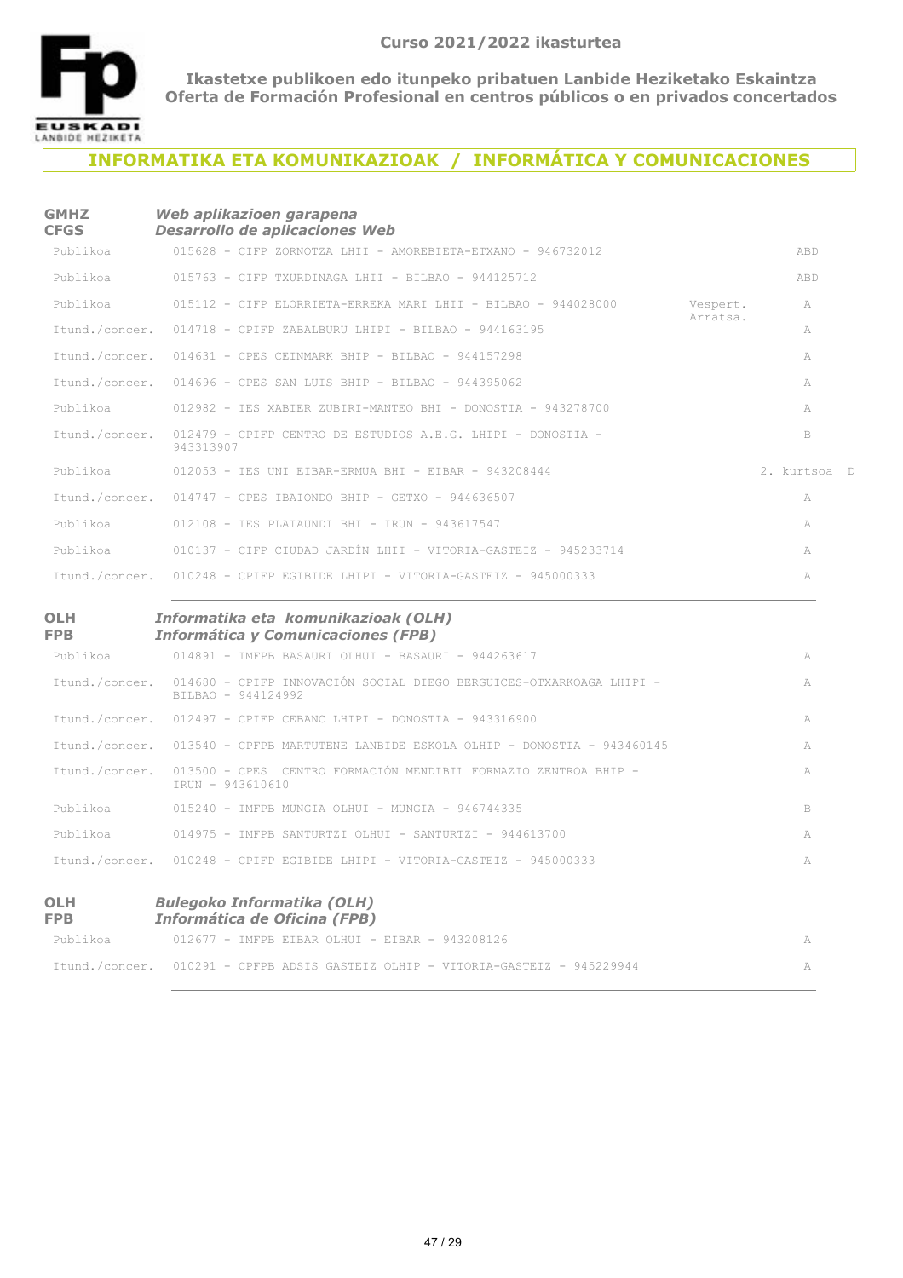

**OLH** 

**Ikastetxe publikoen edo itunpeko pribatuen Lanbide Heziketako Eskaintza Oferta de Formación Profesional en centros públicos o en privados concertados**

### **INFORMATIKA ETA KOMUNIKAZIOAK / INFORMÁTICA Y COMUNICACIONES**

#### **GMHZ CFGS** *Web aplikazioen garapena Desarrollo de aplicaciones Web*

| ---      | Desain vilv ac apheaciones fre <i>d</i>                                                 |                      |              |
|----------|-----------------------------------------------------------------------------------------|----------------------|--------------|
| Publikoa | $015628$ - CIFP ZORNOTZA LHII - AMOREBIETA-ETXANO - 946732012                           |                      | ABD          |
| Publikoa | $015763 - CTFP TXURDINAGA IHTI - BTIBAO - 944125712$                                    |                      | ABD          |
|          | Publikoa 615112 - CIFP ELORRIETA-ERREKA MARI LHII - BILBAO - 944028000                  | Vespert.<br>Arratsa. | A            |
|          | Itund./concer. 014718 - CPIFP ZABALBURU LHIPI - BILBAO - 944163195                      |                      | A            |
|          | Ttund./concer. 014631 - CPES CEINMARK BHIP - BILBAO - 944157298                         |                      | A            |
|          | Itund./concer. 014696 - CPES SAN LUIS BHIP - BILBAO - 944395062                         |                      | A            |
|          | Publikoa 612982 - IES XABIER ZUBIRI-MANTEO BHI - DONOSTIA - 943278700                   |                      | A            |
|          | Itund./concer. 012479 - CPIFP CENTRO DE ESTUDIOS A.E.G. LHIPI - DONOSTIA -<br>943313907 |                      | B            |
|          | Publikoa 612053 - IES UNI EIBAR-ERMUA BHI - EIBAR - 943208444                           |                      | 2. kurtsoa D |
|          | Itund./concer. 014747 - CPES IBAIONDO BHIP - GETXO - 944636507                          |                      | A            |
| Publikoa | 012108 - TES PLATAUNDI BHI - TRUN - 943617547                                           |                      | A            |
| Publikoa | 010137 - CIFP CIUDAD JARDÍN LHII - VITORIA-GASTEIZ - 945233714                          |                      | A            |
|          | Itund./concer. 010248 - CPIFP EGIBIDE LHIPI - VITORIA-GASTEIZ - 945000333               |                      | A            |

#### *Informatika eta komunikazioak (OLH) Informática y Comunicaciones (FPB)*

| <b>FPB</b>     | <b>Informática y Comunicaciones (FPB)</b>                                                                |    |
|----------------|----------------------------------------------------------------------------------------------------------|----|
| Publikoa       | $014891$ - IMFPB BASAURI OLHUI - BASAURI - 944263617                                                     | A  |
|                | Itund./concer. 014680 - CPIFP INNOVACIÓN SOCIAL DIEGO BERGUICES-OTXARKOAGA LHIPI -<br>BILBAO - 944124992 | A  |
|                | Itund./concer. 012497 - CPIFP CEBANC LHIPI - DONOSTIA - 943316900                                        | A  |
|                | Itund./concer. 013540 - CPFPB MARTUTENE LANBIDE ESKOLA OLHIP - DONOSTIA - 943460145                      | A  |
|                | Ttund./concer. 013500 - CPES CENTRO FORMACIÓN MENDIBIL FORMAZIO ZENTROA BHIP -<br>TRUN - 943610610       | A  |
| Publikoa       | $015240 - $ TMFPB MUNGTA OLHUT - MUNGTA - 946744335                                                      | B. |
| Publikoa       | $014975$ - IMFPB SANTURTZI OLHUI - SANTURTZI - 944613700                                                 | A  |
| Ttund./concer. | $010248$ – CPIFP EGIBIDE LHIPI – VITORIA-GASTEIZ – 945000333                                             | A  |

#### **OLH FPB** *Bulegoko Informatika (OLH) Informática de Oficina (FPB)*

| Publikoa | $012677$ - IMFPB EIBAR OLHUI - EIBAR - 943208126                                |  |
|----------|---------------------------------------------------------------------------------|--|
|          | Itund./concer. 010291 - CPFPB ADSIS GASTEIZ OLHIP - VITORIA-GASTEIZ - 945229944 |  |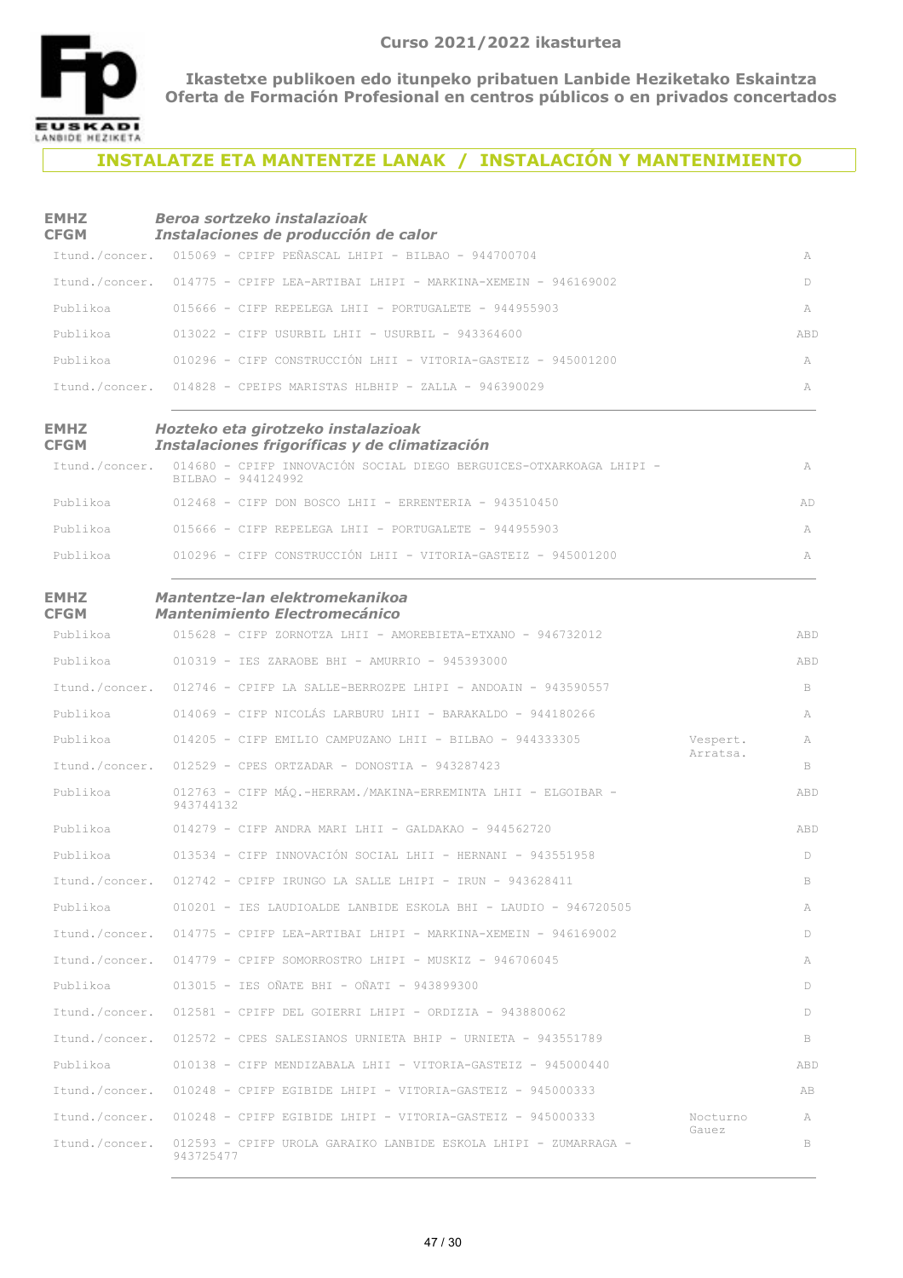

## **INSTALATZE ETA MANTENTZE LANAK / INSTALACIÓN Y MANTENIMIENTO**

| <b>EMHZ</b><br><b>CFGM</b> | Beroa sortzeko instalazioak<br>Instalaciones de producción de calor                       |          |     |
|----------------------------|-------------------------------------------------------------------------------------------|----------|-----|
|                            | Itund./concer. 015069 - CPIFP PEÑASCAL LHIPI - BILBAO - 944700704                         |          | A   |
|                            | Itund./concer. 014775 - CPIFP LEA-ARTIBAI LHIPI - MARKINA-XEMEIN - 946169002              |          | D   |
| Publikoa                   | 015666 - CIFP REPELEGA LHII - PORTUGALETE - 944955903                                     |          | A   |
| Publikoa                   | $013022$ - CIFP USURBIL LHII - USURBIL - 943364600                                        |          | ABD |
| Publikoa                   | 010296 - CIFP CONSTRUCCIÓN LHII - VITORIA-GASTEIZ - 945001200                             |          | A   |
|                            | Itund./concer. 014828 - CPEIPS MARISTAS HLBHIP - ZALLA - 946390029                        |          | A   |
| <b>EMHZ</b><br><b>CFGM</b> | Hozteko eta girotzeko instalazioak<br>Instalaciones frigoríficas y de climatización       |          |     |
| Itund./concer.             | 014680 - CPIFP INNOVACIÓN SOCIAL DIEGO BERGUICES-OTXARKOAGA LHIPI -<br>BILBAO - 944124992 |          | A   |
| Publikoa                   | 012468 - CIFP DON BOSCO LHII - ERRENTERIA - 943510450                                     |          | AD  |
| Publikoa                   | $015666$ - CIFP REPELEGA LHII - PORTUGALETE - 944955903                                   |          | A   |
| Publikoa                   | 010296 - CIFP CONSTRUCCIÓN LHII - VITORIA-GASTEIZ - 945001200                             |          | A   |
| <b>EMHZ</b><br><b>CFGM</b> | Mantentze-lan elektromekanikoa<br><b>Mantenimiento Electromecánico</b>                    |          |     |
| Publikoa                   | 015628 - CIFP ZORNOTZA LHII - AMOREBIETA-ETXANO - 946732012                               |          | ABD |
| Publikoa                   | 010319 - IES ZARAOBE BHI - AMURRIO - 945393000                                            |          | ABD |
| Itund./concer.             | $012746$ - CPIFP LA SALLE-BERROZPE LHIPI - ANDOAIN - 943590557                            |          | B   |
| Publikoa                   | 014069 - CIFP NICOLÁS LARBURU LHII - BARAKALDO - 944180266                                |          | A   |
| Publikoa                   | $014205$ - CIFP EMILIO CAMPUZANO LHII - BILBAO - 944333305                                | Vespert. | A   |
| Itund./concer.             | $012529$ - CPES ORTZADAR - DONOSTIA - 943287423                                           | Arratsa. | B   |
| Publikoa                   | 012763 - CIFP MÁO.-HERRAM./MAKINA-ERREMINTA LHII - ELGOIBAR -<br>943744132                |          | ABD |
| Publikoa                   | $014279$ - CIFP ANDRA MARI LHII - GALDAKAO - 944562720                                    |          | ABD |
| Publikoa                   | 013534 - CIFP INNOVACIÓN SOCIAL LHII - HERNANI - 943551958                                |          | D   |
| Itund./concer.             | 012742 - CPIFP IRUNGO LA SALLE LHIPI - IRUN - 943628411                                   |          | B   |
| Publikoa                   | 010201 - IES LAUDIOALDE LANBIDE ESKOLA BHI - LAUDIO - 946720505                           |          | A   |
|                            | Itund./concer. 014775 - CPIFP LEA-ARTIBAI LHIPI - MARKINA-XEMEIN - 946169002              |          | D   |
|                            | Itund./concer. 014779 - CPIFP SOMORROSTRO LHIPI - MUSKIZ - 946706045                      |          | A   |
| Publikoa                   | 013015 - IES OÑATE BHI - OÑATI - 943899300                                                |          | D   |
| Itund./concer.             | 012581 - CPIFP DEL GOIERRI LHIPI - ORDIZIA - 943880062                                    |          | D   |
|                            | Itund./concer. 012572 - CPES SALESIANOS URNIETA BHIP - URNIETA - 943551789                |          | B   |
| Publikoa                   | $010138$ - CIFP MENDIZABALA LHII - VITORIA-GASTEIZ - 945000440                            |          | ABD |
|                            | Itund./concer. 010248 - CPIFP EGIBIDE LHIPI - VITORIA-GASTEIZ - 945000333                 |          | AB  |
|                            | Itund./concer. 010248 - CPIFP EGIBIDE LHIPI - VITORIA-GASTEIZ - 945000333                 | Nocturno | A   |
| Itund./concer.             | 012593 - CPIFP UROLA GARAIKO LANBIDE ESKOLA LHIPI - ZUMARRAGA -<br>943725477              | Gauez    | B   |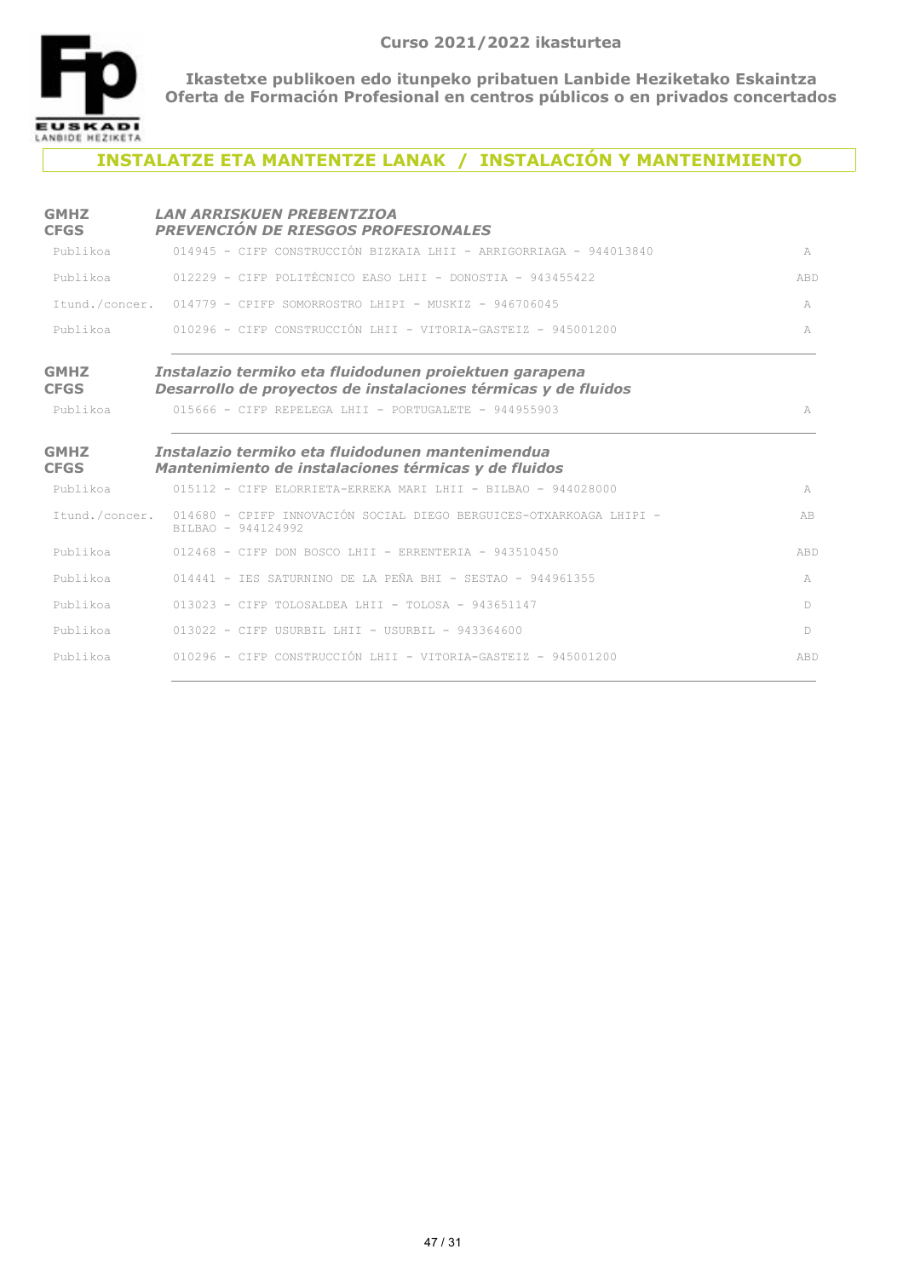

## **INSTALATZE ETA MANTENTZE LANAK / INSTALACIÓN Y MANTENIMIENTO**

| <b>GMHZ</b><br><b>CFGS</b> | <b>LAN ARRISKUEN PREBENTZIOA</b><br>PREVENCIÓN DE RIESGOS PROFESIONALES                                                  |              |
|----------------------------|--------------------------------------------------------------------------------------------------------------------------|--------------|
| Publikoa                   | 014945 - CIFP CONSTRUCCIÓN BIZKAIA LHII - ARRIGORRIAGA - 944013840                                                       | A            |
| Publikoa                   | $012229$ - CIFP POLITÉCNICO FASO LHII - DONOSTIA - 943455422                                                             | ABD          |
|                            | Itund./concer. 014779 - CPIFP SOMORROSTRO LHIPI - MUSKIZ - 946706045                                                     | A            |
| Publikoa                   | $010296$ - CIFP CONSTRUCCIÓN LHII - VITORIA-GASTEIZ - 945001200                                                          | $\mathbb{A}$ |
| <b>GMHZ</b><br><b>CFGS</b> | Instalazio termiko eta fluidodunen proiektuen garapena<br>Desarrollo de proyectos de instalaciones térmicas y de fluidos |              |
| Publikoa                   | $015666$ - CIFP REPELEGA LHII - PORTUGALETE - 944955903                                                                  | A            |
| <b>GMHZ</b><br><b>CFGS</b> | Instalazio termiko eta fluidodunen mantenimendua<br>Mantenimiento de instalaciones térmicas y de fluidos                 |              |
| Publikoa                   | $015112 - C$ TFP ELORRIETA-ERREKA MARI LHII - BILBAO - 944028000                                                         | A            |
|                            | Itund./concer. 014680 - CPIFP INNOVACIÓN SOCIAL DIEGO BERGUICES-OTXARKOAGA LHIPI -<br>BILBAO - 944124992                 | AB           |
| Publikoa                   | $012468$ - CIFP DON BOSCO LHII - ERRENTERIA - 943510450                                                                  | ABD          |
| Publikoa                   | 014441 - IES SATURNINO DE LA PEÑA BHI - SESTAO - 944961355                                                               | A            |
| Publikoa                   | $013023$ - CIFP TOLOSALDEA LHII - TOLOSA - 943651147                                                                     | $\mathbb{D}$ |
| Publikoa                   | $013022$ - CIFP USURBIL LHII - USURBIL - 943364600                                                                       | $\mathbb{D}$ |
| Publikoa                   | 010296 - CIFP CONSTRUCCIÓN LHII - VITORIA-GASTEIZ - 945001200                                                            | ABD          |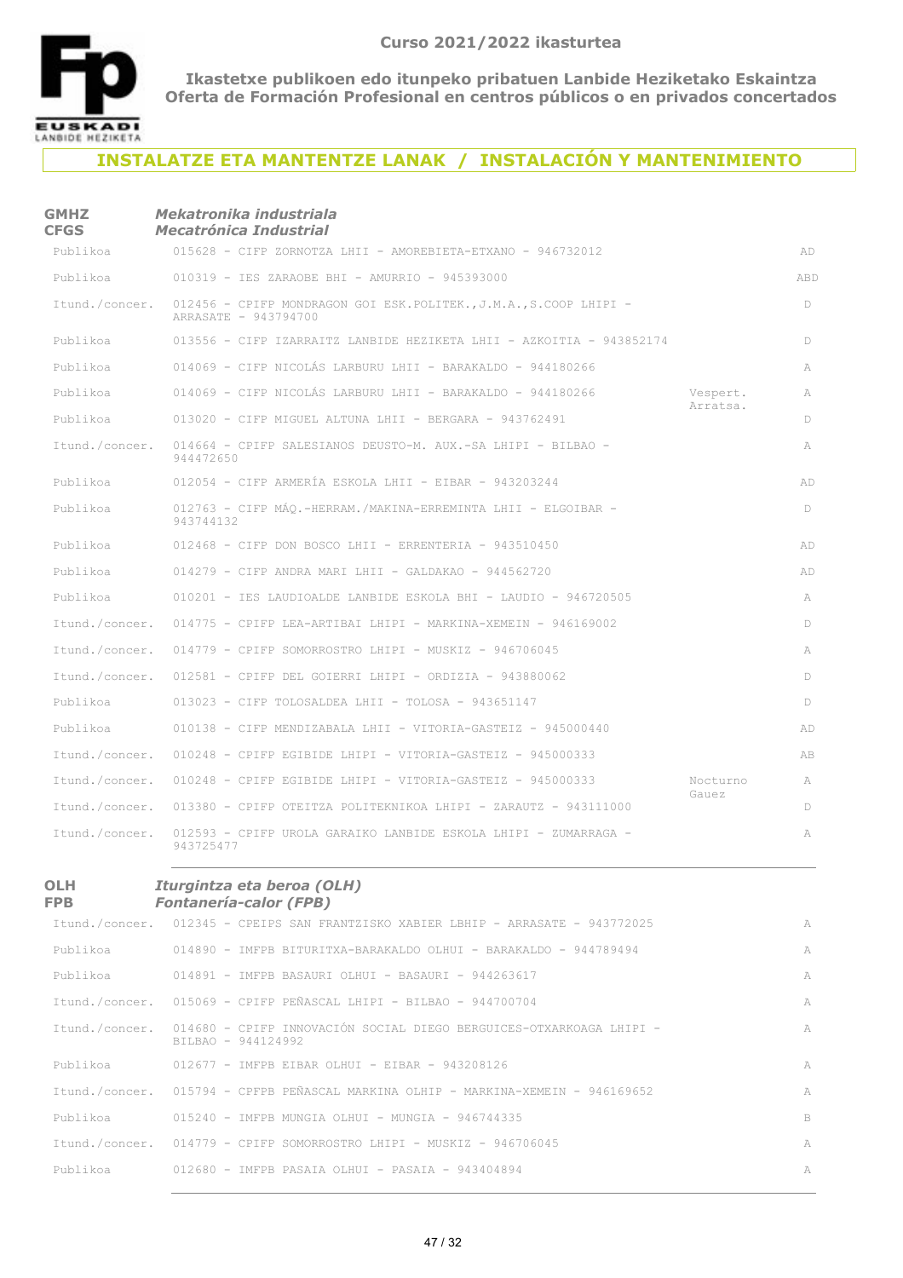

#### **INSTALATZE ETA MANTENTZE LANAK / INSTALACIÓN Y MANTENIMIENTO**

#### **GMHZ CFGS** *Mekatronika industriala Mecatrónica Industrial*

| Publikoa       | 015628 - CIFP ZORNOTZA LHII - AMOREBIETA-ETXANO - 946732012                               |                      | AD  |
|----------------|-------------------------------------------------------------------------------------------|----------------------|-----|
| Publikoa       | 010319 - IES ZARAOBE BHI - AMURRIO - 945393000                                            |                      | ABD |
| Itund./concer. | 012456 - CPIFP MONDRAGON GOI ESK.POLITEK., J.M.A., S.COOP LHIPI -<br>ARRASATE - 943794700 |                      | D   |
| Publikoa       | 013556 - CIFP IZARRAITZ LANBIDE HEZIKETA LHII - AZKOITIA - 943852174                      |                      | D   |
| Publikoa       | 014069 - CIFP NICOLÁS LARBURU LHII - BARAKALDO - 944180266                                |                      | A   |
| Publikoa       | 014069 - CIFP NICOLÁS LARBURU LHII - BARAKALDO - 944180266                                | Vespert.<br>Arratsa. | A   |
| Publikoa       | $013020$ - CIFP MIGUEL ALTUNA LHII - BERGARA - 943762491                                  |                      | D   |
| Itund./concer. | 014664 - CPIFP SALESIANOS DEUSTO-M. AUX.-SA LHIPI - BILBAO -<br>944472650                 |                      | A   |
| Publikoa       | $012054$ - CIFP ARMERÍA ESKOLA LHII - EIBAR - 943203244                                   |                      | AD  |
| Publikoa       | 012763 - CIFP MAO.-HERRAM./MAKINA-ERREMINTA LHII - ELGOIBAR -<br>943744132                |                      | D.  |
| Publikoa       | $012468$ - CIFP DON BOSCO LHII - ERRENTERIA - 943510450                                   |                      | AD  |
| Publikoa       | $014279$ - CIFP ANDRA MARI LHII - GALDAKAO - 944562720                                    |                      | AD  |
| Publikoa       | 010201 - IES LAUDIOALDE LANBIDE ESKOLA BHI - LAUDIO - 946720505                           |                      | A   |
| Itund./concer. | $014775$ - CPIFP LEA-ARTIBAI LHIPI - MARKINA-XEMEIN - 946169002                           |                      | D   |
| Itund./concer. | 014779 - CPIFP SOMORROSTRO LHIPI - MUSKIZ - 946706045                                     |                      | A   |
| Itund./concer. | $012581$ - CPIFP DEL GOIERRI LHIPI - ORDIZIA - 943880062                                  |                      | D   |
| Publikoa       | $013023$ - CIFP TOLOSALDEA LHII - TOLOSA - 943651147                                      |                      | D   |
| Publikoa       | 010138 - CIFP MENDIZABALA LHII - VITORIA-GASTEIZ - 945000440                              |                      | AD  |
| Itund./concer. | $010248$ - CPIFP EGIBIDE LHIPI - VITORIA-GASTEIZ - 945000333                              |                      | AB  |
| Itund./concer. | $010248$ - CPIFP EGIBIDE LHIPI - VITORIA-GASTEIZ - 945000333                              | Nocturno             | A   |
| Itund./concer. | $013380$ - CPIFP OTEITZA POLITEKNIKOA LHIPI - ZARAUTZ - 943111000                         | Gauez                | D.  |
| Itund./concer. | 012593 - CPIFP UROLA GARAIKO LANBIDE ESKOLA LHIPI - ZUMARRAGA -<br>943725477              |                      | A   |

#### **OLH FPB**

#### *Iturgintza eta beroa (OLH)*

#### *Fontanería-calor (FPB)*

|          | Itund./concer. 012345 - CPEIPS SAN FRANTZISKO XABIER LBHIP - ARRASATE - 943772025                        | A  |
|----------|----------------------------------------------------------------------------------------------------------|----|
|          | Publikoa 644789494 - IMFPB BITURITXA-BARAKALDO OLHUI - BARAKALDO - 944789494                             | A  |
|          | Publikoa 614891 - IMFPB BASAURI OLHUI - BASAURI - 944263617                                              | A  |
|          | Itund./concer. 015069 - CPIFP PEÑASCAL LHIPI - BILBAO - 944700704                                        | A  |
|          | Itund./concer. 014680 - CPIFP INNOVACIÓN SOCIAL DIEGO BERGUICES-OTXARKOAGA LHIPI -<br>BILBAO - 944124992 | A  |
|          | Publikoa 612677 - IMFPB EIBAR OLHUI - EIBAR - 943208126                                                  | A  |
|          | Itund./concer. 015794 - CPFPB PEÑASCAL MARKINA OLHIP - MARKINA-XEMEIN - 946169652                        | A  |
| Publikoa | 015240 - IMFPB MUNGTA OLHUI - MUNGTA - 946744335                                                         | B. |
|          | Itund./concer. 014779 - CPIFP SOMORROSTRO LHIPI - MUSKIZ - 946706045                                     | A  |
| Publikoa | 012680 - IMFPB PASAIA OLHUI - PASAIA - 943404894                                                         | A  |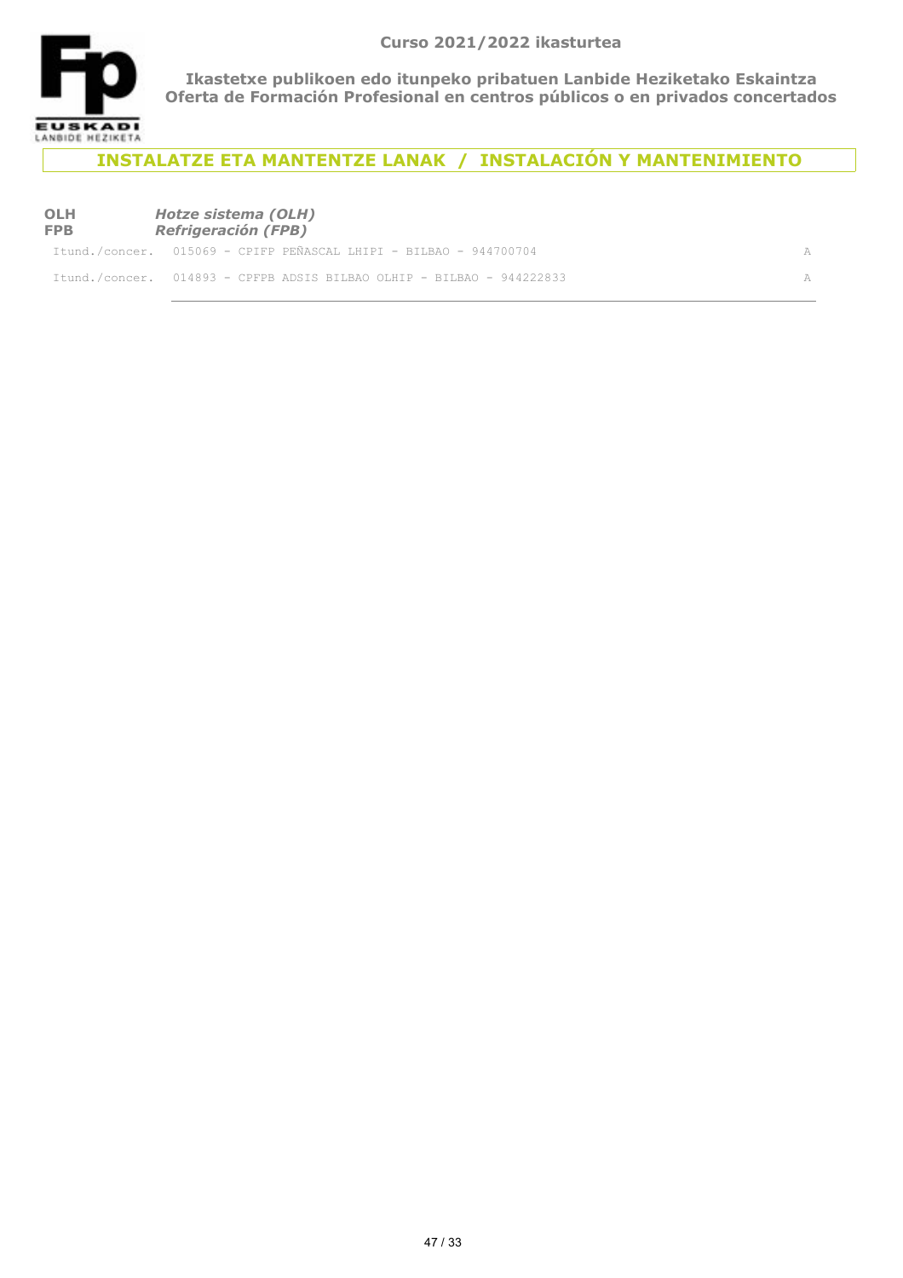

**INSTALATZE ETA MANTENTZE LANAK / INSTALACIÓN Y MANTENIMIENTO**

#### **OLH FPB** *Hotze sistema (OLH) Refrigeración (FPB)*

| Itund./concer. 015069 - CPIFP PEÑASCAL LHIPI - BILBAO - 944700704     |  |
|-----------------------------------------------------------------------|--|
| Itund./concer. 014893 - CPFPB ADSIS BILBAO OLHIP - BILBAO - 944222833 |  |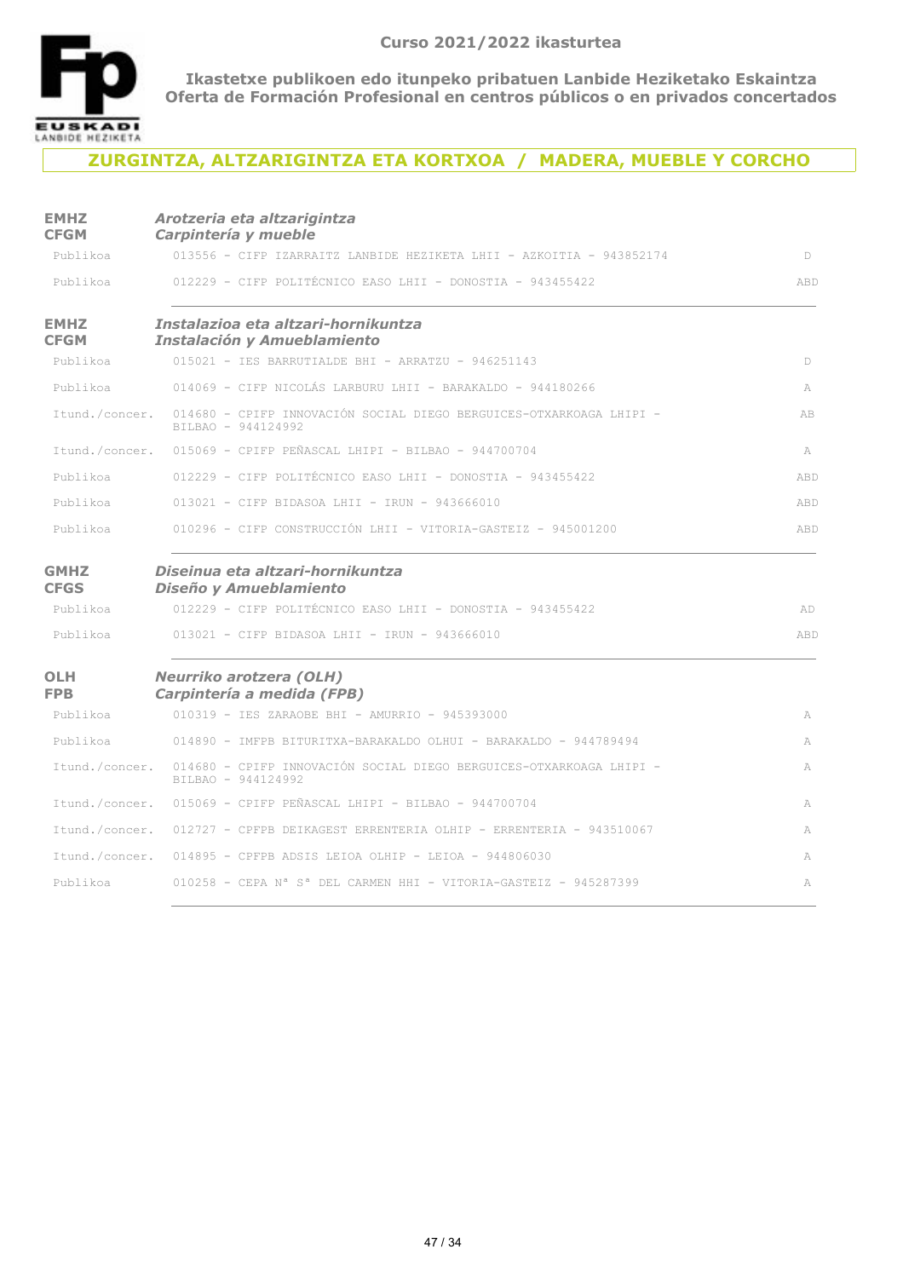

### **ZURGINTZA, ALTZARIGINTZA ETA KORTXOA / MADERA, MUEBLE Y CORCHO**

| <b>EMHZ</b><br><b>CFGM</b> | Arotzeria eta altzarigintza<br>Carpintería y mueble                                        |     |
|----------------------------|--------------------------------------------------------------------------------------------|-----|
| Publikoa                   | 013556 - CIFP IZARRAITZ LANBIDE HEZIKETA LHII - AZKOITIA - 943852174                       | D   |
| Publikoa                   | 012229 - CIFP POLITÉCNICO EASO LHII - DONOSTIA - 943455422                                 | ABD |
| <b>EMHZ</b><br><b>CFGM</b> | Instalazioa eta altzari-hornikuntza<br><b>Instalación y Amueblamiento</b>                  |     |
| Publikoa                   | 015021 - IES BARRUTIALDE BHI - ARRATZU - 946251143                                         | D   |
| Publikoa                   | 014069 - CIFP NICOLÁS LARBURU LHII - BARAKALDO - 944180266                                 | A   |
| Itund./concer.             | 014680 - CPIFP INNOVACIÓN SOCIAL DIEGO BERGUICES-OTXARKOAGA LHIPI -<br>BILBAO - 944124992  | AB  |
| Itund./concer.             | 015069 - CPIFP PEÑASCAL LHIPI - BILBAO - 944700704                                         | A   |
| Publikoa                   | 012229 - CIFP POLITÉCNICO EASO LHII - DONOSTIA - 943455422                                 | ABD |
| Publikoa                   | 013021 - CIFP BIDASOA LHII - IRUN - 943666010                                              | ABD |
| Publikoa                   | 010296 - CIFP CONSTRUCCIÓN LHII - VITORIA-GASTEIZ - 945001200                              | ABD |
| <b>GMHZ</b><br><b>CFGS</b> | Diseinua eta altzari-hornikuntza<br>Diseño y Amueblamiento                                 |     |
| Publikoa                   | 012229 - CIFP POLITÉCNICO EASO LHII - DONOSTIA - 943455422                                 | AD  |
| Publikoa                   | 013021 - CIFP BIDASOA LHII - IRUN - 943666010                                              | ABD |
| <b>OLH</b><br><b>FPB</b>   | <b>Neurriko arotzera (OLH)</b><br>Carpintería a medida (FPB)                               |     |
| Publikoa                   | 010319 - IES ZARAOBE BHI - AMURRIO - 945393000                                             | A   |
| Publikoa                   | 014890 - IMFPB BITURITXA-BARAKALDO OLHUI - BARAKALDO - 944789494                           | A   |
| Itund./concer.             | 014680 - CPIFP INNOVACIÓN SOCIAL DIEGO BERGUICES-OTXARKOAGA LHIPI -<br>BILBAO - 944124992  | A   |
|                            | Itund./concer. 015069 - CPIFP PEÑASCAL LHIPI - BILBAO - 944700704                          | A   |
|                            | Itund./concer. 012727 - CPFPB DEIKAGEST ERRENTERIA OLHIP - ERRENTERIA - 943510067          | A   |
|                            | Itund./concer. 014895 - CPFPB ADSIS LEIOA OLHIP - LEIOA - 944806030                        | A   |
| Publikoa                   | $010258$ - CEPA N <sup>a</sup> S <sup>a</sup> DEL CARMEN HHI - VITORIA-GASTEIZ - 945287399 | A   |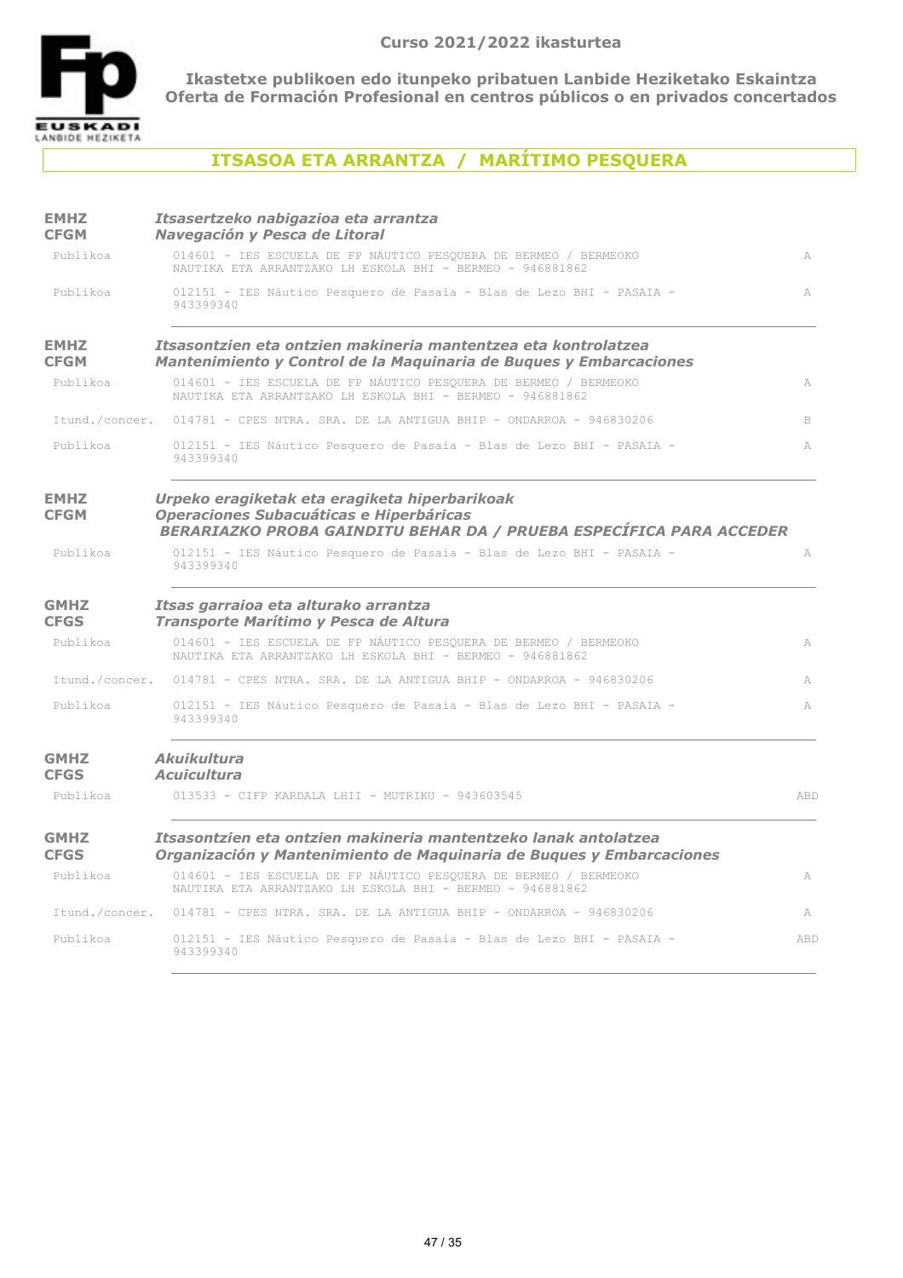

## **ITSASOA ETA ARRANTZA / MARÍTIMO PESQUERA**

| <b>EMHZ</b><br><b>CFGM</b> | Itsasertzeko nabigazioa eta arrantza<br>Navegación y Pesca de Litoral                                                                                           |              |
|----------------------------|-----------------------------------------------------------------------------------------------------------------------------------------------------------------|--------------|
| Publikoa                   | 014601 - IES ESCUELA DE FP NÁUTICO PESOUERA DE BERMEO / BERMEOKO<br>NAUTIKA ETA ARRANTZAKO LH ESKOLA BHI - BERMEO - 946881862                                   | A            |
| Publikoa                   | 012151 - IES Náutico Pesquero de Pasaia - Blas de Lezo BHI - PASAIA -<br>943399340                                                                              | $\mathbb{A}$ |
| <b>EMHZ</b><br><b>CFGM</b> | Itsasontzien eta ontzien makineria mantentzea eta kontrolatzea<br>Mantenimiento y Control de la Maguinaria de Bugues y Embarcaciones                            |              |
| Publikoa                   | 014601 - IES ESCUELA DE FP NÁUTICO PESOUERA DE BERMEO / BERMEOKO<br>NAUTIKA ETA ARRANTZAKO LH ESKOLA BHI - BERMEO - 946881862                                   | A            |
| Itund./concer.             | $014781$ - CPES NTRA. SRA. DE LA ANTIGUA BHIP - ONDARROA - 946830206                                                                                            | B            |
| Publikoa                   | 012151 - IES Náutico Pesquero de Pasaia - Blas de Lezo BHI - PASAIA -<br>943399340                                                                              | A            |
| <b>EMHZ</b><br><b>CFGM</b> | Urpeko eragiketak eta eragiketa hiperbarikoak<br>Operaciones Subacuáticas e Hiperbáricas<br>BERARIAZKO PROBA GAINDITU BEHAR DA / PRUEBA ESPECÍFICA PARA ACCEDER |              |
| Publikoa                   | 012151 - IES Náutico Pesquero de Pasaia - Blas de Lezo BHI - PASAIA -<br>943399340                                                                              | A            |
| <b>GMHZ</b><br><b>CFGS</b> | Itsas garraioa eta alturako arrantza<br>Transporte Marítimo y Pesca de Altura                                                                                   |              |
| Publikoa                   | 014601 - IES ESCUELA DE FP NÁUTICO PESQUERA DE BERMEO / BERMEOKO<br>NAUTIKA ETA ARRANTZAKO LH ESKOLA BHI - BERMEO - 946881862                                   | A            |
|                            | Itund./concer. 014781 - CPES NTRA. SRA. DE LA ANTIGUA BHIP - ONDARROA - 946830206                                                                               | A            |
| Publikoa                   | 012151 - IES Náutico Pesquero de Pasaia - Blas de Lezo BHI - PASAIA -<br>943399340                                                                              | A            |
| <b>GMHZ</b><br><b>CFGS</b> | Akuikultura<br><b>Acuicultura</b>                                                                                                                               |              |
| Publikoa                   | 013533 - CIFP KARDALA LHII - MUTRIKU - 943603545                                                                                                                | ABD          |
| <b>GMHZ</b><br><b>CFGS</b> | Itsasontzien eta ontzien makineria mantentzeko lanak antolatzea<br>Organización y Mantenimiento de Maquinaria de Buques y Embarcaciones                         |              |
| Publikoa                   | 014601 - IES ESCUELA DE FP NÁUTICO PESOUERA DE BERMEO / BERMEOKO<br>NAUTIKA ETA ARRANTZAKO LH ESKOLA BHI - BERMEO - 946881862                                   | A            |
| Itund./concer.             | $014781$ - CPES NTRA. SRA. DE LA ANTIGUA BHIP - ONDARROA - 946830206                                                                                            | A            |
| Publikoa                   | 012151 - IES Náutico Pesquero de Pasaia - Blas de Lezo BHI - PASAIA -<br>943399340                                                                              | ABD          |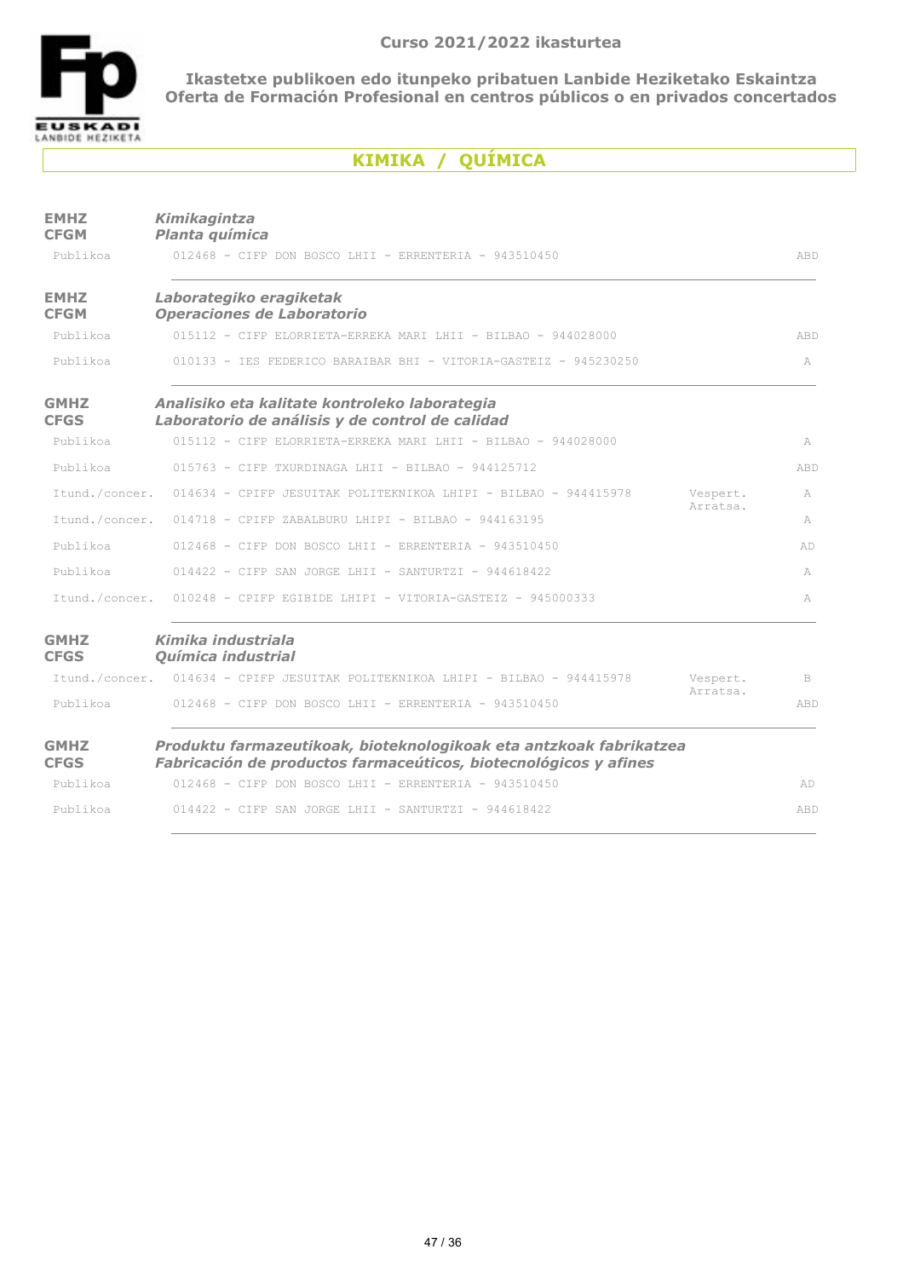

# **KIMIKA / QUÍMICA**

| <b>EMHZ</b><br><b>CFGM</b> | Kimikagintza<br>Planta química                                                                                                         |                      |     |
|----------------------------|----------------------------------------------------------------------------------------------------------------------------------------|----------------------|-----|
| Publikoa                   | $012468$ - CIFP DON BOSCO LHII - ERRENTERIA - 943510450                                                                                |                      | ABD |
| <b>EMHZ</b><br><b>CFGM</b> | Laborategiko eragiketak<br>Operaciones de Laboratorio                                                                                  |                      |     |
| Publikoa                   | 015112 - CIFP ELORRIETA-ERREKA MARI LHII - BILBAO - 944028000                                                                          |                      | ABD |
| Publikoa                   | 010133 - IES FEDERICO BARAIBAR BHI - VITORIA-GASTEIZ - 945230250                                                                       |                      | A   |
| <b>GMHZ</b><br><b>CFGS</b> | Analisiko eta kalitate kontroleko laborategia<br>Laboratorio de análisis y de control de calidad                                       |                      |     |
| Publikoa                   | $015112 - CTFP$ FLORRIETA-ERREKA MARI LHII - BILBAO - 944028000                                                                        |                      | A   |
| Publikoa                   | $015763$ - CIFP TXURDINAGA LHII - BILBAO - 944125712                                                                                   |                      | ABD |
|                            | Itund./concer. 014634 - CPIFP JESUITAK POLITEKNIKOA LHIPI - BILBAO - 944415978                                                         | Vespert.             | A   |
| Itund./concer.             | $014718$ - CPIFP ZABALBURU LHIPI - BILBAO - 944163195                                                                                  | Arratsa.             | A   |
| Publikoa                   | $012468$ - CIFP DON BOSCO LHII - ERRENTERIA - 943510450                                                                                |                      | AD  |
| Publikoa                   | $014422$ - CIFP SAN JORGE LHII - SANTURTZI - 944618422                                                                                 |                      | A   |
|                            | Itund./concer. 010248 - CPIFP EGIBIDE LHIPI - VITORIA-GASTEIZ - 945000333                                                              |                      | A   |
| <b>GMHZ</b><br><b>CFGS</b> | Kimika industriala<br>Química industrial                                                                                               |                      |     |
|                            | Itund./concer. 014634 - CPIFP JESUITAK POLITEKNIKOA LHIPI - BILBAO - 944415978                                                         | Vespert.<br>Arratsa. | B   |
| Publikoa                   | $012468$ - CIFP DON BOSCO LHII - ERRENTERIA - 943510450                                                                                |                      | ABD |
| <b>GMHZ</b><br><b>CFGS</b> | Produktu farmazeutikoak, bioteknologikoak eta antzkoak fabrikatzea<br>Fabricación de productos farmaceúticos, biotecnológicos y afines |                      |     |
| Publikoa                   | $012468$ - CIFP DON BOSCO LHIT - ERRENTERIA - 943510450                                                                                |                      | AD  |
| Publikoa                   | $014422$ - CIFP SAN JORGE LHII - SANTURTZI - 944618422                                                                                 |                      | ABD |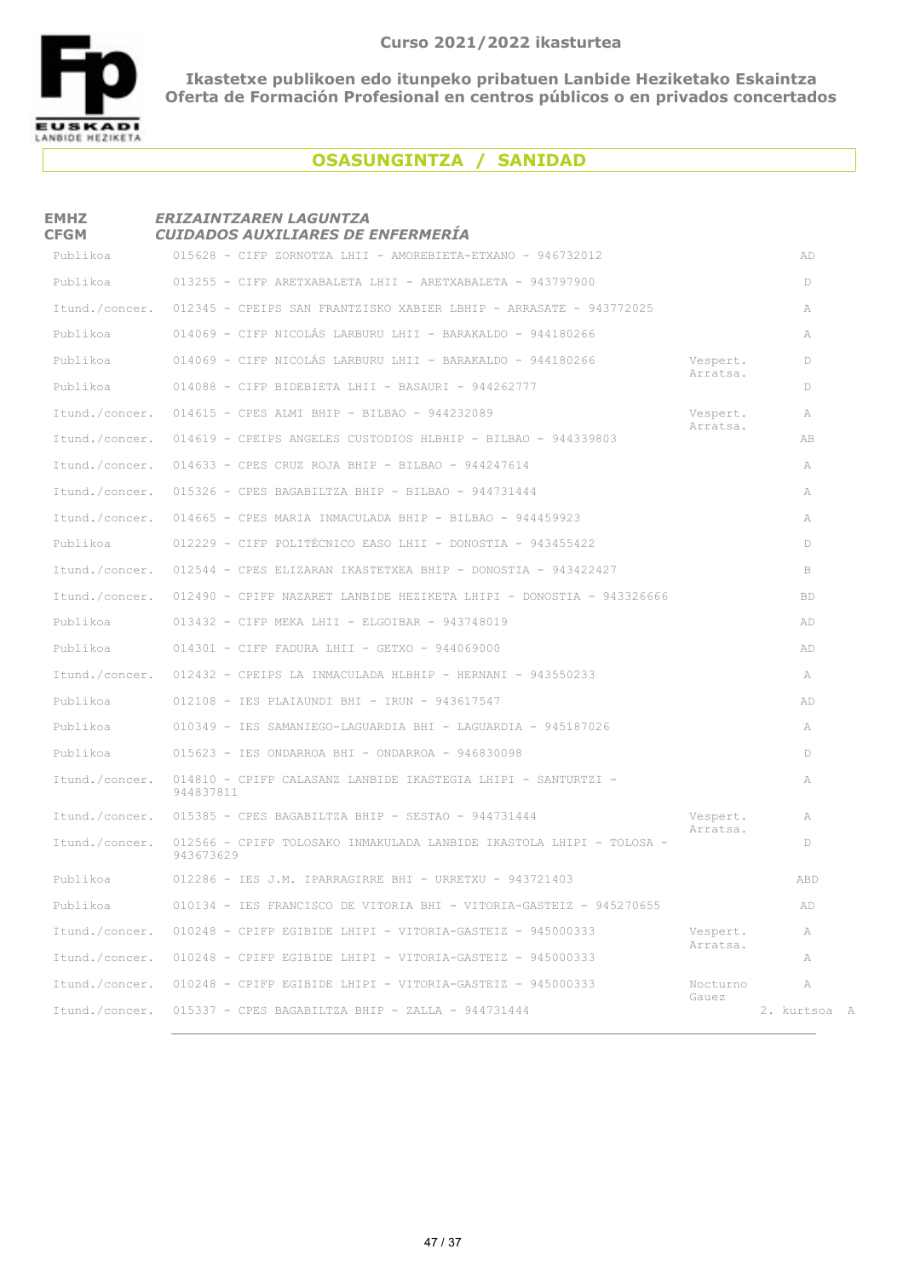

# **OSASUNGINTZA / SANIDAD**

## **EMHZ CFGM** *ERIZAINTZAREN LAGUNTZA CUIDADOS AUXILIARES DE ENFERMERÍA* 015628 - CIFP ZORNOTZA LHII - AMOREBIETA-ETXANO - 946732012 ADPublikoa 013255 - CIFP ARETXABALETA LHII - ARETXABALETA - 943797900 DPublikoa Itund./concer. 012345 - CPEIPS SAN FRANTZISKO XABIER LBHIP - ARRASATE - 943772025 A 014069 - CIFP NICOLÁS LARBURU LHII - BARAKALDO - 944180266 APublikoa Publikoa 614069 - CIFP NICOLÁS LARBURU LHII - BARAKALDO - 944180266 Despert. DPublikoa DPublikoa DPu Arratsa. 014088 - CIFP BIDEBIETA LHII - BASAURI - 944262777 DPublikoa Itund./concer. 014615 - CPES ALMI BHIP - BILBAO - 944232089 **AITUN Vespert.** A Arratsa. 014619 - CPEIPS ANGELES CUSTODIOS HLBHIP - BILBAO - 944339803 ABItund./concer. Itund./concer. 014633 - CPES CRUZ ROJA BHIP - BILBAO - 944247614 AITUND. Itund./concer. 015326 - CPES BAGABILTZA BHIP - BILBAO - 944731444 AITUND.  $I$ <sub>1</sub>  $I$ <sub>14665</sub> - CPES MARIA INMACULADA BHIP - BILBAO - 944459923 012229 - CIFP POLITÉCNICO EASO LHII - DONOSTIA - 943455422 DPublikoa Itund./concer. 012544 - CPES ELIZARAN IKASTETXEA BHIP - DONOSTIA - 943422427 BITUND. Itund./concer. 012490 - CPIFP NAZARET LANBIDE HEZIKETA LHIPI - DONOSTIA - 943326666 BBD ublikoa 013432 - CIFP MEKA LHII - ELGOIBAR - 943748019 ADP blikoa 014301 - CIFP FADURA LHII - GETXO - 944069000 ADPu Itund./concer. 012432 - CPEIPS LA INMACULADA HLBHIP - HERNANI - 943550233 A blikoa 012108 - IES PLAIAUNDI BHI - IRUN - 943617547 ADPu 010349 - IES SAMANIEGO-LAGUARDIA BHI - LAGUARDIA - 945187026 APublikoa Publikoa 015623 - IES ONDARROA BHI - ONDARROA - 946830098 D Itund./concer. 014810 - CPIFP CALASANZ LANBIDE IKASTEGIA LHIPI - SANTURTZI - TANTO ANGLE ANGLE ANGLE ANGLE ANGLE A 944837811 Itund./concer. 015385 - CPES BAGABILTZA BHIP - SESTAO - 944731444 AITUND. Vespert. A Arratsa. Itund./concer. 012566 - CPIFP TOLOSAKO INMAKULADA LANBIDE IKASTOLA LHIPI - TOLOSA -  $D$ 943673629 012286 - IES J.M. IPARRAGIRRE BHI - URRETXU - 943721403 ABDPublikoa 010134 - IES FRANCISCO DE VITORIA BHI - VITORIA-GASTEIZ - 945270655 ADPublikoa Itund./concer. 010248 - CPIFP EGIBIDE LHIPI - VITORIA-GASTEIZ - 945000333 Vespert. A Arratsa. Itund./concer. 010248 - CPIFP EGIBIDE LHIPI - VITORIA-GASTEIZ - 945000333 ATTION A Itund./concer. 010248 - CPIFP EGIBIDE LHIPI - VITORIA-GASTEIZ - 945000333 Mocturno A Gauez Itund./concer. 015337 - CPES BAGABILTZA BHIP - ZALLA - 944731444 2. kurtsoa A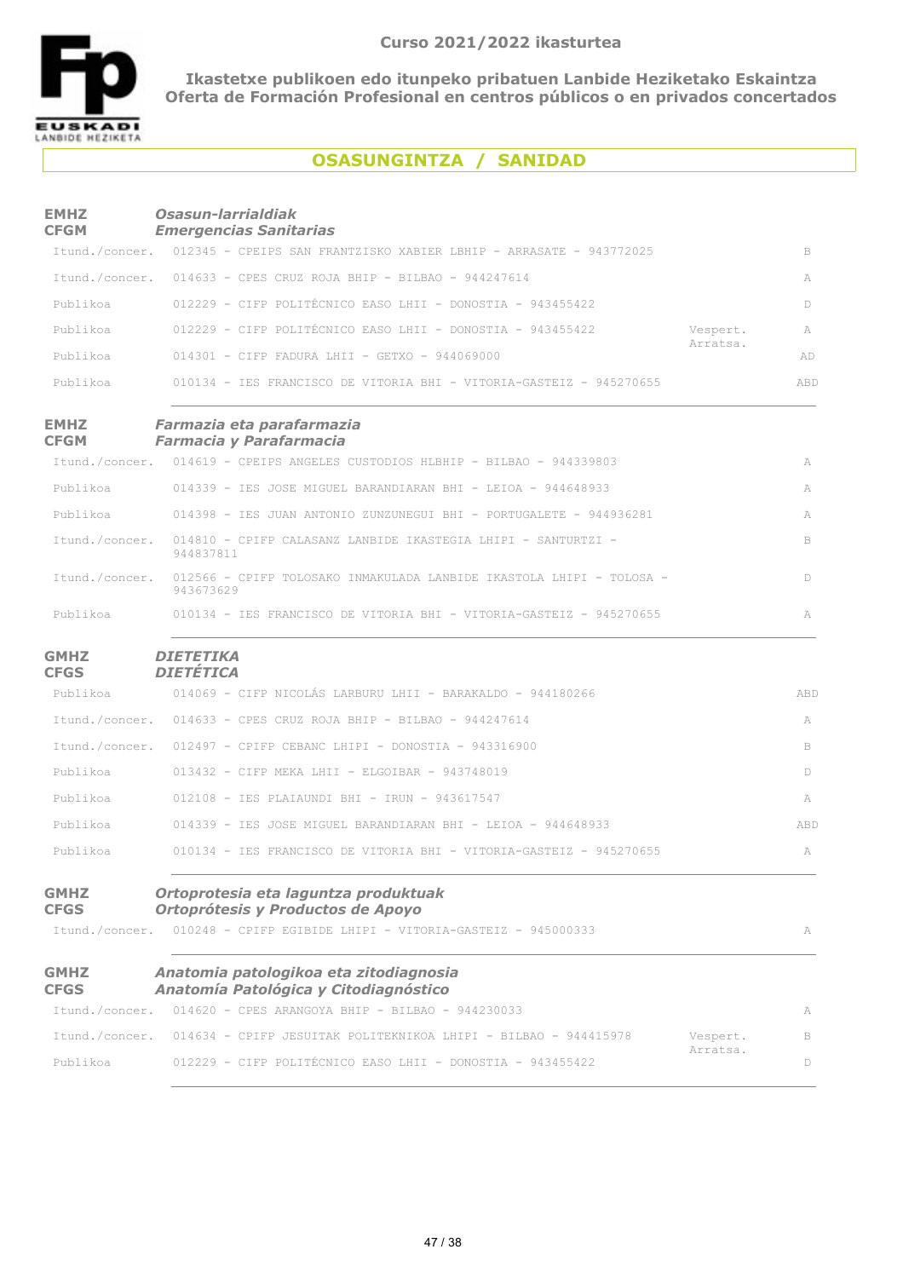

## **OSASUNGINTZA / SANIDAD**

| <b>EMHZ</b><br><b>CFGM</b>                   | Osasun-larrialdiak<br><b>Emergencias Sanitarias</b>                                                                                     |          |     |
|----------------------------------------------|-----------------------------------------------------------------------------------------------------------------------------------------|----------|-----|
|                                              | Itund./concer. 012345 - CPEIPS SAN FRANTZISKO XABIER LBHIP - ARRASATE - 943772025                                                       |          | B   |
|                                              | Itund./concer. 014633 - CPES CRUZ ROJA BHIP - BILBAO - 944247614                                                                        |          | A   |
| Publikoa                                     | 012229 - CIFP POLITÉCNICO EASO LHII - DONOSTIA - 943455422                                                                              |          | D   |
| Publikoa                                     | 012229 - CIFP POLITÉCNICO EASO LHII - DONOSTIA - 943455422                                                                              | Vespert. | A   |
| Publikoa                                     | $014301$ - CIFP FADURA LHII - GETXO - 944069000                                                                                         | Arratsa. | AD  |
| Publikoa                                     | 010134 - IES FRANCISCO DE VITORIA BHI - VITORIA-GASTEIZ - 945270655                                                                     |          | ABD |
| <b>EMHZ</b><br><b>CFGM</b>                   | Farmazia eta parafarmazia<br><b>Farmacia y Parafarmacia</b>                                                                             |          |     |
|                                              | Itund./concer. 014619 - CPEIPS ANGELES CUSTODIOS HLBHIP - BILBAO - 944339803                                                            |          | A   |
| Publikoa                                     | 014339 - IES JOSE MIGUEL BARANDIARAN BHI - LEIOA - 944648933                                                                            |          | A   |
| Publikoa                                     | 014398 - IES JUAN ANTONIO ZUNZUNEGUI BHI - PORTUGALETE - 944936281                                                                      |          | A   |
| Itund./concer.                               | 014810 - CPIFP CALASANZ LANBIDE IKASTEGIA LHIPI - SANTURTZI -<br>944837811                                                              |          | B   |
| Itund./concer.                               | 012566 - CPIFP TOLOSAKO INMAKULADA LANBIDE IKASTOLA LHIPI - TOLOSA -<br>943673629                                                       |          | D   |
| Publikoa                                     | 010134 - IES FRANCISCO DE VITORIA BHI - VITORIA-GASTEIZ - 945270655                                                                     |          | A   |
| <b>GMHZ</b><br><b>CFGS</b>                   | <b>DIETETIKA</b><br><b>DIETÉTICA</b>                                                                                                    |          |     |
| Publikoa                                     | 014069 - CIFP NICOLÁS LARBURU LHII - BARAKALDO - 944180266                                                                              |          | ABD |
|                                              | Itund./concer. 014633 - CPES CRUZ ROJA BHIP - BILBAO - 944247614                                                                        |          | A   |
|                                              | Itund./concer. 012497 - CPIFP CEBANC LHIPI - DONOSTIA - 943316900                                                                       |          | B   |
| Publikoa                                     | $013432$ - CIFP MEKA LHII - ELGOIBAR - 943748019                                                                                        |          | D   |
| Publikoa                                     | 012108 - IES PLAIAUNDI BHI - IRUN - 943617547                                                                                           |          | A   |
| Publikoa                                     | 014339 - IES JOSE MIGUEL BARANDIARAN BHI - LEIOA - 944648933                                                                            |          | ABD |
| Publikoa                                     | 010134 - IES FRANCISCO DE VITORIA BHI - VITORIA-GASTEIZ - 945270655                                                                     |          | A   |
| <b>GMHZ</b><br><b>CFGS</b><br>Itund./concer. | Ortoprotesia eta laguntza produktuak<br>Ortoprótesis y Productos de Apoyo<br>010248 - CPIFP EGIBIDE LHIPI - VITORIA-GASTEIZ - 945000333 |          | A   |
|                                              |                                                                                                                                         |          |     |
| <b>GMHZ</b><br><b>CFGS</b>                   | Anatomia patologikoa eta zitodiagnosia<br>Anatomía Patológica y Citodiagnóstico                                                         |          |     |
|                                              | Itund./concer. 014620 - CPES ARANGOYA BHIP - BILBAO - 944230033                                                                         |          | A   |
|                                              | Itund./concer. 014634 - CPIFP JESUITAK POLITEKNIKOA LHIPI - BILBAO - 944415978                                                          | Vespert. | B   |
| Publikoa                                     | 012229 - CIFP POLITÉCNICO EASO LHII - DONOSTIA - 943455422                                                                              | Arratsa. | D   |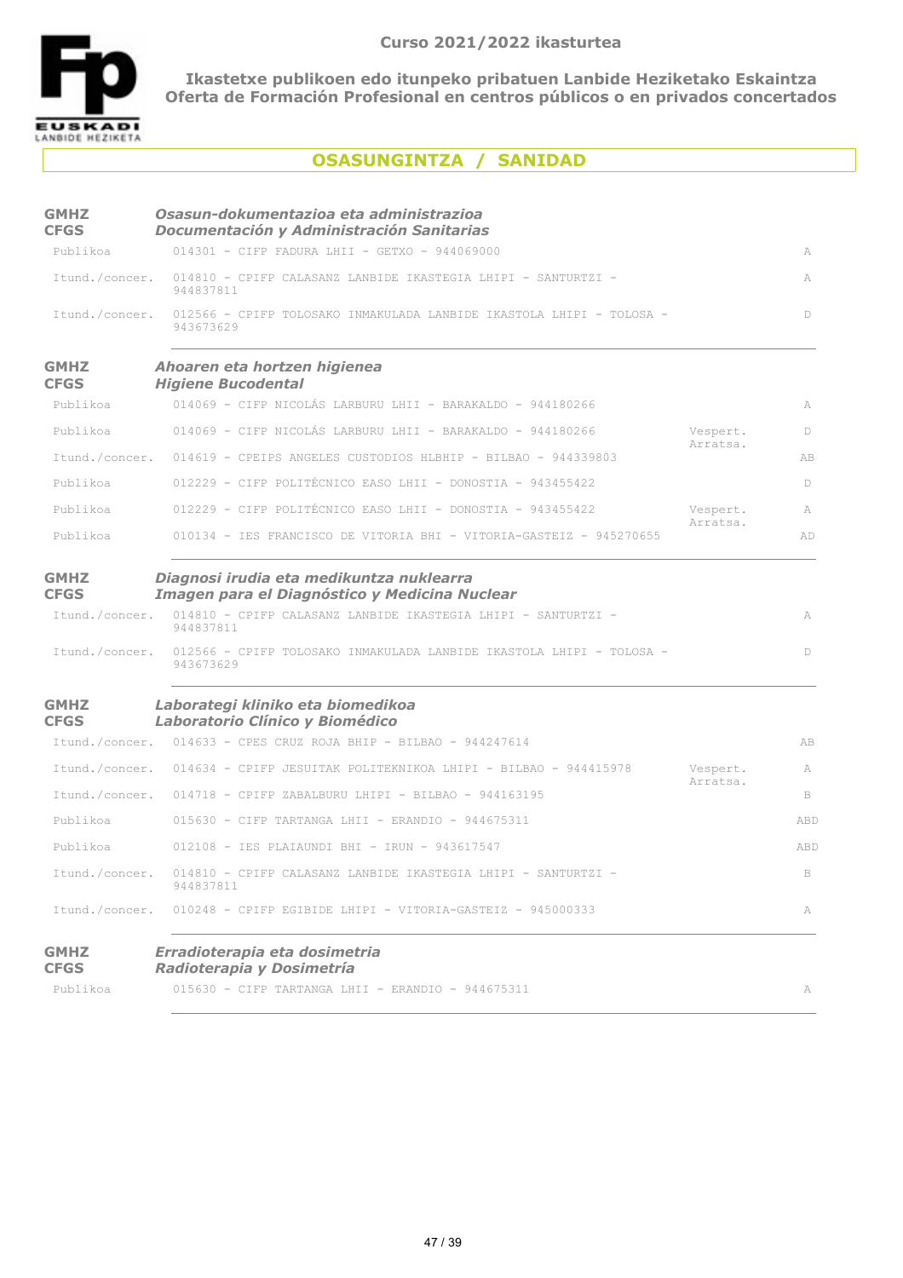

## **OSASUNGINTZA / SANIDAD**

| <b>GMHZ</b><br><b>CFGS</b> | Osasun-dokumentazioa eta administrazioa<br>Documentación y Administración Sanitarias      |                      |              |
|----------------------------|-------------------------------------------------------------------------------------------|----------------------|--------------|
| Publikoa                   | 014301 - CIFP FADURA LHII - GETXO - 944069000                                             |                      | A            |
| Itund./concer.             | 014810 - CPIFP CALASANZ LANBIDE IKASTEGIA LHIPI - SANTURTZI -<br>944837811                |                      | A            |
| Itund./concer.             | 012566 - CPIFP TOLOSAKO INMAKULADA LANBIDE IKASTOLA LHIPI - TOLOSA -<br>943673629         |                      | D            |
| <b>GMHZ</b><br><b>CFGS</b> | Ahoaren eta hortzen higienea<br><b>Higiene Bucodental</b>                                 |                      |              |
| Publikoa                   | 014069 - CIFP NICOLÁS LARBURU LHII - BARAKALDO - 944180266                                |                      | A            |
| Publikoa                   | 014069 - CIFP NICOLÁS LARBURU LHII - BARAKALDO - 944180266                                | Vespert.<br>Arratsa. | D            |
| Itund./concer.             | 014619 - CPEIPS ANGELES CUSTODIOS HLBHIP - BILBAO - 944339803                             |                      | AB           |
| Publikoa                   | 012229 - CIFP POLITÉCNICO EASO LHII - DONOSTIA - 943455422                                |                      | $\mathbb{D}$ |
| Publikoa                   | 012229 - CIFP POLITÉCNICO EASO LHII - DONOSTIA - 943455422                                | Vespert.             | A            |
| Publikoa                   | 010134 - IES FRANCISCO DE VITORIA BHI - VITORIA-GASTEIZ - 945270655                       | Arratsa.             | AD           |
| <b>GMHZ</b><br><b>CFGS</b> | Diagnosi irudia eta medikuntza nuklearra<br>Imagen para el Diagnóstico y Medicina Nuclear |                      |              |
| Itund./concer.             | 014810 - CPIFP CALASANZ LANBIDE IKASTEGIA LHIPI - SANTURTZI -<br>944837811                |                      | A            |
| Itund./concer.             | 012566 - CPIFP TOLOSAKO INMAKULADA LANBIDE IKASTOLA LHIPI - TOLOSA -<br>943673629         |                      | D            |
| <b>GMHZ</b><br><b>CFGS</b> | Laborategi kliniko eta biomedikoa<br>Laboratorio Clínico y Biomédico                      |                      |              |
|                            | Itund./concer. 014633 - CPES CRUZ ROJA BHIP - BILBAO - 944247614                          |                      | AB           |
|                            | Itund./concer. 014634 - CPIFP JESUITAK POLITEKNIKOA LHIPI - BILBAO - 944415978            | Vespert.             | A            |
|                            | Itund./concer. 014718 - CPIFP ZABALBURU LHIPI - BILBAO - 944163195                        | Arratsa.             | B            |
| Publikoa                   | $015630$ - CIFP TARTANGA LHII - ERANDIO - 944675311                                       |                      | ABD          |
| Publikoa                   | 012108 - IES PLAIAUNDI BHI - IRUN - 943617547                                             |                      | ABD          |
| Itund./concer.             | 014810 - CPIFP CALASANZ LANBIDE IKASTEGIA LHIPI - SANTURTZI -<br>944837811                |                      | B            |
| Itund./concer.             | $010248$ - CPIFP EGIBIDE LHIPI - VITORIA-GASTEIZ - 945000333                              |                      | A            |
| <b>GMHZ</b><br><b>CFGS</b> | Erradioterapia eta dosimetria<br>Radioterapia y Dosimetría                                |                      |              |
| Publikoa                   | $015630$ - CIFP TARTANGA LHII - ERANDIO - 944675311                                       |                      | A            |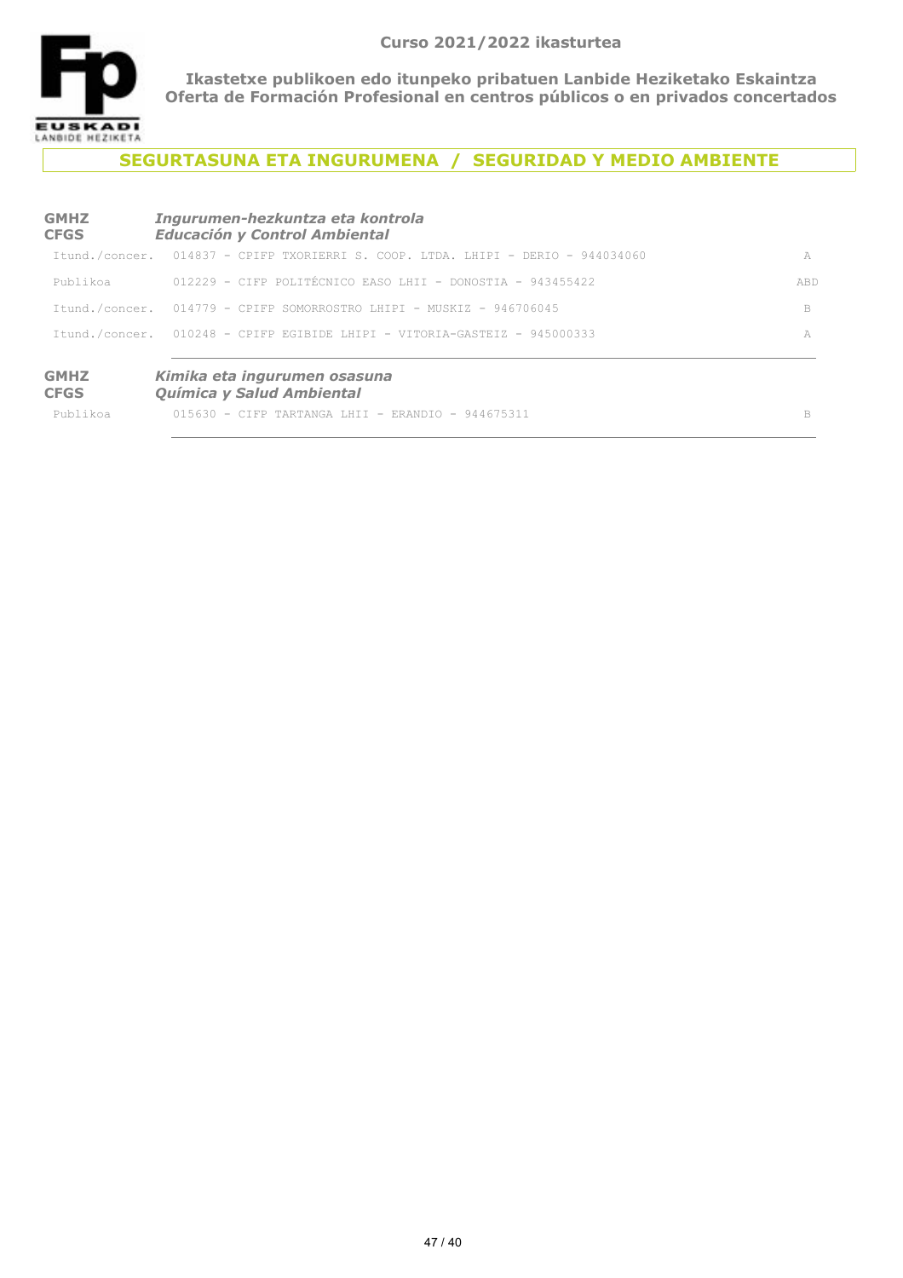

## **SEGURTASUNA ETA INGURUMENA / SEGURIDAD Y MEDIO AMBIENTE**

| <b>GMHZ</b><br><b>CFGS</b> | Ingurumen-hezkuntza eta kontrola<br><b>Educación y Control Ambiental</b>         |     |
|----------------------------|----------------------------------------------------------------------------------|-----|
|                            | Itund./concer. 014837 - CPIFP TXORIERRI S. COOP. LTDA. LHIPI - DERIO - 944034060 | A   |
| Publikoa                   | $012229$ - CIFP POLITECNICO EASO LHII - DONOSTIA - 943455422                     | ABD |
|                            | Itund./concer. 014779 - CPIFP SOMORROSTRO LHIPI - MUSKIZ - 946706045             | B   |
|                            | Itund./concer. 010248 - CPIFP EGIBIDE LHIPI - VITORIA-GASTEIZ - 945000333        | A   |
| <b>GMHZ</b><br><b>CFGS</b> | Kimika eta ingurumen osasuna<br>Química y Salud Ambiental                        |     |
| Publikoa                   | $015630 - C$ TFP TARTANGA LHII - ERANDIO - 944675311                             | B   |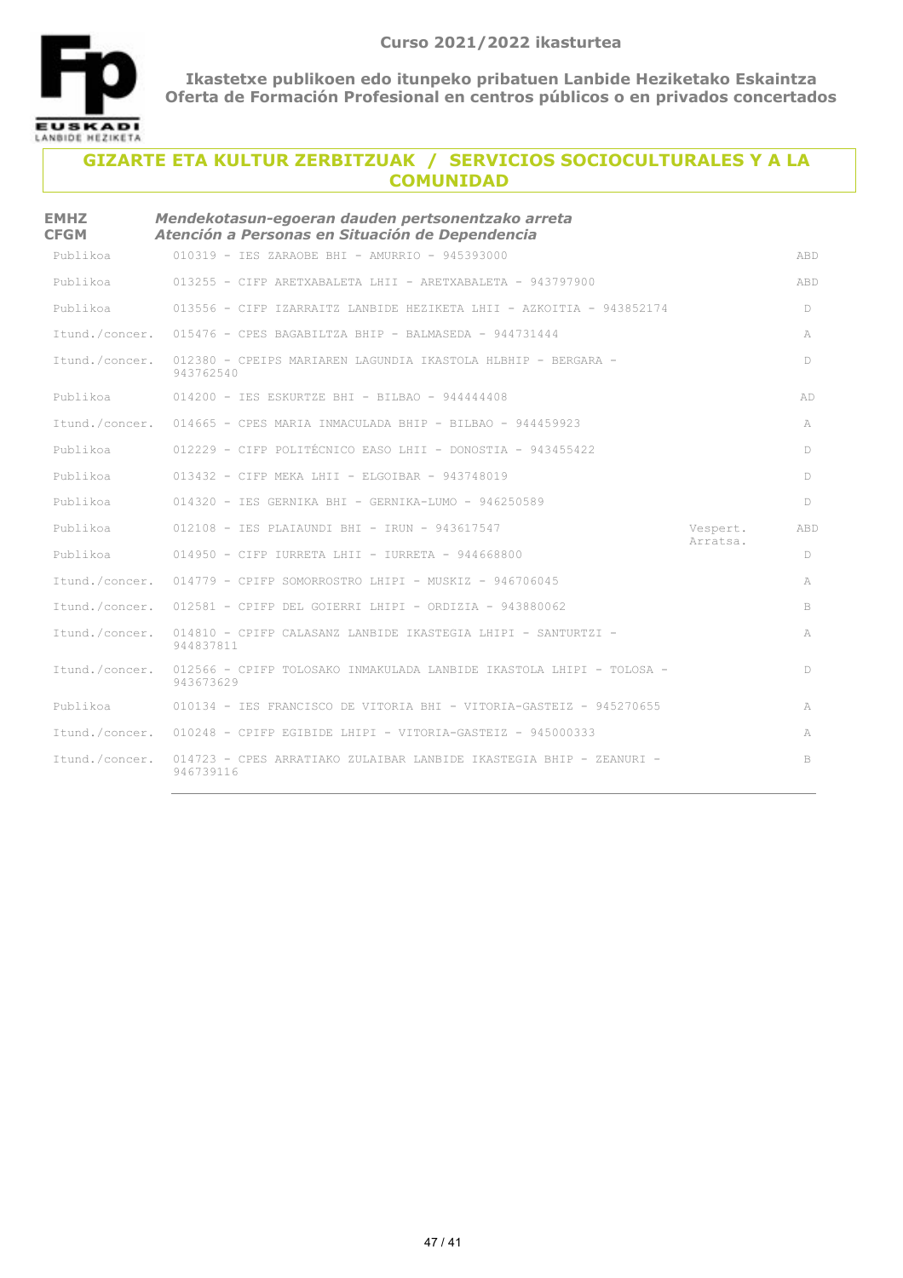

| <b>EMHZ</b><br><b>CFGM</b> | Mendekotasun-egoeran dauden pertsonentzako arreta<br>Atención a Personas en Situación de Dependencia |                      |            |
|----------------------------|------------------------------------------------------------------------------------------------------|----------------------|------------|
| Publikoa                   | 010319 - IES ZARAOBE BHI - AMURRIO - 945393000                                                       |                      | <b>ABD</b> |
| Publikoa                   | 013255 - CIFP ARETXABALETA LHII - ARETXABALETA - 943797900                                           |                      | ABD        |
| Publikoa                   | 013556 - CIFP IZARRAITZ LANBIDE HEZIKETA LHII - AZKOITIA - 943852174                                 |                      | D          |
| Itund./concer.             | $015476$ - CPES BAGABILTZA BHIP - BALMASEDA - 944731444                                              |                      | А          |
| Itund./concer.             | 012380 - CPEIPS MARIAREN LAGUNDIA IKASTOLA HLBHIP - BERGARA -<br>943762540                           |                      | D          |
| Publikoa                   | $014200 - IES ESKURIZE BHI - BILBAO - 944444408$                                                     |                      | AD         |
| Itund./concer.             | $014665$ - CPES MARIA INMACULADA BHIP - BILBAO - 944459923                                           |                      | A          |
| Publikoa                   | 012229 - CIFP POLITÉCNICO EASO LHII - DONOSTIA - 943455422                                           |                      | D.         |
| Publikoa                   | $013432$ - CIFP MEKA LHII - ELGOIBAR - 943748019                                                     |                      | D          |
| Publikoa                   | 014320 - IES GERNIKA BHI - GERNIKA-LUMO - 946250589                                                  |                      | D          |
| Publikoa                   | 012108 - IES PLAIAUNDI BHI - IRUN - 943617547                                                        | Vespert.<br>Arratsa. | ABD        |
| Publikoa                   | $014950$ - CIFP IURRETA LHII - IURRETA - 944668800                                                   |                      | D          |
| Ttund./concer.             | $014779$ - CPIFP SOMORROSTRO LHIPI - MUSKIZ - 946706045                                              |                      | A          |
| Itund./concer.             | $012581$ - CPIFP DEL GOIERRI LHIPI - ORDIZIA - 943880062                                             |                      | B.         |
| Itund./concer.             | 014810 - CPIFP CALASANZ LANBIDE IKASTEGIA LHIPI - SANTURTZI -<br>944837811                           |                      | A          |
| Itund./concer.             | 012566 - CPIFP TOLOSAKO INMAKULADA LANBIDE IKASTOLA LHIPI - TOLOSA -<br>943673629                    |                      | D          |
| Publikoa                   | 010134 - IES FRANCISCO DE VITORIA BHI - VITORIA-GASTEIZ - 945270655                                  |                      | A          |
|                            | Itund./concer. 010248 - CPIFP EGIBIDE LHIPI - VITORIA-GASTEIZ - 945000333                            |                      | A          |
| Itund./concer.             | 014723 - CPES ARRATIAKO ZULAIBAR LANBIDE IKASTEGIA BHIP - ZEANURI -<br>946739116                     |                      | B          |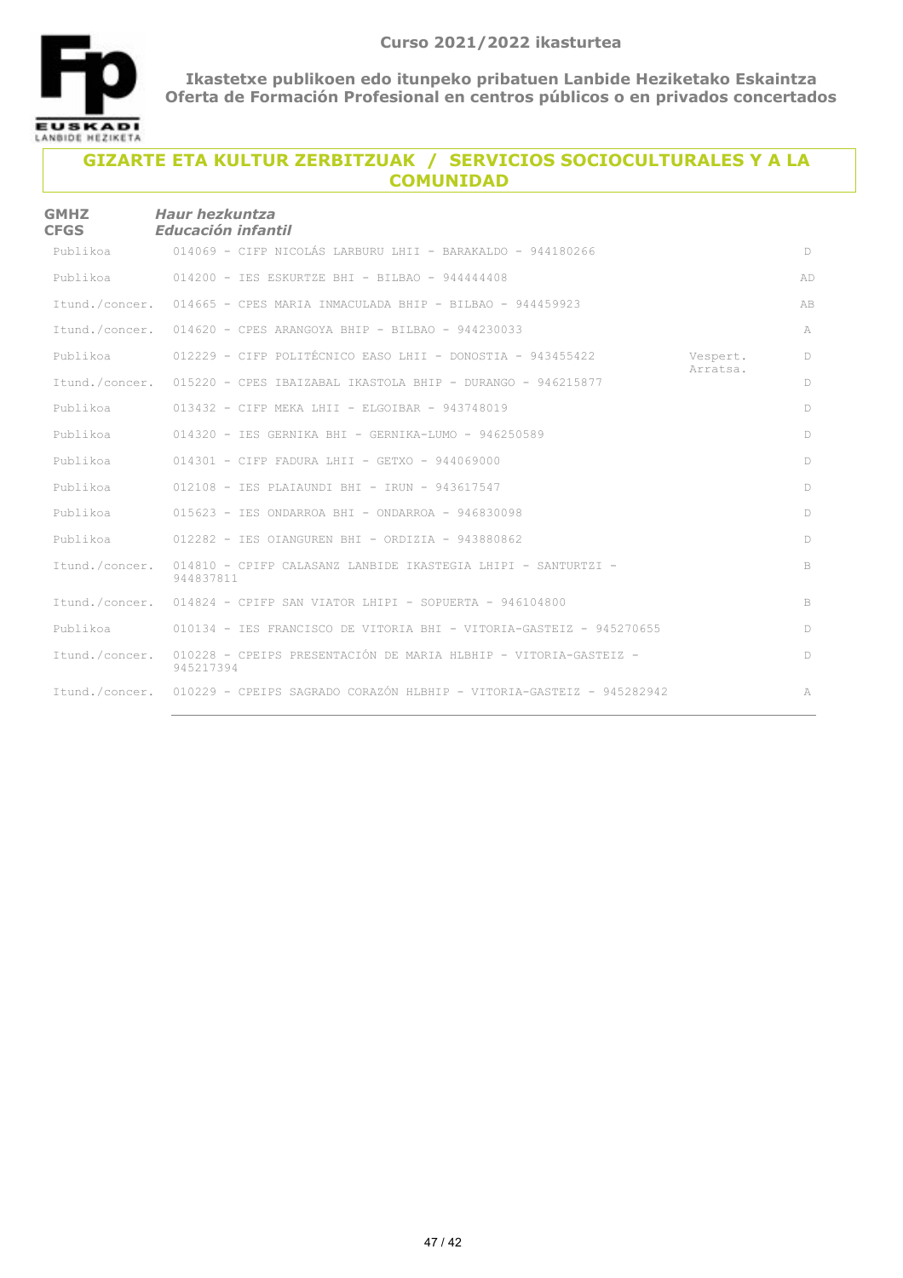

| <b>GMHZ</b><br><b>CFGS</b> | <b>Haur hezkuntza</b><br>Educación infantil                                         |                      |              |
|----------------------------|-------------------------------------------------------------------------------------|----------------------|--------------|
| Publikoa                   | 014069 - CIFP NICOLÁS LARBURU LHII - BARAKALDO - 944180266                          |                      | D            |
| Publikoa                   | $014200 -$ TES ESKURTZE BHT - BILBAO - 944444408                                    |                      | AD           |
|                            | Itund./concer. 014665 - CPES MARIA INMACULADA BHIP - BILBAO - 944459923             |                      | AB           |
|                            | Itund./concer. 014620 - CPES ARANGOYA BHIP - BILBAO - 944230033                     |                      | A            |
| Publikoa                   | $012229$ - CIFP POLITÉCNICO EASO LHII - DONOSTIA - 943455422                        | Vespert.<br>Arratsa. | $\mathbb{D}$ |
| Itund./concer.             | 015220 - CPES IBAIZABAL IKASTOLA BHIP - DURANGO - 946215877                         |                      | $\mathbb{D}$ |
| Publikoa                   | $013432$ - CIFP MEKA LHII - ELGOIBAR - 943748019                                    |                      | D            |
| Publikoa                   | $014320 - TES$ GERNIKA BHI - GERNIKA-LUMO - 946250589                               |                      | D            |
| Publikoa                   | $014301$ - CIFP FADURA LHII - GETXO - 944069000                                     |                      | $\mathbb{D}$ |
| Publikoa                   | 012108 - IES PLAIAUNDI BHI - IRUN - 943617547                                       |                      | D            |
| Publikoa                   | $015623$ - IES ONDARROA BHI - ONDARROA - 946830098                                  |                      | D            |
| Publikoa                   | $012282$ - IES OIANGUREN BHI - ORDIZIA - 943880862                                  |                      | D            |
| Itund./concer.             | 014810 - CPIFP CALASANZ LANBIDE IKASTEGIA LHIPI - SANTURTZI -<br>944837811          |                      | B            |
|                            | Itund./concer. 014824 - CPIFP SAN VIATOR LHIPI - SOPUERTA - 946104800               |                      | B            |
| Publikoa                   | 010134 - IES FRANCISCO DE VITORIA BHI - VITORIA-GASTEIZ - 945270655                 |                      | D            |
| Itund./concer.             | 010228 - CPEIPS PRESENTACIÓN DE MARIA HLBHIP - VITORIA-GASTEIZ -<br>945217394       |                      | D            |
|                            | Itund./concer. 010229 - CPEIPS SAGRADO CORAZÓN HLBHIP - VITORIA-GASTEIZ - 945282942 |                      | A            |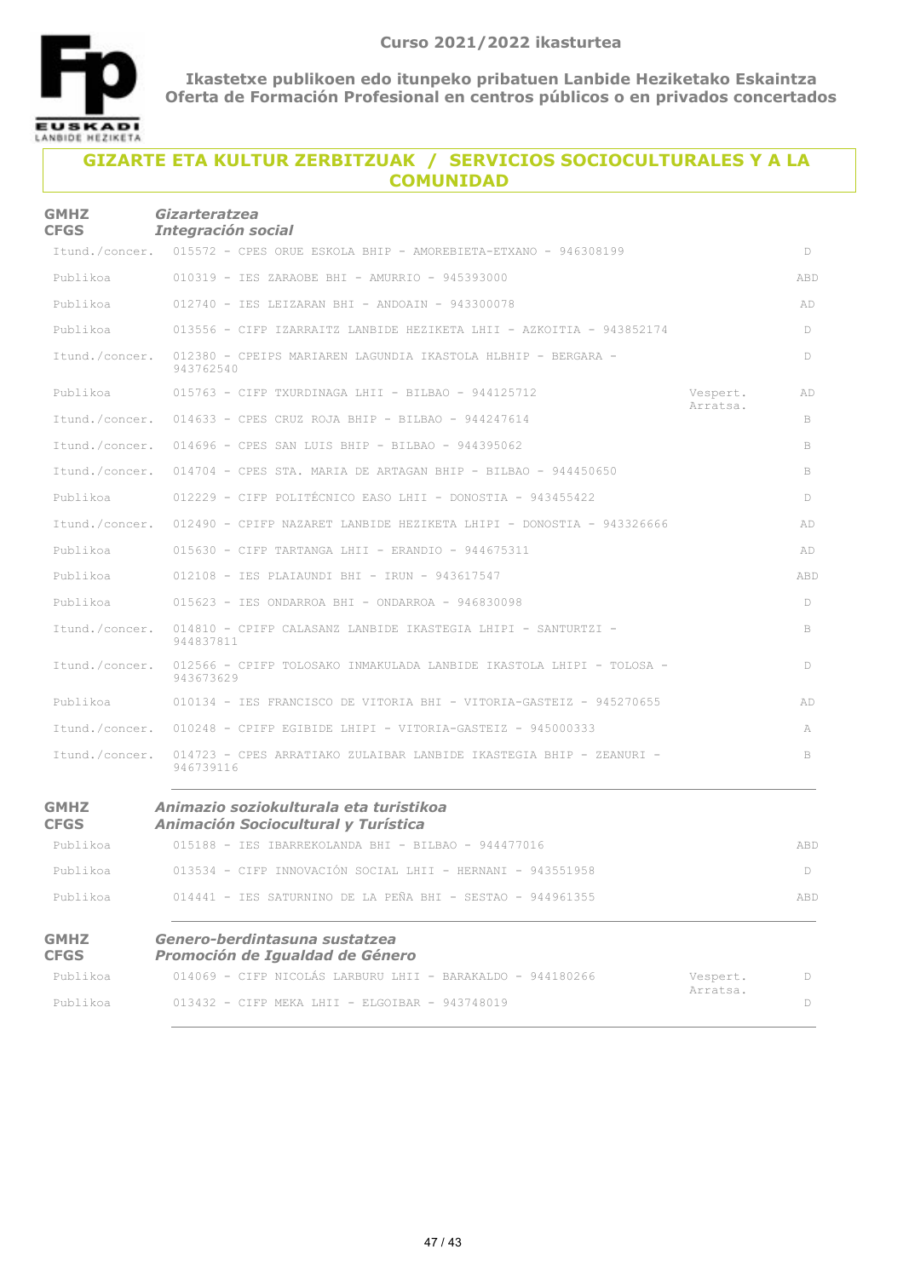

| <b>GMHZ</b><br><b>CFGS</b> | <b>Gizarteratzea</b><br><b>Integración social</b>                                    |                      |     |
|----------------------------|--------------------------------------------------------------------------------------|----------------------|-----|
|                            | Itund./concer. 015572 - CPES ORUE ESKOLA BHIP - AMOREBIETA-ETXANO - 946308199        |                      | D   |
| Publikoa                   | 010319 - IES ZARAOBE BHI - AMURRIO - 945393000                                       |                      | ABD |
| Publikoa                   | $012740$ - IES LEIZARAN BHI - ANDOAIN - 943300078                                    |                      | AD  |
| Publikoa                   | 013556 - CIFP IZARRAITZ LANBIDE HEZIKETA LHII - AZKOITIA - 943852174                 |                      | D   |
| Itund./concer.             | 012380 - CPEIPS MARIAREN LAGUNDIA IKASTOLA HLBHIP - BERGARA -<br>943762540           |                      | D   |
| Publikoa                   | $015763$ - CIFP TXURDINAGA LHII - BILBAO - 944125712                                 | Vespert.<br>Arratsa. | AD  |
| Itund./concer.             | 014633 - CPES CRUZ ROJA BHIP - BILBAO - 944247614                                    |                      | B   |
| Itund./concer.             | 014696 - CPES SAN LUIS BHIP - BILBAO - 944395062                                     |                      | B   |
| Itund./concer.             | $014704$ - CPES STA. MARIA DE ARTAGAN BHIP - BILBAO - 944450650                      |                      | B   |
| Publikoa                   | 012229 - CIFP POLITÉCNICO EASO LHII - DONOSTIA - 943455422                           |                      | D   |
| Itund./concer.             | 012490 - CPIFP NAZARET LANBIDE HEZIKETA LHIPI - DONOSTIA - 943326666                 |                      | AD  |
| Publikoa                   | $015630$ - CIFP TARTANGA LHII - ERANDIO - 944675311                                  |                      | AD  |
| Publikoa                   | 012108 - IES PLAIAUNDI BHI - IRUN - 943617547                                        |                      | ABD |
| Publikoa                   | $015623 - IES ONDARROA BHI - ONDARROA - 946830098$                                   |                      | D   |
| Itund./concer.             | 014810 - CPIFP CALASANZ LANBIDE IKASTEGIA LHIPI - SANTURTZI -<br>944837811           |                      | B   |
| Itund./concer.             | 012566 - CPIFP TOLOSAKO INMAKULADA LANBIDE IKASTOLA LHIPI - TOLOSA -<br>943673629    |                      | D   |
| Publikoa                   | 010134 - IES FRANCISCO DE VITORIA BHI - VITORIA-GASTEIZ - 945270655                  |                      | AD  |
| Itund./concer.             | $010248$ - CPIFP EGIBIDE LHIPI - VITORIA-GASTEIZ - 945000333                         |                      | A   |
| Itund./concer.             | 014723 - CPES ARRATIAKO ZULAIBAR LANBIDE IKASTEGIA BHIP - ZEANURI -<br>946739116     |                      | B   |
| <b>GMHZ</b><br><b>CFGS</b> | Animazio soziokulturala eta turistikoa<br><b>Animación Sociocultural y Turística</b> |                      |     |
| Publikoa                   | 015188 - IES IBARREKOLANDA BHI - BILBAO - 944477016                                  |                      | ABD |
| Publikoa                   | 013534 - CIFP INNOVACIÓN SOCIAL LHII - HERNANI - 943551958                           |                      | D   |
| Publikoa                   | 014441 - IES SATURNINO DE LA PEÑA BHI - SESTAO - 944961355                           |                      | ABD |
| <b>GMHZ</b><br><b>CFGS</b> | Genero-berdintasuna sustatzea<br>Promoción de Igualdad de Género                     |                      |     |
| Publikoa                   | 014069 - CIFP NICOLÁS LARBURU LHII - BARAKALDO - 944180266                           | Vespert.             | D   |
| Publikoa                   | 013432 - CIFP MEKA LHII - ELGOIBAR - 943748019                                       | Arratsa.             | D   |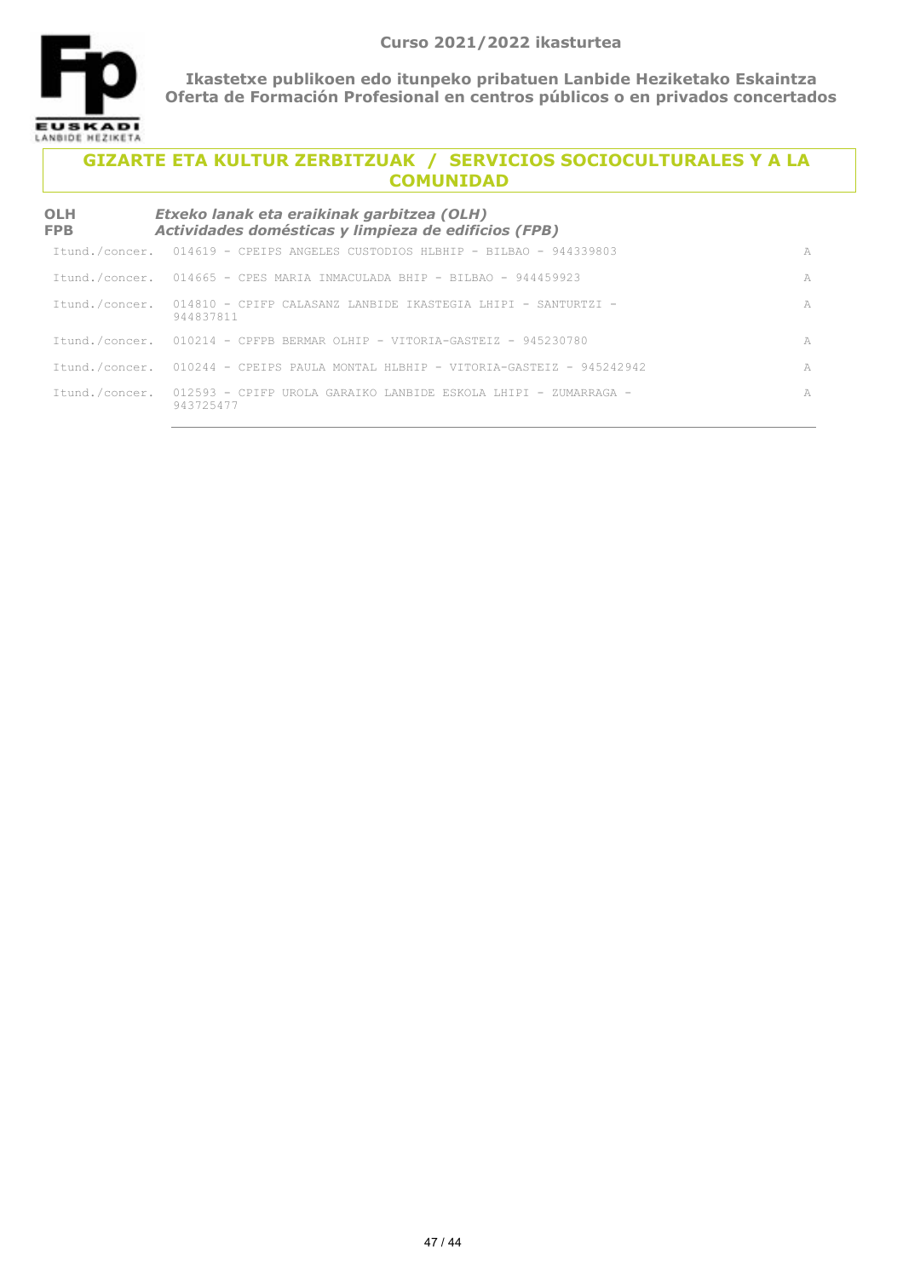

| OLH<br><b>FPB</b> | Etxeko lanak eta eraikinak garbitzea (OLH)<br>Actividades domésticas y limpieza de edificios (FPB) |   |
|-------------------|----------------------------------------------------------------------------------------------------|---|
|                   | Itund./concer. 014619 - CPEIPS ANGELES CUSTODIOS HLBHIP - BILBAO - 944339803                       | A |
|                   | Itund./concer. 014665 - CPES MARIA INMACULADA BHIP - BILBAO - 944459923                            | A |
| Itund./concer.    | 014810 - CPIFP CALASANZ LANBIDE IKASTEGIA LHIPI - SANTURTZI -<br>944837811                         | A |
|                   | Itund./concer. 010214 - CPFPB BERMAR OLHIP - VITORIA-GASTEIZ - 945230780                           | A |
|                   | Itund./concer. 010244 - CPEIPS PAULA MONTAL HLBHIP - VITORIA-GASTEIZ - 945242942                   | A |
| Itund./concer.    | -012593 - CPIFP UROLA GARAIKO LANBIDE ESKOLA LHIPI - ZUMARRAGA -<br>943725477                      | A |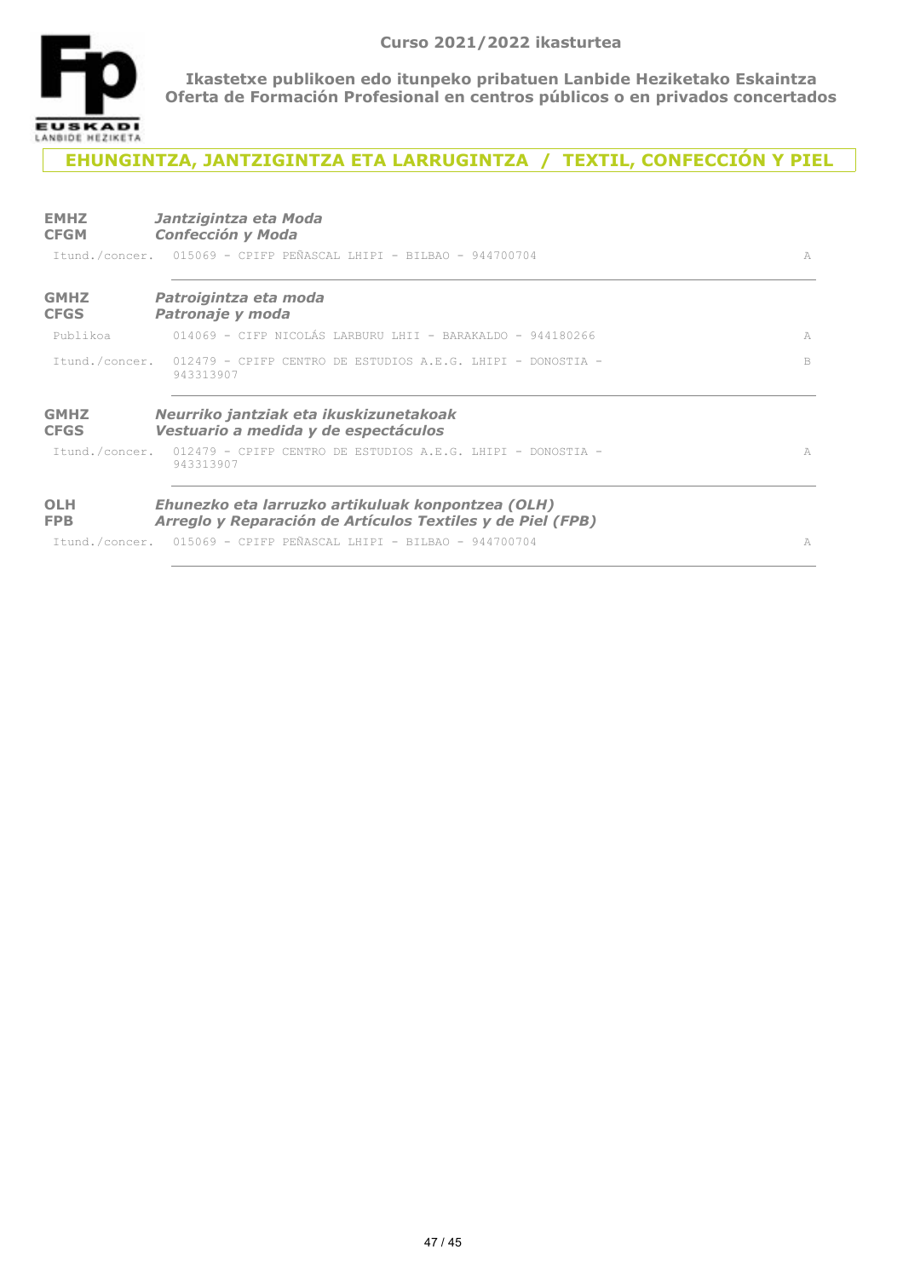

## **EHUNGINTZA, JANTZIGINTZA ETA LARRUGINTZA / TEXTIL, CONFECCIÓN Y PIEL**

| <b>EMHZ</b><br><b>CFGM</b> | Jantzigintza eta Moda<br><b>Confección y Moda</b><br>Itund./concer. 015069 - CPIFP PEÑASCAL LHIPI - BILBAO - 944700704 | A |
|----------------------------|------------------------------------------------------------------------------------------------------------------------|---|
| <b>GMHZ</b><br><b>CFGS</b> | Patroigintza eta moda<br>Patronaje y moda                                                                              |   |
| Publikoa                   | 014069 - CIFP NICOLÁS LARBURU LHII - BARAKALDO - 944180266                                                             | A |
|                            | Itund./concer. 012479 - CPIFP CENTRO DE ESTUDIOS A.E.G. LHIPI - DONOSTIA -<br>943313907                                | B |
| <b>GMHZ</b><br><b>CFGS</b> | Neurriko jantziak eta ikuskizunetakoak<br>Vestuario a medida y de espectáculos                                         |   |
|                            | Ttund./concer. 012479 - CPIFP CENTRO DE ESTUDIOS A.E.G. LHIPI - DONOSTIA -<br>943313907                                | A |
| <b>OLH</b><br><b>FPB</b>   | Ehunezko eta larruzko artikuluak konpontzea (OLH)<br>Arreglo y Reparación de Artículos Textiles y de Piel (FPB)        |   |
|                            | Itund./concer. 015069 - CPIFP PEÑASCAL LHIPI - BILBAO - 944700704                                                      | A |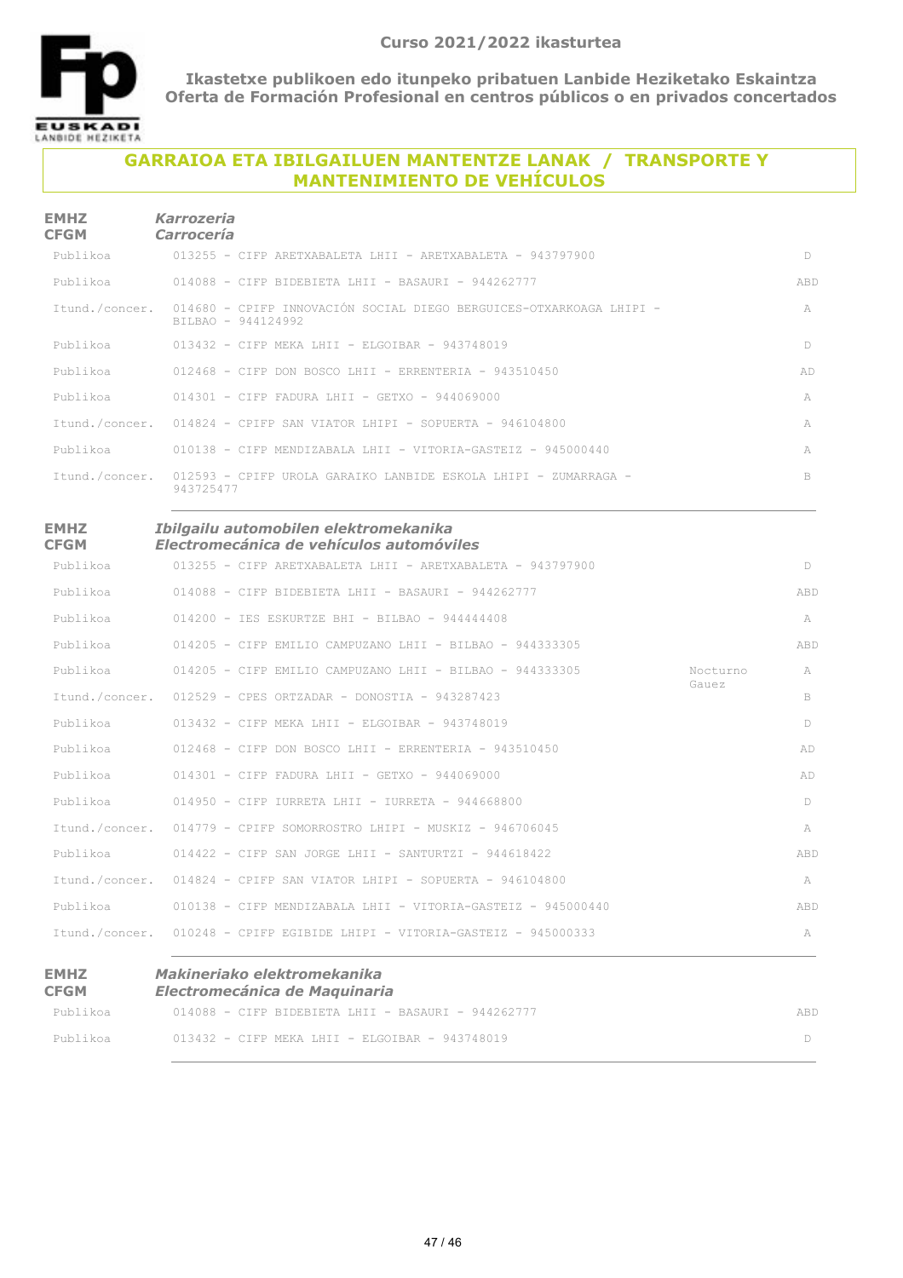

## **GARRAIOA ETA IBILGAILUEN MANTENTZE LANAK / TRANSPORTE Y MANTENIMIENTO DE VEHÍCULOS**

| <b>EMHZ</b><br><b>CFGM</b> | Karrozeria<br>Carrocería                                                                  |                     |
|----------------------------|-------------------------------------------------------------------------------------------|---------------------|
|                            | Publikoa 613255 - CIFP ARETXABALETA LHII - ARETXABALETA - 943797900                       | $\Box$              |
|                            | Publikoa 614088 - CIFP BIDEBIETA LHII - BASAURI - 944262777                               | ABD.                |
| Ttund./concer.             | 014680 - CPIFP INNOVACIÓN SOCIAL DIEGO BERGUICES-OTXARKOAGA LHIPI -<br>BILBAO - 944124992 | $\overline{\wedge}$ |
|                            | Publikoa 613432 - CIFP MEKA LHII - ELGOIBAR - 943748019                                   | D                   |
|                            | Publikoa 612468 - CIFP DON BOSCO LHII - ERRENTERIA - 943510450                            | AD                  |
|                            | Publikoa $014301 - CIFP FADURA LHII - GETXO - 944069000$                                  | A                   |
|                            | Itund./concer. 014824 - CPIFP SAN VIATOR LHIPI - SOPUERTA - 946104800                     | $\mathbb{A}$        |
|                            | Publikoa 610138 - CIFP MENDIZABALA LHII - VITORIA-GASTEIZ - 945000440                     | A                   |
| Itund./concer.             | -012593 - CPIFP UROLA GARAIKO LANBIDE ESKOLA LHIPI - ZUMARRAGA -<br>943725477             | B.                  |

| <b>EMHZ</b> | Ibilgailu automobilen elektromekanika    |
|-------------|------------------------------------------|
| <b>CFGM</b> | Electromecánica de vehículos automóviles |

| Publikoa | $013255$ - CIFP ARETXABALETA LHII - ARETXABALETA - 943797900              |                   | D   |
|----------|---------------------------------------------------------------------------|-------------------|-----|
|          | Publikoa 614088 - CIFP BIDEBIETA LHII - BASAURI - 944262777               |                   | ABD |
|          | Publikoa 614200 - IES ESKURTZE BHI - BILBAO - 944444408                   |                   | A   |
| Publikoa | 014205 - CIFP EMILIO CAMPUZANO LHII - BILBAO - 944333305                  |                   | ABD |
|          | Publikoa 614205 - CIFP EMILIO CAMPUZANO LHII - BILBAO - 944333305         | Nocturno<br>Gauez | A   |
|          | Itund./concer. 012529 - CPES ORTZADAR - DONOSTIA - 943287423              |                   | B   |
|          | Publikoa $013432 - CIFP MEKA LHII - ELGOIBAR - 943748019$                 |                   | D   |
|          | Publikoa $012468$ - CIFP DON BOSCO LHII - ERRENTERIA - 943510450          |                   | AD  |
|          | Publikoa $014301 - CIFF FADURA LHT - GETXO - 944069000$                   |                   | AD  |
|          | Publikoa $014950 - C$ EFP TURRETA LHIT - TURRETA - 944668800              |                   | D   |
|          | Itund./concer. 014779 - CPIFP SOMORROSTRO LHIPI - MUSKIZ - 946706045      |                   | A   |
|          | Publikoa $014422 - C$ FP SAN JORGE LHIT - SANTURTZI - 944618422           |                   | ABD |
|          | Itund./concer. 014824 - CPIFP SAN VIATOR LHIPI - SOPUERTA - 946104800     |                   | A   |
|          | Publikoa 610138 - CIFP MENDIZABALA LHII - VITORIA-GASTEIZ - 945000440     |                   | ABD |
|          | Itund./concer. 010248 - CPIFP EGIBIDE LHIPI - VITORIA-GASTEIZ - 945000333 |                   | A   |
|          |                                                                           |                   |     |

#### **EMHZ CFGM**

| Makineriako elektromekanika   |  |  |
|-------------------------------|--|--|
| Electromecánica de Maquinaria |  |  |

| Publikoa | $014088$ - CIFP BIDEBIETA LHII - BASAURI - 944262777 | ABD |
|----------|------------------------------------------------------|-----|
| Publikoa | $013432$ - CIFP MEKA LHII - ELGOIBAR - 943748019     |     |